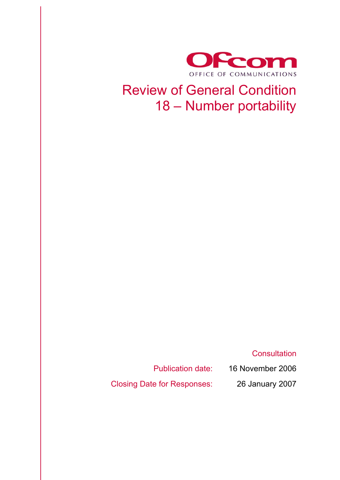

## Review of General Condition 18 – Number portability

**Consultation** 

Publication date: 16 November 2006

Closing Date for Responses: 26 January 2007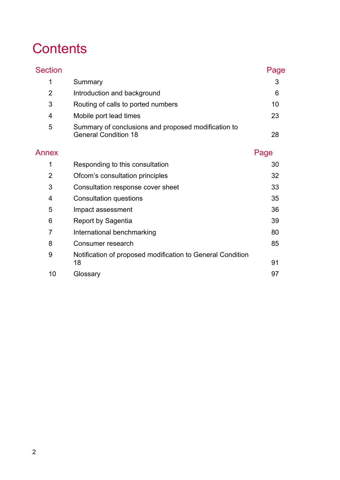# **Contents**

| <b>Section</b> |                                                                                    | Page |  |  |  |
|----------------|------------------------------------------------------------------------------------|------|--|--|--|
| 1              | Summary                                                                            |      |  |  |  |
| $\overline{2}$ | Introduction and background                                                        |      |  |  |  |
| 3              | Routing of calls to ported numbers                                                 |      |  |  |  |
| 4              | Mobile port lead times                                                             |      |  |  |  |
| 5              | Summary of conclusions and proposed modification to<br><b>General Condition 18</b> |      |  |  |  |
| Annex          |                                                                                    | Page |  |  |  |
| 1              | Responding to this consultation                                                    | 30   |  |  |  |
| $\overline{2}$ | Ofcom's consultation principles                                                    |      |  |  |  |
| 3              | Consultation response cover sheet                                                  | 33   |  |  |  |
| 4              | Consultation questions                                                             | 35   |  |  |  |
| 5              | Impact assessment                                                                  | 36   |  |  |  |
| 6              | Report by Sagentia                                                                 | 39   |  |  |  |
| 7              | International benchmarking                                                         | 80   |  |  |  |
| 8              | Consumer research                                                                  | 85   |  |  |  |
| 9              | Notification of proposed modification to General Condition<br>18                   | 91   |  |  |  |
| 10             | Glossary                                                                           | 97   |  |  |  |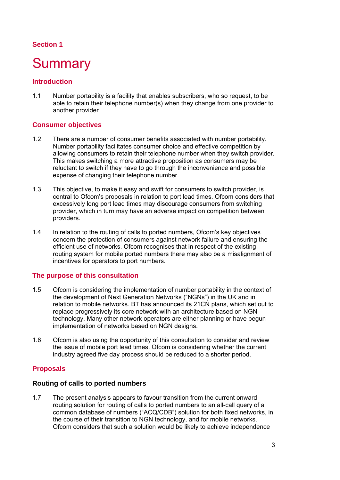## **Section 1**

## **Summary**

## **Introduction**

1.1 Number portability is a facility that enables subscribers, who so request, to be able to retain their telephone number(s) when they change from one provider to another provider.

## **Consumer objectives**

- 1.2 There are a number of consumer benefits associated with number portability. Number portability facilitates consumer choice and effective competition by allowing consumers to retain their telephone number when they switch provider. This makes switching a more attractive proposition as consumers may be reluctant to switch if they have to go through the inconvenience and possible expense of changing their telephone number.
- 1.3 This objective, to make it easy and swift for consumers to switch provider, is central to Ofcom's proposals in relation to port lead times. Ofcom considers that excessively long port lead times may discourage consumers from switching provider, which in turn may have an adverse impact on competition between providers.
- 1.4 In relation to the routing of calls to ported numbers, Ofcom's key objectives concern the protection of consumers against network failure and ensuring the efficient use of networks. Ofcom recognises that in respect of the existing routing system for mobile ported numbers there may also be a misalignment of incentives for operators to port numbers.

## **The purpose of this consultation**

- 1.5 Ofcom is considering the implementation of number portability in the context of the development of Next Generation Networks ("NGNs") in the UK and in relation to mobile networks. BT has announced its 21CN plans, which set out to replace progressively its core network with an architecture based on NGN technology. Many other network operators are either planning or have begun implementation of networks based on NGN designs.
- 1.6 Ofcom is also using the opportunity of this consultation to consider and review the issue of mobile port lead times. Ofcom is considering whether the current industry agreed five day process should be reduced to a shorter period.

## **Proposals**

### **Routing of calls to ported numbers**

1.7 The present analysis appears to favour transition from the current onward routing solution for routing of calls to ported numbers to an all-call query of a common database of numbers ("ACQ/CDB") solution for both fixed networks, in the course of their transition to NGN technology, and for mobile networks. Ofcom considers that such a solution would be likely to achieve independence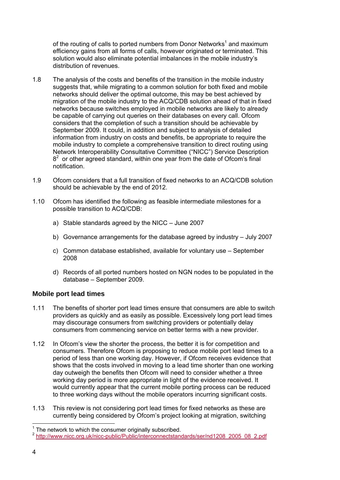of the routing of calls to ported numbers from Donor Networks<sup>1</sup> and maximum efficiency gains from all forms of calls, however originated or terminated. This solution would also eliminate potential imbalances in the mobile industry's distribution of revenues.

- 1.8 The analysis of the costs and benefits of the transition in the mobile industry suggests that, while migrating to a common solution for both fixed and mobile networks should deliver the optimal outcome, this may be best achieved by migration of the mobile industry to the ACQ/CDB solution ahead of that in fixed networks because switches employed in mobile networks are likely to already be capable of carrying out queries on their databases on every call. Ofcom considers that the completion of such a transition should be achievable by September 2009. It could, in addition and subject to analysis of detailed information from industry on costs and benefits, be appropriate to require the mobile industry to complete a comprehensive transition to direct routing using Network Interoperability Consultative Committee ("NICC") Service Description  $8<sup>2</sup>$  or other agreed standard, within one year from the date of Ofcom's final notification.
- 1.9 Ofcom considers that a full transition of fixed networks to an ACQ/CDB solution should be achievable by the end of 2012.
- 1.10 Ofcom has identified the following as feasible intermediate milestones for a possible transition to ACQ/CDB:
	- a) Stable standards agreed by the NICC June 2007
	- b) Governance arrangements for the database agreed by industry July 2007
	- c) Common database established, available for voluntary use September 2008
	- d) Records of all ported numbers hosted on NGN nodes to be populated in the database – September 2009.

## **Mobile port lead times**

- 1.11 The benefits of shorter port lead times ensure that consumers are able to switch providers as quickly and as easily as possible. Excessively long port lead times may discourage consumers from switching providers or potentially delay consumers from commencing service on better terms with a new provider.
- 1.12 In Ofcom's view the shorter the process, the better it is for competition and consumers. Therefore Ofcom is proposing to reduce mobile port lead times to a period of less than one working day. However, if Ofcom receives evidence that shows that the costs involved in moving to a lead time shorter than one working day outweigh the benefits then Ofcom will need to consider whether a three working day period is more appropriate in light of the evidence received. It would currently appear that the current mobile porting process can be reduced to three working days without the mobile operators incurring significant costs.
- 1.13 This review is not considering port lead times for fixed networks as these are currently being considered by Ofcom's project looking at migration, switching

The network to which the consumer originally subscribed.

<sup>&</sup>lt;sup>2</sup> http://www.nicc.org.uk/nicc-public/Public/interconnectstandards/ser/nd1208\_2005\_08\_2.pdf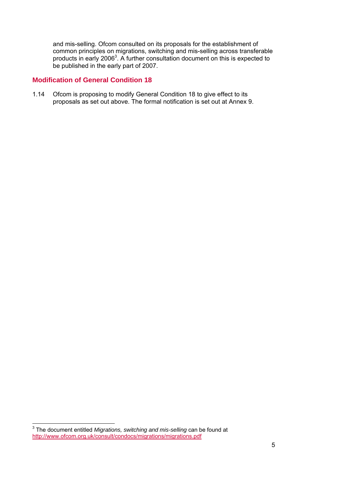and mis-selling. Ofcom consulted on its proposals for the establishment of common principles on migrations, switching and mis-selling across transferable products in early 2006<sup>3</sup>. A further consultation document on this is expected to be published in the early part of 2007.

## **Modification of General Condition 18**

1.14 Ofcom is proposing to modify General Condition 18 to give effect to its proposals as set out above. The formal notification is set out at Annex 9.

 3 The document entitled *Migrations, switching and mis-selling* can be found at http://www.ofcom.org.uk/consult/condocs/migrations/migrations.pdf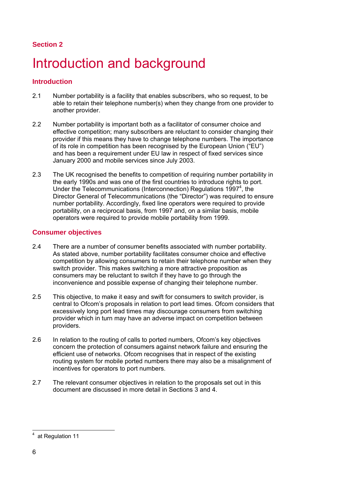## **Section 2**

# Introduction and background

## **Introduction**

- 2.1 Number portability is a facility that enables subscribers, who so request, to be able to retain their telephone number(s) when they change from one provider to another provider.
- 2.2 Number portability is important both as a facilitator of consumer choice and effective competition; many subscribers are reluctant to consider changing their provider if this means they have to change telephone numbers. The importance of its role in competition has been recognised by the European Union ("EU") and has been a requirement under EU law in respect of fixed services since January 2000 and mobile services since July 2003.
- 2.3 The UK recognised the benefits to competition of requiring number portability in the early 1990s and was one of the first countries to introduce rights to port. Under the Telecommunications (Interconnection) Regulations 1997<sup>4</sup>, the Director General of Telecommunications (the "Director") was required to ensure number portability. Accordingly, fixed line operators were required to provide portability, on a reciprocal basis, from 1997 and, on a similar basis, mobile operators were required to provide mobile portability from 1999.

## **Consumer objectives**

- 2.4 There are a number of consumer benefits associated with number portability. As stated above, number portability facilitates consumer choice and effective competition by allowing consumers to retain their telephone number when they switch provider. This makes switching a more attractive proposition as consumers may be reluctant to switch if they have to go through the inconvenience and possible expense of changing their telephone number.
- 2.5 This objective, to make it easy and swift for consumers to switch provider, is central to Ofcom's proposals in relation to port lead times. Ofcom considers that excessively long port lead times may discourage consumers from switching provider which in turn may have an adverse impact on competition between providers.
- 2.6 In relation to the routing of calls to ported numbers, Ofcom's key objectives concern the protection of consumers against network failure and ensuring the efficient use of networks. Ofcom recognises that in respect of the existing routing system for mobile ported numbers there may also be a misalignment of incentives for operators to port numbers.
- 2.7 The relevant consumer objectives in relation to the proposals set out in this document are discussed in more detail in Sections 3 and 4.

 4 at Regulation 11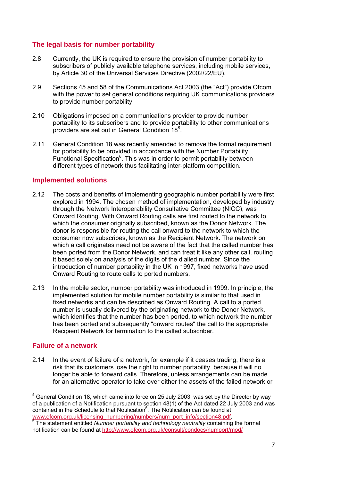## **The legal basis for number portability**

- 2.8 Currently, the UK is required to ensure the provision of number portability to subscribers of publicly available telephone services, including mobile services, by Article 30 of the Universal Services Directive (2002/22/EU).
- 2.9 Sections 45 and 58 of the Communications Act 2003 (the "Act") provide Ofcom with the power to set general conditions requiring UK communications providers to provide number portability.
- 2.10 Obligations imposed on a communications provider to provide number portability to its subscribers and to provide portability to other communications providers are set out in General Condition 18<sup>5</sup>.
- 2.11 General Condition 18 was recently amended to remove the formal requirement for portability to be provided in accordance with the Number Portability Functional Specification<sup>6</sup>. This was in order to permit portability between different types of network thus facilitating inter-platform competition.

### **Implemented solutions**

- 2.12 The costs and benefits of implementing geographic number portability were first explored in 1994. The chosen method of implementation, developed by industry through the Network Interoperability Consultative Committee (NICC), was Onward Routing. With Onward Routing calls are first routed to the network to which the consumer originally subscribed, known as the Donor Network. The donor is responsible for routing the call onward to the network to which the consumer now subscribes, known as the Recipient Network. The network on which a call originates need not be aware of the fact that the called number has been ported from the Donor Network, and can treat it like any other call, routing it based solely on analysis of the digits of the dialled number. Since the introduction of number portability in the UK in 1997, fixed networks have used Onward Routing to route calls to ported numbers.
- 2.13 In the mobile sector, number portability was introduced in 1999. In principle, the implemented solution for mobile number portability is similar to that used in fixed networks and can be described as Onward Routing. A call to a ported number is usually delivered by the originating network to the Donor Network, which identifies that the number has been ported, to which network the number has been ported and subsequently "onward routes" the call to the appropriate Recipient Network for termination to the called subscriber.

### **Failure of a network**

2.14 In the event of failure of a network, for example if it ceases trading, there is a risk that its customers lose the right to number portability, because it will no longer be able to forward calls. Therefore, unless arrangements can be made for an alternative operator to take over either the assets of the failed network or

 5 General Condition 18, which came into force on 25 July 2003, was set by the Director by way of a publication of a Notification pursuant to section 48(1) of the Act dated 22 July 2003 and was contained in the Schedule to that Notification<sup>5</sup>. The Notification can be found at www.ofcom.org.uk/licensing\_numbering/numbers/num\_port\_info/section48.pdf.

The statement entitled *Number portability and technology neutrality* containing the formal notification can be found at http://www.ofcom.org.uk/consult/condocs/numport/mod/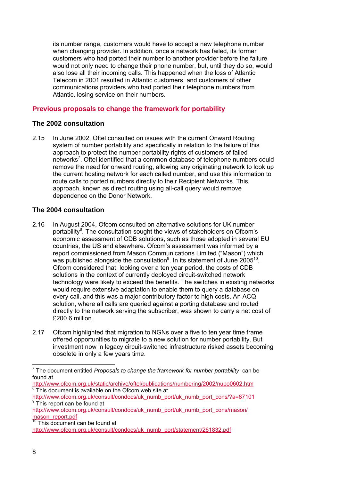its number range, customers would have to accept a new telephone number when changing provider. In addition, once a network has failed, its former customers who had ported their number to another provider before the failure would not only need to change their phone number, but, until they do so, would also lose all their incoming calls. This happened when the loss of Atlantic Telecom in 2001 resulted in Atlantic customers, and customers of other communications providers who had ported their telephone numbers from Atlantic, losing service on their numbers.

## **Previous proposals to change the framework for portability**

## **The 2002 consultation**

2.15 In June 2002, Oftel consulted on issues with the current Onward Routing system of number portability and specifically in relation to the failure of this approach to protect the number portability rights of customers of failed networks<sup>7</sup>. Oftel identified that a common database of telephone numbers could remove the need for onward routing, allowing any originating network to look up the current hosting network for each called number, and use this information to route calls to ported numbers directly to their Recipient Networks. This approach, known as direct routing using all-call query would remove dependence on the Donor Network.

## **The 2004 consultation**

- 2.16 In August 2004, Ofcom consulted on alternative solutions for UK number portability<sup>8</sup>. The consultation sought the views of stakeholders on Ofcom's economic assessment of CDB solutions, such as those adopted in several EU countries, the US and elsewhere. Ofcom's assessment was informed by a report commissioned from Mason Communications Limited ("Mason") which was published alongside the consultation<sup>9</sup>. In its statement of June 2005<sup>10</sup>, Ofcom considered that, looking over a ten year period, the costs of CDB solutions in the context of currently deployed circuit-switched network technology were likely to exceed the benefits. The switches in existing networks would require extensive adaptation to enable them to query a database on every call, and this was a major contributory factor to high costs. An ACQ solution, where all calls are queried against a porting database and routed directly to the network serving the subscriber, was shown to carry a net cost of £200.6 million.
- 2.17 Ofcom highlighted that migration to NGNs over a five to ten year time frame offered opportunities to migrate to a new solution for number portability. But investment now in legacy circuit-switched infrastructure risked assets becoming obsolete in only a few years time.

http://www.ofcom.org.uk/static/archive/oftel/publications/numbering/2002/nupo0602.htm<br><sup>8</sup> This document is available on the Ofcom web site at

 7 The document entitled *Proposals to change the framework for number portability*can be found at

http://www.ofcom.org.uk/consult/condocs/uk\_numb\_port/uk\_numb\_port\_cons/?a=87101 <sup>9</sup> This report can be found at

http://www.ofcom.org.uk/consult/condocs/uk\_numb\_port/uk\_numb\_port\_cons/mason/ mason\_report.pdf

<sup>&</sup>lt;sup>10</sup> This document can be found at

http://www.ofcom.org.uk/consult/condocs/uk\_numb\_port/statement/261832.pdf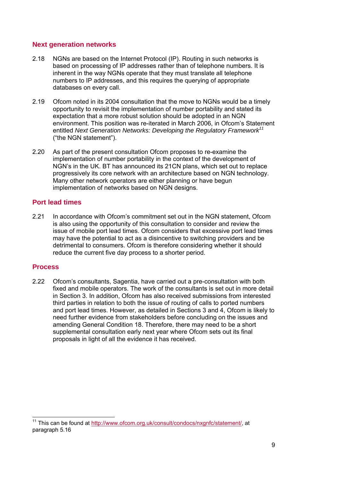## **Next generation networks**

- 2.18 NGNs are based on the Internet Protocol (IP). Routing in such networks is based on processing of IP addresses rather than of telephone numbers. It is inherent in the way NGNs operate that they must translate all telephone numbers to IP addresses, and this requires the querying of appropriate databases on every call.
- 2.19 Ofcom noted in its 2004 consultation that the move to NGNs would be a timely opportunity to revisit the implementation of number portability and stated its expectation that a more robust solution should be adopted in an NGN environment. This position was re-iterated in March 2006, in Ofcom's Statement entitled *Next Generation Networks: Developing the Regulatory Framework<sup>11</sup>* ("the NGN statement").
- 2.20 As part of the present consultation Ofcom proposes to re-examine the implementation of number portability in the context of the development of NGN's in the UK. BT has announced its 21CN plans, which set out to replace progressively its core network with an architecture based on NGN technology. Many other network operators are either planning or have begun implementation of networks based on NGN designs.

## **Port lead times**

2.21 In accordance with Ofcom's commitment set out in the NGN statement, Ofcom is also using the opportunity of this consultation to consider and review the issue of mobile port lead times. Ofcom considers that excessive port lead times may have the potential to act as a disincentive to switching providers and be detrimental to consumers. Ofcom is therefore considering whether it should reduce the current five day process to a shorter period.

## **Process**

2.22 Ofcom's consultants, Sagentia, have carried out a pre-consultation with both fixed and mobile operators. The work of the consultants is set out in more detail in Section 3. In addition, Ofcom has also received submissions from interested third parties in relation to both the issue of routing of calls to ported numbers and port lead times. However, as detailed in Sections 3 and 4, Ofcom is likely to need further evidence from stakeholders before concluding on the issues and amending General Condition 18. Therefore, there may need to be a short supplemental consultation early next year where Ofcom sets out its final proposals in light of all the evidence it has received.

<sup>11</sup> This can be found at http://www.ofcom.org.uk/consult/condocs/nxgnfc/statement/, at paragraph 5.16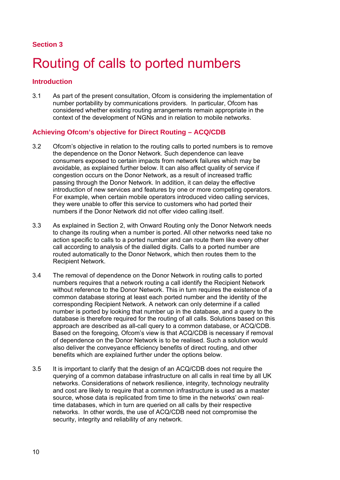## **Section 3**

## Routing of calls to ported numbers

## **Introduction**

3.1 As part of the present consultation, Ofcom is considering the implementation of number portability by communications providers. In particular, Ofcom has considered whether existing routing arrangements remain appropriate in the context of the development of NGNs and in relation to mobile networks.

## **Achieving Ofcom's objective for Direct Routing – ACQ/CDB**

- 3.2 Ofcom's objective in relation to the routing calls to ported numbers is to remove the dependence on the Donor Network. Such dependence can leave consumers exposed to certain impacts from network failures which may be avoidable, as explained further below. It can also affect quality of service if congestion occurs on the Donor Network, as a result of increased traffic passing through the Donor Network. In addition, it can delay the effective introduction of new services and features by one or more competing operators. For example, when certain mobile operators introduced video calling services, they were unable to offer this service to customers who had ported their numbers if the Donor Network did not offer video calling itself.
- 3.3 As explained in Section 2, with Onward Routing only the Donor Network needs to change its routing when a number is ported. All other networks need take no action specific to calls to a ported number and can route them like every other call according to analysis of the dialled digits. Calls to a ported number are routed automatically to the Donor Network, which then routes them to the Recipient Network.
- 3.4 The removal of dependence on the Donor Network in routing calls to ported numbers requires that a network routing a call identify the Recipient Network without reference to the Donor Network. This in turn requires the existence of a common database storing at least each ported number and the identity of the corresponding Recipient Network. A network can only determine if a called number is ported by looking that number up in the database, and a query to the database is therefore required for the routing of all calls. Solutions based on this approach are described as all-call query to a common database, or ACQ/CDB. Based on the foregoing, Ofcom's view is that ACQ/CDB is necessary if removal of dependence on the Donor Network is to be realised. Such a solution would also deliver the conveyance efficiency benefits of direct routing, and other benefits which are explained further under the options below.
- 3.5 It is important to clarify that the design of an ACQ/CDB does not require the querying of a common database infrastructure on all calls in real time by all UK networks. Considerations of network resilience, integrity, technology neutrality and cost are likely to require that a common infrastructure is used as a master source, whose data is replicated from time to time in the networks' own realtime databases, which in turn are queried on all calls by their respective networks. In other words, the use of ACQ/CDB need not compromise the security, integrity and reliability of any network.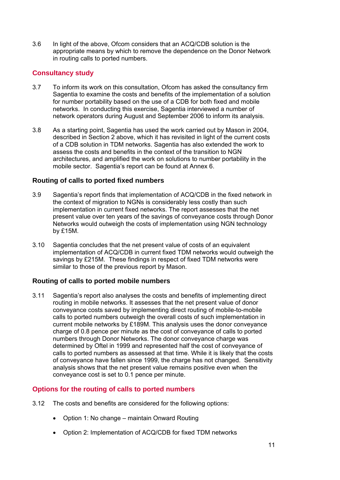3.6 In light of the above, Ofcom considers that an ACQ/CDB solution is the appropriate means by which to remove the dependence on the Donor Network in routing calls to ported numbers.

## **Consultancy study**

- 3.7 To inform its work on this consultation, Ofcom has asked the consultancy firm Sagentia to examine the costs and benefits of the implementation of a solution for number portability based on the use of a CDB for both fixed and mobile networks. In conducting this exercise, Sagentia interviewed a number of network operators during August and September 2006 to inform its analysis.
- 3.8 As a starting point, Sagentia has used the work carried out by Mason in 2004, described in Section 2 above, which it has revisited in light of the current costs of a CDB solution in TDM networks. Sagentia has also extended the work to assess the costs and benefits in the context of the transition to NGN architectures, and amplified the work on solutions to number portability in the mobile sector. Sagentia's report can be found at Annex 6.

## **Routing of calls to ported fixed numbers**

- 3.9 Sagentia's report finds that implementation of ACQ/CDB in the fixed network in the context of migration to NGNs is considerably less costly than such implementation in current fixed networks. The report assesses that the net present value over ten years of the savings of conveyance costs through Donor Networks would outweigh the costs of implementation using NGN technology by £15M.
- 3.10 Sagentia concludes that the net present value of costs of an equivalent implementation of ACQ/CDB in current fixed TDM networks would outweigh the savings by £215M. These findings in respect of fixed TDM networks were similar to those of the previous report by Mason.

## **Routing of calls to ported mobile numbers**

3.11 Sagentia's report also analyses the costs and benefits of implementing direct routing in mobile networks. It assesses that the net present value of donor conveyance costs saved by implementing direct routing of mobile-to-mobile calls to ported numbers outweigh the overall costs of such implementation in current mobile networks by £189M. This analysis uses the donor conveyance charge of 0.8 pence per minute as the cost of conveyance of calls to ported numbers through Donor Networks. The donor conveyance charge was determined by Oftel in 1999 and represented half the cost of conveyance of calls to ported numbers as assessed at that time. While it is likely that the costs of conveyance have fallen since 1999, the charge has not changed. Sensitivity analysis shows that the net present value remains positive even when the conveyance cost is set to 0.1 pence per minute.

## **Options for the routing of calls to ported numbers**

- 3.12 The costs and benefits are considered for the following options:
	- Option 1: No change maintain Onward Routing
	- Option 2: Implementation of ACQ/CDB for fixed TDM networks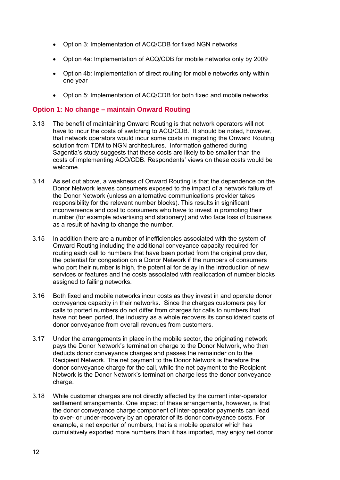- Option 3: Implementation of ACQ/CDB for fixed NGN networks
- Option 4a: Implementation of ACQ/CDB for mobile networks only by 2009
- Option 4b: Implementation of direct routing for mobile networks only within one year
- Option 5: Implementation of ACQ/CDB for both fixed and mobile networks

### **Option 1: No change – maintain Onward Routing**

- 3.13 The benefit of maintaining Onward Routing is that network operators will not have to incur the costs of switching to ACQ/CDB. It should be noted, however, that network operators would incur some costs in migrating the Onward Routing solution from TDM to NGN architectures. Information gathered during Sagentia's study suggests that these costs are likely to be smaller than the costs of implementing ACQ/CDB. Respondents' views on these costs would be welcome.
- 3.14 As set out above, a weakness of Onward Routing is that the dependence on the Donor Network leaves consumers exposed to the impact of a network failure of the Donor Network (unless an alternative communications provider takes responsibility for the relevant number blocks). This results in significant inconvenience and cost to consumers who have to invest in promoting their number (for example advertising and stationery) and who face loss of business as a result of having to change the number.
- 3.15 In addition there are a number of inefficiencies associated with the system of Onward Routing including the additional conveyance capacity required for routing each call to numbers that have been ported from the original provider, the potential for congestion on a Donor Network if the numbers of consumers who port their number is high, the potential for delay in the introduction of new services or features and the costs associated with reallocation of number blocks assigned to failing networks.
- 3.16 Both fixed and mobile networks incur costs as they invest in and operate donor conveyance capacity in their networks. Since the charges customers pay for calls to ported numbers do not differ from charges for calls to numbers that have not been ported, the industry as a whole recovers its consolidated costs of donor conveyance from overall revenues from customers.
- 3.17 Under the arrangements in place in the mobile sector, the originating network pays the Donor Network's termination charge to the Donor Network, who then deducts donor conveyance charges and passes the remainder on to the Recipient Network. The net payment to the Donor Network is therefore the donor conveyance charge for the call, while the net payment to the Recipient Network is the Donor Network's termination charge less the donor conveyance charge.
- 3.18 While customer charges are not directly affected by the current inter-operator settlement arrangements. One impact of these arrangements, however, is that the donor conveyance charge component of inter-operator payments can lead to over- or under-recovery by an operator of its donor conveyance costs. For example, a net exporter of numbers, that is a mobile operator which has cumulatively exported more numbers than it has imported, may enjoy net donor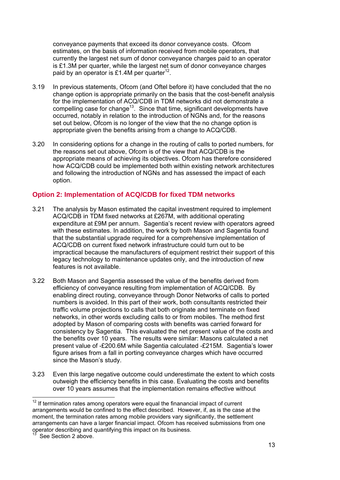conveyance payments that exceed its donor conveyance costs. Ofcom estimates, on the basis of information received from mobile operators, that currently the largest net sum of donor conveyance charges paid to an operator is £1.3M per quarter, while the largest net sum of donor conveyance charges paid by an operator is £1.4M per quarter<sup>12</sup>.

- 3.19 In previous statements, Ofcom (and Oftel before it) have concluded that the no change option is appropriate primarily on the basis that the cost-benefit analysis for the implementation of ACQ/CDB in TDM networks did not demonstrate a compelling case for change<sup>13</sup>. Since that time, significant developments have occurred, notably in relation to the introduction of NGNs and, for the reasons set out below, Ofcom is no longer of the view that the no change option is appropriate given the benefits arising from a change to ACQ/CDB.
- 3.20 In considering options for a change in the routing of calls to ported numbers, for the reasons set out above, Ofcom is of the view that ACQ/CDB is the appropriate means of achieving its objectives. Ofcom has therefore considered how ACQ/CDB could be implemented both within existing network architectures and following the introduction of NGNs and has assessed the impact of each option.

## **Option 2: Implementation of ACQ/CDB for fixed TDM networks**

- 3.21 The analysis by Mason estimated the capital investment required to implement ACQ/CDB in TDM fixed networks at £267M, with additional operating expenditure at £9M per annum. Sagentia's recent review with operators agreed with these estimates. In addition, the work by both Mason and Sagentia found that the substantial upgrade required for a comprehensive implementation of ACQ/CDB on current fixed network infrastructure could turn out to be impractical because the manufacturers of equipment restrict their support of this legacy technology to maintenance updates only, and the introduction of new features is not available.
- 3.22 Both Mason and Sagentia assessed the value of the benefits derived from efficiency of conveyance resulting from implementation of ACQ/CDB. By enabling direct routing, conveyance through Donor Networks of calls to ported numbers is avoided. In this part of their work, both consultants restricted their traffic volume projections to calls that both originate and terminate on fixed networks, in other words excluding calls to or from mobiles. The method first adopted by Mason of comparing costs with benefits was carried forward for consistency by Sagentia. This evaluated the net present value of the costs and the benefits over 10 years. The results were similar: Masons calculated a net present value of -£200.6M while Sagentia calculated -£215M. Sagentia's lower figure arises from a fall in porting conveyance charges which have occurred since the Mason's study.
- 3.23 Even this large negative outcome could underestimate the extent to which costs outweigh the efficiency benefits in this case. Evaluating the costs and benefits over 10 years assumes that the implementation remains effective without

 $12$  If termination rates among operators were equal the finanancial impact of current arrangements would be confined to the effect described. However, if, as is the case at the moment, the termination rates among mobile providers vary significantly, the settlement arrangements can have a larger financial impact. Ofcom has received submissions from one operator describing and quantifying this impact on its business.

See Section 2 above.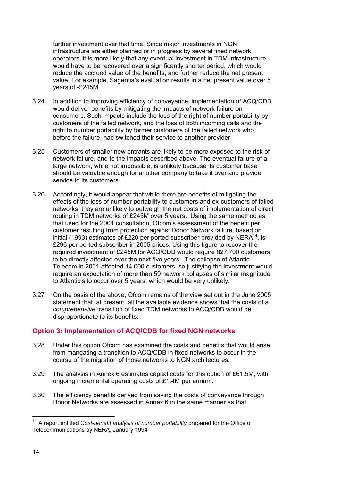further investment over that time. Since major investments in NGN infrastructure are either planned or in progress by several fixed network operators, it is more likely that any eventual investment in TDM infrastructure would have to be recovered over a significantly shorter period, which would reduce the accrued value of the benefits, and further reduce the net present value. For example, Sagentia's evaluation results in a net present value over 5 years of -£245M.

- 3.24 In addition to improving efficiency of conveyance, implementation of ACQ/CDB would deliver benefits by mitigating the impacts of network failure on consumers. Such impacts include the loss of the right of number portability by customers of the failed network, and the loss of both incoming calls and the right to number portability by former customers of the failed network who, before the failure, had switched their service to another provider.
- 3.25 Customers of smaller new entrants are likely to be more exposed to the risk of network failure, and to the impacts described above. The eventual failure of a large network, while not impossible, is unlikely because its customer base should be valuable enough for another company to take it over and provide service to its customers
- 3.26 Accordingly, it would appear that while there are benefits of mitigating the effects of the loss of number portability to customers and ex-customers of failed networks, they are unlikely to outweigh the net costs of implementation of direct routing in TDM networks of £245M over 5 years. Using the same method as that used for the 2004 consultation, Ofcom's assessment of the benefit per customer resulting from protection against Donor Network failure, based on initial (1993) estimates of £220 per ported subscriber provided by NERA<sup>14</sup>, is £296 per ported subscriber in 2005 prices. Using this figure to recover the required investment of £245M for ACQ/CDB would require 827,700 customers to be directly affected over the next five years. The collapse of Atlantic Telecom in 2001 affected 14,000 customers, so justifying the investment would require an expectation of more than 59 network collapses of similar magnitude to Atlantic's to occur over 5 years, which would be very unlikely.
- 3.27 On the basis of the above, Ofcom remains of the view set out in the June 2005 statement that, at present, all the available evidence shows that the costs of a *comprehensive* transition of fixed TDM networks to ACQ/CDB would be disproportionate to its benefits.

## **Option 3: Implementation of ACQ/CDB for fixed NGN networks**

- 3.28 Under this option Ofcom has examined the costs and benefits that would arise from mandating a transition to ACQ/CDB in fixed networks to occur in the course of the migration of those networks to NGN architectures.
- 3.29 The analysis in Annex 6 estimates capital costs for this option of £61.5M, with ongoing incremental operating costs of £1.4M per annum.
- 3.30 The efficiency benefits derived from saving the costs of conveyance through Donor Networks are assessed in Annex 6 in the same manner as that

<sup>&</sup>lt;sup>14</sup> A report entitled *Cost-benefit analysis of number portability* prepared for the Office of Telecommunications by NERA, January 1994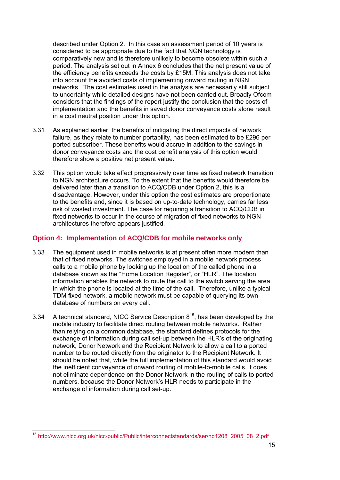described under Option 2. In this case an assessment period of 10 years is considered to be appropriate due to the fact that NGN technology is comparatively new and is therefore unlikely to become obsolete within such a period. The analysis set out in Annex 6 concludes that the net present value of the efficiency benefits exceeds the costs by £15M. This analysis does not take into account the avoided costs of implementing onward routing in NGN networks. The cost estimates used in the analysis are necessarily still subject to uncertainty while detailed designs have not been carried out. Broadly Ofcom considers that the findings of the report justify the conclusion that the costs of implementation and the benefits in saved donor conveyance costs alone result in a cost neutral position under this option.

- 3.31 As explained earlier, the benefits of mitigating the direct impacts of network failure, as they relate to number portability, has been estimated to be £296 per ported subscriber. These benefits would accrue in addition to the savings in donor conveyance costs and the cost benefit analysis of this option would therefore show a positive net present value.
- 3.32 This option would take effect progressively over time as fixed network transition to NGN architecture occurs. To the extent that the benefits would therefore be delivered later than a transition to ACQ/CDB under Option 2, this is a disadvantage. However, under this option the cost estimates are proportionate to the benefits and, since it is based on up-to-date technology, carries far less risk of wasted investment. The case for requiring a transition to ACQ/CDB in fixed networks to occur in the course of migration of fixed networks to NGN architectures therefore appears justified.

## **Option 4: Implementation of ACQ/CDB for mobile networks only**

- 3.33 The equipment used in mobile networks is at present often more modern than that of fixed networks. The switches employed in a mobile network process calls to a mobile phone by looking up the location of the called phone in a database known as the "Home Location Register", or "HLR". The location information enables the network to route the call to the switch serving the area in which the phone is located at the time of the call. Therefore, unlike a typical TDM fixed network, a mobile network must be capable of querying its own database of numbers on every call.
- 3.34 A technical standard, NICC Service Description  $8^{15}$ , has been developed by the mobile industry to facilitate direct routing between mobile networks. Rather than relying on a common database, the standard defines protocols for the exchange of information during call set-up between the HLR's of the originating network, Donor Network and the Recipient Network to allow a call to a ported number to be routed directly from the originator to the Recipient Network. It should be noted that, while the full implementation of this standard would avoid the inefficient conveyance of onward routing of mobile-to-mobile calls, it does not eliminate dependence on the Donor Network in the routing of calls to ported numbers, because the Donor Network's HLR needs to participate in the exchange of information during call set-up.

 $\overline{a}$ <sup>15</sup> http://www.nicc.org.uk/nicc-public/Public/interconnectstandards/ser/nd1208\_2005\_08\_2.pdf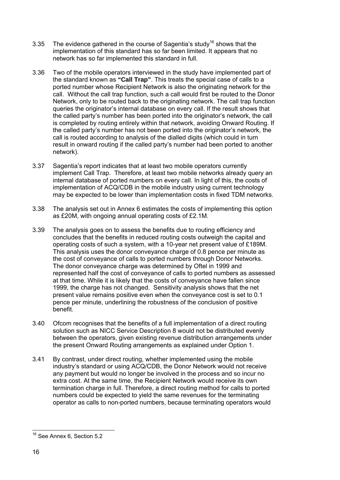- 3.35 The evidence gathered in the course of Sagentia's study<sup>16</sup> shows that the implementation of this standard has so far been limited. It appears that no network has so far implemented this standard in full.
- 3.36 Two of the mobile operators interviewed in the study have implemented part of the standard known as **"Call Trap"**. This treats the special case of calls to a ported number whose Recipient Network is also the originating network for the call. Without the call trap function, such a call would first be routed to the Donor Network, only to be routed back to the originating network. The call trap function queries the originator's internal database on every call. If the result shows that the called party's number has been ported into the originator's network, the call is completed by routing entirely within that network, avoiding Onward Routing. If the called party's number has not been ported into the originator's network, the call is routed according to analysis of the dialled digits (which could in turn result in onward routing if the called party's number had been ported to another network).
- 3.37 Sagentia's report indicates that at least two mobile operators currently implement Call Trap. Therefore, at least two mobile networks already query an internal database of ported numbers on every call. In light of this, the costs of implementation of ACQ/CDB in the mobile industry using current technology may be expected to be lower than implementation costs in fixed TDM networks.
- 3.38 The analysis set out in Annex 6 estimates the costs of implementing this option as £20M, with ongoing annual operating costs of £2.1M.
- 3.39 The analysis goes on to assess the benefits due to routing efficiency and concludes that the benefits in reduced routing costs outweigh the capital and operating costs of such a system, with a 10-year net present value of £189M. This analysis uses the donor conveyance charge of 0.8 pence per minute as the cost of conveyance of calls to ported numbers through Donor Networks. The donor conveyance charge was determined by Oftel in 1999 and represented half the cost of conveyance of calls to ported numbers as assessed at that time. While it is likely that the costs of conveyance have fallen since 1999, the charge has not changed. Sensitivity analysis shows that the net present value remains positive even when the conveyance cost is set to 0.1 pence per minute, underlining the robustness of the conclusion of positive benefit.
- 3.40 Ofcom recognises that the benefits of a full implementation of a direct routing solution such as NICC Service Description 8 would not be distributed evenly between the operators, given existing revenue distribution arrangements under the present Onward Routing arrangements as explained under Option 1.
- 3.41 By contrast, under direct routing, whether implemented using the mobile industry's standard or using ACQ/CDB, the Donor Network would not receive any payment but would no longer be involved in the process and so incur no extra cost. At the same time, the Recipient Network would receive its own termination charge in full. Therefore, a direct routing method for calls to ported numbers could be expected to yield the same revenues for the terminating operator as calls to non-ported numbers, because terminating operators would

 <sup>16</sup> See Annex 6, Section 5.2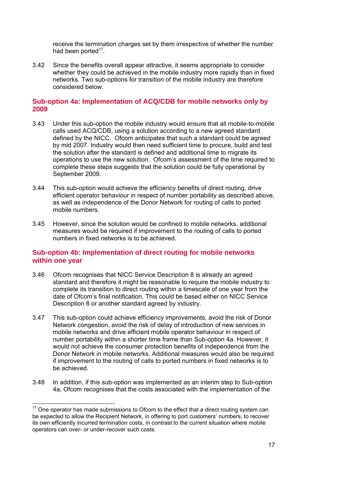receive the termination charges set by them irrespective of whether the number had been ported<sup>17</sup>.

3.42 Since the benefits overall appear attractive, it seems appropriate to consider whether they could be achieved in the mobile industry more rapidly than in fixed networks. Two sub-options for transition of the mobile industry are therefore considered below.

## **Sub-option 4a: Implementation of ACQ/CDB for mobile networks only by 2009**

- 3.43 Under this sub-option the mobile industry would ensure that all mobile-to-mobile calls used ACQ/CDB, using a solution according to a new agreed standard defined by the NICC. Ofcom anticipates that such a standard could be agreed by mid 2007. Industry would then need sufficient time to procure, build and test the solution after the standard is defined and additional time to migrate its operations to use the new solution. Ofcom's assessment of the time required to complete these steps suggests that the solution could be fully operational by September 2009.
- 3.44 This sub-option would achieve the efficiency benefits of direct routing, drive efficient operator behaviour in respect of number portability as described above, as well as independence of the Donor Network for routing of calls to ported mobile numbers.
- 3.45 However, since the solution would be confined to mobile networks, additional measures would be required if improvement to the routing of calls to ported numbers in fixed networks is to be achieved.

## **Sub-option 4b: Implementation of direct routing for mobile networks within one year**

- 3.46 Ofcom recognises that NICC Service Description 8 is already an agreed standard and therefore it might be reasonable to require the mobile industry to complete its transition to direct routing within a timescale of one year from the date of Ofcom's final notification. This could be based either on NICC Service Description 8 or another standard agreed by industry.
- 3.47 This sub-option could achieve efficiency improvements, avoid the risk of Donor Network congestion, avoid the risk of delay of introduction of new services in mobile networks and drive efficient mobile operator behaviour in respect of number portability within a shorter time frame than Sub-option 4a. However, it would not achieve the consumer protection benefits of independence from the Donor Network in mobile networks. Additional measures would also be required if improvement to the routing of calls to ported numbers in fixed networks is to be achieved.
- 3.48 In addition, if this sub-option was implemented as an interim step to Sub-option 4a, Ofcom recognises that the costs associated with the implementation of the

  $17$  One operator has made submissions to Ofcom to the effect that a direct routing system can be expected to allow the Recipient Network, in offering to port customers' numbers, to recover its own efficiently incurred termination costs, in contrast to the current situation where mobile operators can over- or under-recover such costs.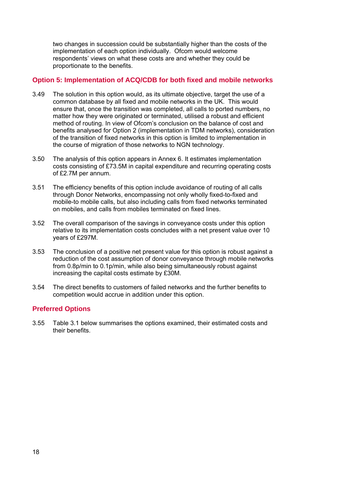two changes in succession could be substantially higher than the costs of the implementation of each option individually. Ofcom would welcome respondents' views on what these costs are and whether they could be proportionate to the benefits.

## **Option 5: Implementation of ACQ/CDB for both fixed and mobile networks**

- 3.49 The solution in this option would, as its ultimate objective, target the use of a common database by all fixed and mobile networks in the UK. This would ensure that, once the transition was completed, all calls to ported numbers, no matter how they were originated or terminated, utilised a robust and efficient method of routing. In view of Ofcom's conclusion on the balance of cost and benefits analysed for Option 2 (implementation in TDM networks), consideration of the transition of fixed networks in this option is limited to implementation in the course of migration of those networks to NGN technology.
- 3.50 The analysis of this option appears in Annex 6. It estimates implementation costs consisting of £73.5M in capital expenditure and recurring operating costs of £2.7M per annum.
- 3.51 The efficiency benefits of this option include avoidance of routing of all calls through Donor Networks, encompassing not only wholly fixed-to-fixed and mobile-to mobile calls, but also including calls from fixed networks terminated on mobiles, and calls from mobiles terminated on fixed lines.
- 3.52 The overall comparison of the savings in conveyance costs under this option relative to its implementation costs concludes with a net present value over 10 years of £297M.
- 3.53 The conclusion of a positive net present value for this option is robust against a reduction of the cost assumption of donor conveyance through mobile networks from 0.8p/min to 0.1p/min, while also being simultaneously robust against increasing the capital costs estimate by £30M.
- 3.54 The direct benefits to customers of failed networks and the further benefits to competition would accrue in addition under this option.

## **Preferred Options**

3.55 Table 3.1 below summarises the options examined, their estimated costs and their benefits.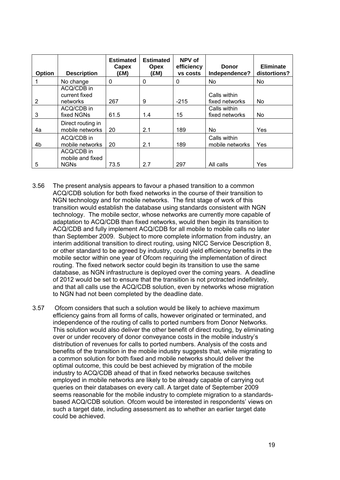| Option | <b>Description</b>                            | <b>Estimated</b><br>Capex<br>(£M) | <b>Estimated</b><br><b>Opex</b><br>(£M) | NPV of<br>efficiency<br><b>VS COStS</b> | <b>Donor</b><br>Independence?   | <b>Eliminate</b><br>distortions? |
|--------|-----------------------------------------------|-----------------------------------|-----------------------------------------|-----------------------------------------|---------------------------------|----------------------------------|
|        | No change                                     | 0                                 | 0                                       | 0                                       | No.                             | No                               |
| 2      | ACQ/CDB in<br>current fixed<br>networks       | 267                               | 9                                       | $-215$                                  | Calls within<br>fixed networks  | No.                              |
| 3      | ACQ/CDB in<br>fixed NGNs                      | 61.5                              | 1.4                                     | 15                                      | Calls within<br>fixed networks  | No                               |
| 4a     | Direct routing in<br>mobile networks          | 20                                | 2.1                                     | 189                                     | <b>No</b>                       | Yes                              |
| 4b     | ACQ/CDB in<br>mobile networks                 | 20                                | 2.1                                     | 189                                     | Calls within<br>mobile networks | Yes                              |
| 5      | ACQ/CDB in<br>mobile and fixed<br><b>NGNs</b> | 73.5                              | 2.7                                     | 297                                     | All calls                       | Yes                              |

- 3.56 The present analysis appears to favour a phased transition to a common ACQ/CDB solution for both fixed networks in the course of their transition to NGN technology and for mobile networks. The first stage of work of this transition would establish the database using standards consistent with NGN technology. The mobile sector, whose networks are currently more capable of adaptation to ACQ/CDB than fixed networks, would then begin its transition to ACQ/CDB and fully implement ACQ/CDB for all mobile to mobile calls no later than September 2009. Subject to more complete information from industry, an interim additional transition to direct routing, using NICC Service Description 8, or other standard to be agreed by industry, could yield efficiency benefits in the mobile sector within one year of Ofcom requiring the implementation of direct routing. The fixed network sector could begin its transition to use the same database, as NGN infrastructure is deployed over the coming years. A deadline of 2012 would be set to ensure that the transition is not protracted indefinitely, and that all calls use the ACQ/CDB solution, even by networks whose migration to NGN had not been completed by the deadline date.
- 3.57 Ofcom considers that such a solution would be likely to achieve maximum efficiency gains from all forms of calls, however originated or terminated, and independence of the routing of calls to ported numbers from Donor Networks. This solution would also deliver the other benefit of direct routing, by eliminating over or under recovery of donor conveyance costs in the mobile industry's distribution of revenues for calls to ported numbers. Analysis of the costs and benefits of the transition in the mobile industry suggests that, while migrating to a common solution for both fixed and mobile networks should deliver the optimal outcome, this could be best achieved by migration of the mobile industry to ACQ/CDB ahead of that in fixed networks because switches employed in mobile networks are likely to be already capable of carrying out queries on their databases on every call. A target date of September 2009 seems reasonable for the mobile industry to complete migration to a standardsbased ACQ/CDB solution. Ofcom would be interested in respondents' views on such a target date, including assessment as to whether an earlier target date could be achieved.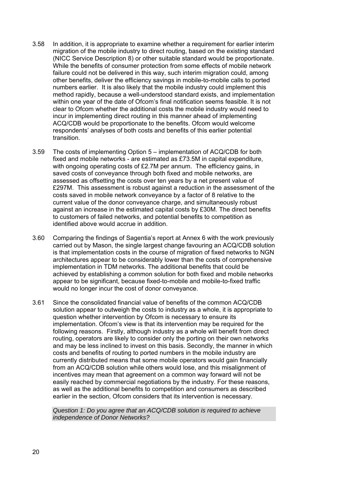- 3.58 In addition, it is appropriate to examine whether a requirement for earlier interim migration of the mobile industry to direct routing, based on the existing standard (NICC Service Description 8) or other suitable standard would be proportionate. While the benefits of consumer protection from some effects of mobile network failure could not be delivered in this way, such interim migration could, among other benefits, deliver the efficiency savings in mobile-to-mobile calls to ported numbers earlier. It is also likely that the mobile industry could implement this method rapidly, because a well-understood standard exists, and implementation within one year of the date of Ofcom's final notification seems feasible. It is not clear to Ofcom whether the additional costs the mobile industry would need to incur in implementing direct routing in this manner ahead of implementing ACQ/CDB would be proportionate to the benefits. Ofcom would welcome respondents' analyses of both costs and benefits of this earlier potential transition.
- 3.59 The costs of implementing Option 5 implementation of ACQ/CDB for both fixed and mobile networks - are estimated as £73.5M in capital expenditure, with ongoing operating costs of £2.7M per annum. The efficiency gains, in saved costs of conveyance through both fixed and mobile networks, are assessed as offsetting the costs over ten years by a net present value of £297M. This assessment is robust against a reduction in the assessment of the costs saved in mobile network conveyance by a factor of 8 relative to the current value of the donor conveyance charge, and simultaneously robust against an increase in the estimated capital costs by £30M. The direct benefits to customers of failed networks, and potential benefits to competition as identified above would accrue in addition.
- 3.60 Comparing the findings of Sagentia's report at Annex 6 with the work previously carried out by Mason, the single largest change favouring an ACQ/CDB solution is that implementation costs in the course of migration of fixed networks to NGN architectures appear to be considerably lower than the costs of comprehensive implementation in TDM networks. The additional benefits that could be achieved by establishing a common solution for both fixed and mobile networks appear to be significant, because fixed-to-mobile and mobile-to-fixed traffic would no longer incur the cost of donor conveyance.
- 3.61 Since the consolidated financial value of benefits of the common ACQ/CDB solution appear to outweigh the costs to industry as a whole, it is appropriate to question whether intervention by Ofcom is necessary to ensure its implementation. Ofcom's view is that its intervention may be required for the following reasons. Firstly, although industry as a whole will benefit from direct routing, operators are likely to consider only the porting on their own networks and may be less inclined to invest on this basis. Secondly, the manner in which costs and benefits of routing to ported numbers in the mobile industry are currently distributed means that some mobile operators would gain financially from an ACQ/CDB solution while others would lose, and this misalignment of incentives may mean that agreement on a common way forward will not be easily reached by commercial negotiations by the industry. For these reasons, as well as the additional benefits to competition and consumers as described earlier in the section, Ofcom considers that its intervention is necessary.

*Question 1: Do you agree that an ACQ/CDB solution is required to achieve independence of Donor Networks?*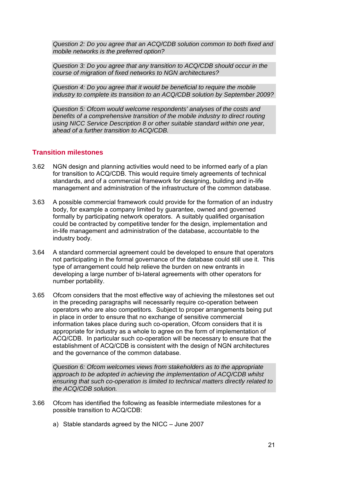*Question 2: Do you agree that an ACQ/CDB solution common to both fixed and mobile networks is the preferred option?* 

*Question 3: Do you agree that any transition to ACQ/CDB should occur in the course of migration of fixed networks to NGN architectures?* 

*Question 4: Do you agree that it would be beneficial to require the mobile industry to complete its transition to an ACQ/CDB solution by September 2009?* 

*Question 5: Ofcom would welcome respondents' analyses of the costs and benefits of a comprehensive transition of the mobile industry to direct routing using NICC Service Description 8 or other suitable standard within one year, ahead of a further transition to ACQ/CDB.* 

## **Transition milestones**

- 3.62 NGN design and planning activities would need to be informed early of a plan for transition to ACQ/CDB. This would require timely agreements of technical standards, and of a commercial framework for designing, building and in-life management and administration of the infrastructure of the common database.
- 3.63 A possible commercial framework could provide for the formation of an industry body, for example a company limited by guarantee, owned and governed formally by participating network operators. A suitably qualified organisation could be contracted by competitive tender for the design, implementation and in-life management and administration of the database, accountable to the industry body.
- 3.64 A standard commercial agreement could be developed to ensure that operators not participating in the formal governance of the database could still use it. This type of arrangement could help relieve the burden on new entrants in developing a large number of bi-lateral agreements with other operators for number portability.
- 3.65 Ofcom considers that the most effective way of achieving the milestones set out in the preceding paragraphs will necessarily require co-operation between operators who are also competitors. Subject to proper arrangements being put in place in order to ensure that no exchange of sensitive commercial information takes place during such co-operation, Ofcom considers that it is appropriate for industry as a whole to agree on the form of implementation of ACQ/CDB. In particular such co-operation will be necessary to ensure that the establishment of ACQ/CDB is consistent with the design of NGN architectures and the governance of the common database.

*Question 6: Ofcom welcomes views from stakeholders as to the appropriate approach to be adopted in achieving the implementation of ACQ/CDB whilst ensuring that such co-operation is limited to technical matters directly related to the ACQ/CDB solution.* 

- 3.66 Ofcom has identified the following as feasible intermediate milestones for a possible transition to ACQ/CDB:
	- a) Stable standards agreed by the NICC June 2007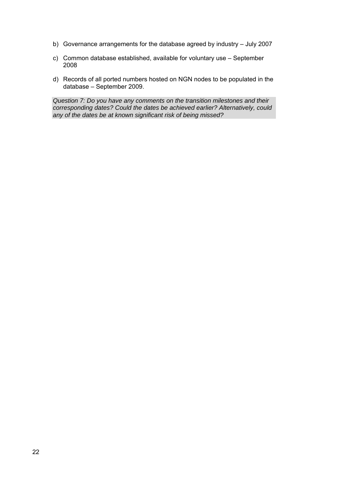- b) Governance arrangements for the database agreed by industry July 2007
- c) Common database established, available for voluntary use September 2008
- d) Records of all ported numbers hosted on NGN nodes to be populated in the database – September 2009.

*Question 7: Do you have any comments on the transition milestones and their corresponding dates? Could the dates be achieved earlier? Alternatively, could any of the dates be at known significant risk of being missed?*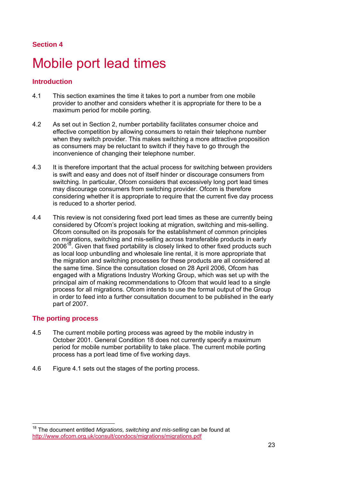## **Section 4**

## Mobile port lead times

## **Introduction**

- 4.1 This section examines the time it takes to port a number from one mobile provider to another and considers whether it is appropriate for there to be a maximum period for mobile porting.
- 4.2 As set out in Section 2, number portability facilitates consumer choice and effective competition by allowing consumers to retain their telephone number when they switch provider. This makes switching a more attractive proposition as consumers may be reluctant to switch if they have to go through the inconvenience of changing their telephone number.
- 4.3 It is therefore important that the actual process for switching between providers is swift and easy and does not of itself hinder or discourage consumers from switching. In particular, Ofcom considers that excessively long port lead times may discourage consumers from switching provider. Ofcom is therefore considering whether it is appropriate to require that the current five day process is reduced to a shorter period.
- 4.4 This review is not considering fixed port lead times as these are currently being considered by Ofcom's project looking at migration, switching and mis-selling. Ofcom consulted on its proposals for the establishment of common principles on migrations, switching and mis-selling across transferable products in early  $2006<sup>18</sup>$ . Given that fixed portability is closely linked to other fixed products such as local loop unbundling and wholesale line rental, it is more appropriate that the migration and switching processes for these products are all considered at the same time. Since the consultation closed on 28 April 2006, Ofcom has engaged with a Migrations Industry Working Group, which was set up with the principal aim of making recommendations to Ofcom that would lead to a single process for all migrations. Ofcom intends to use the formal output of the Group in order to feed into a further consultation document to be published in the early part of 2007.

### **The porting process**

- 4.5 The current mobile porting process was agreed by the mobile industry in October 2001. General Condition 18 does not currently specify a maximum period for mobile number portability to take place. The current mobile porting process has a port lead time of five working days.
- 4.6 Figure 4.1 sets out the stages of the porting process.

<sup>18</sup> The document entitled *Migrations, switching and mis-selling* can be found at http://www.ofcom.org.uk/consult/condocs/migrations/migrations.pdf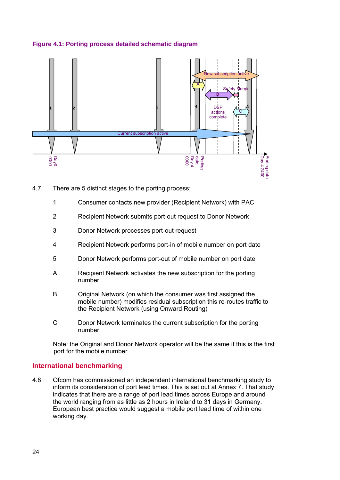



- 4.7 There are 5 distinct stages to the porting process:
	- 1 Consumer contacts new provider (Recipient Network) with PAC
	- 2 Recipient Network submits port-out request to Donor Network
	- 3 Donor Network processes port-out request
	- 4 Recipient Network performs port-in of mobile number on port date
	- 5 Donor Network performs port-out of mobile number on port date
	- A Recipient Network activates the new subscription for the porting number
	- B Original Network (on which the consumer was first assigned the mobile number) modifies residual subscription this re-routes traffic to the Recipient Network (using Onward Routing)
	- C Donor Network terminates the current subscription for the porting number

Note: the Original and Donor Network operator will be the same if this is the first port for the mobile number

### **International benchmarking**

4.8 Ofcom has commissioned an independent international benchmarking study to inform its consideration of port lead times. This is set out at Annex 7. That study indicates that there are a range of port lead times across Europe and around the world ranging from as little as 2 hours in Ireland to 31 days in Germany. European best practice would suggest a mobile port lead time of within one working day.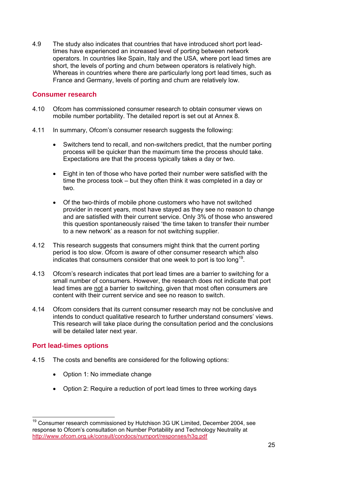4.9 The study also indicates that countries that have introduced short port leadtimes have experienced an increased level of porting between network operators. In countries like Spain, Italy and the USA, where port lead times are short, the levels of porting and churn between operators is relatively high. Whereas in countries where there are particularly long port lead times, such as France and Germany, levels of porting and churn are relatively low.

## **Consumer research**

- 4.10 Ofcom has commissioned consumer research to obtain consumer views on mobile number portability. The detailed report is set out at Annex 8.
- 4.11 In summary, Ofcom's consumer research suggests the following:
	- Switchers tend to recall, and non-switchers predict, that the number porting process will be quicker than the maximum time the process should take. Expectations are that the process typically takes a day or two.
	- Eight in ten of those who have ported their number were satisfied with the time the process took – but they often think it was completed in a day or two.
	- Of the two-thirds of mobile phone customers who have not switched provider in recent years, most have stayed as they see no reason to change and are satisfied with their current service. Only 3% of those who answered this question spontaneously raised 'the time taken to transfer their number to a new network' as a reason for not switching supplier.
- 4.12 This research suggests that consumers might think that the current porting period is too slow. Ofcom is aware of other consumer research which also indicates that consumers consider that one week to port is too long<sup>19</sup>.
- 4.13 Ofcom's research indicates that port lead times are a barrier to switching for a small number of consumers. However, the research does not indicate that port lead times are not a barrier to switching, given that most often consumers are content with their current service and see no reason to switch.
- 4.14 Ofcom considers that its current consumer research may not be conclusive and intends to conduct qualitative research to further understand consumers' views. This research will take place during the consultation period and the conclusions will be detailed later next year.

## **Port lead-times options**

- 4.15 The costs and benefits are considered for the following options:
	- Option 1: No immediate change
	- Option 2: Require a reduction of port lead times to three working days

 $19$  Consumer research commissioned by Hutchison 3G UK Limited, December 2004, see response to Ofcom's consultation on Number Portability and Technology Neutrality at http://www.ofcom.org.uk/consult/condocs/numport/responses/h3g.pdf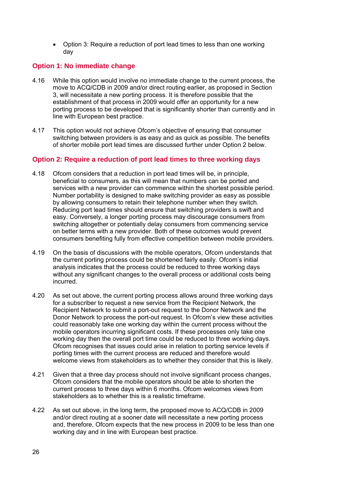• Option 3: Require a reduction of port lead times to less than one working day

## **Option 1: No immediate change**

- 4.16 While this option would involve no immediate change to the current process, the move to ACQ/CDB in 2009 and/or direct routing earlier, as proposed in Section 3, will necessitate a new porting process. It is therefore possible that the establishment of that process in 2009 would offer an opportunity for a new porting process to be developed that is significantly shorter than currently and in line with European best practice.
- 4.17 This option would not achieve Ofcom's objective of ensuring that consumer switching between providers is as easy and as quick as possible. The benefits of shorter mobile port lead times are discussed further under Option 2 below.

## **Option 2: Require a reduction of port lead times to three working days**

- 4.18 Ofcom considers that a reduction in port lead times will be, in principle, beneficial to consumers, as this will mean that numbers can be ported and services with a new provider can commence within the shortest possible period. Number portability is designed to make switching provider as easy as possible by allowing consumers to retain their telephone number when they switch. Reducing port lead times should ensure that switching providers is swift and easy. Conversely, a longer porting process may discourage consumers from switching altogether or potentially delay consumers from commencing service on better terms with a new provider. Both of these outcomes would prevent consumers benefiting fully from effective competition between mobile providers.
- 4.19 On the basis of discussions with the mobile operators, Ofcom understands that the current porting process could be shortened fairly easily. Ofcom's initial analysis indicates that the process could be reduced to three working days without any significant changes to the overall process or additional costs being incurred.
- 4.20 As set out above, the current porting process allows around three working days for a subscriber to request a new service from the Recipient Network, the Recipient Network to submit a port-out request to the Donor Network and the Donor Network to process the port-out request. In Ofcom's view these activities could reasonably take one working day within the current process without the mobile operators incurring significant costs. If these processes only take one working day then the overall port time could be reduced to three working days. Ofcom recognises that issues could arise in relation to porting service levels if porting times with the current process are reduced and therefore would welcome views from stakeholders as to whether they consider that this is likely.
- 4.21 Given that a three day process should not involve significant process changes, Ofcom considers that the mobile operators should be able to shorten the current process to three days within 6 months. Ofcom welcomes views from stakeholders as to whether this is a realistic timeframe.
- 4.22 As set out above, in the long term, the proposed move to ACQ/CDB in 2009 and/or direct routing at a sooner date will necessitate a new porting process and, therefore, Ofcom expects that the new process in 2009 to be less than one working day and in line with European best practice.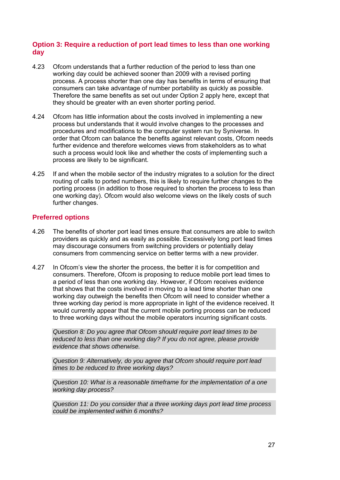## **Option 3: Require a reduction of port lead times to less than one working day**

- 4.23 Ofcom understands that a further reduction of the period to less than one working day could be achieved sooner than 2009 with a revised porting process. A process shorter than one day has benefits in terms of ensuring that consumers can take advantage of number portability as quickly as possible. Therefore the same benefits as set out under Option 2 apply here, except that they should be greater with an even shorter porting period.
- 4.24 Ofcom has little information about the costs involved in implementing a new process but understands that it would involve changes to the processes and procedures and modifications to the computer system run by Syniverse. In order that Ofcom can balance the benefits against relevant costs, Ofcom needs further evidence and therefore welcomes views from stakeholders as to what such a process would look like and whether the costs of implementing such a process are likely to be significant.
- 4.25 If and when the mobile sector of the industry migrates to a solution for the direct routing of calls to ported numbers, this is likely to require further changes to the porting process (in addition to those required to shorten the process to less than one working day). Ofcom would also welcome views on the likely costs of such further changes.

## **Preferred options**

- 4.26 The benefits of shorter port lead times ensure that consumers are able to switch providers as quickly and as easily as possible. Excessively long port lead times may discourage consumers from switching providers or potentially delay consumers from commencing service on better terms with a new provider.
- 4.27 In Ofcom's view the shorter the process, the better it is for competition and consumers. Therefore, Ofcom is proposing to reduce mobile port lead times to a period of less than one working day. However, if Ofcom receives evidence that shows that the costs involved in moving to a lead time shorter than one working day outweigh the benefits then Ofcom will need to consider whether a three working day period is more appropriate in light of the evidence received. It would currently appear that the current mobile porting process can be reduced to three working days without the mobile operators incurring significant costs.

*Question 8: Do you agree that Ofcom should require port lead times to be reduced to less than one working day? If you do not agree, please provide evidence that shows otherwise.* 

*Question 9: Alternatively, do you agree that Ofcom should require port lead times to be reduced to three working days?* 

*Question 10: What is a reasonable timeframe for the implementation of a one working day process?* 

*Question 11: Do you consider that a three working days port lead time process could be implemented within 6 months?*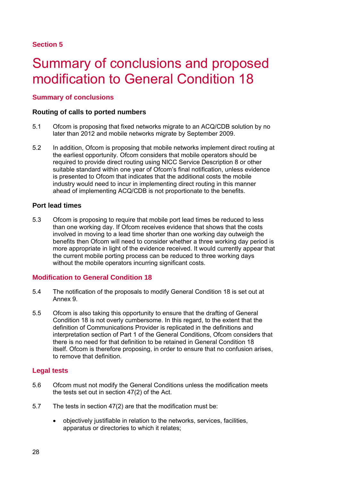## 5 Summary of conclusions and proposed modification to General Condition 18

## **Summary of conclusions**

## **Routing of calls to ported numbers**

- 5.1 Ofcom is proposing that fixed networks migrate to an ACQ/CDB solution by no later than 2012 and mobile networks migrate by September 2009.
- 5.2 In addition, Ofcom is proposing that mobile networks implement direct routing at the earliest opportunity. Ofcom considers that mobile operators should be required to provide direct routing using NICC Service Description 8 or other suitable standard within one year of Ofcom's final notification, unless evidence is presented to Ofcom that indicates that the additional costs the mobile industry would need to incur in implementing direct routing in this manner ahead of implementing ACQ/CDB is not proportionate to the benefits.

## **Port lead times**

5.3 Ofcom is proposing to require that mobile port lead times be reduced to less than one working day. If Ofcom receives evidence that shows that the costs involved in moving to a lead time shorter than one working day outweigh the benefits then Ofcom will need to consider whether a three working day period is more appropriate in light of the evidence received. It would currently appear that the current mobile porting process can be reduced to three working days without the mobile operators incurring significant costs.

## **Modification to General Condition 18**

- 5.4 The notification of the proposals to modify General Condition 18 is set out at Annex 9.
- 5.5 Ofcom is also taking this opportunity to ensure that the drafting of General Condition 18 is not overly cumbersome. In this regard, to the extent that the definition of Communications Provider is replicated in the definitions and interpretation section of Part 1 of the General Conditions, Ofcom considers that there is no need for that definition to be retained in General Condition 18 itself. Ofcom is therefore proposing, in order to ensure that no confusion arises, to remove that definition.

### **Legal tests**

- 5.6 Ofcom must not modify the General Conditions unless the modification meets the tests set out in section 47(2) of the Act.
- 5.7 The tests in section 47(2) are that the modification must be:
	- objectively justifiable in relation to the networks, services, facilities, apparatus or directories to which it relates;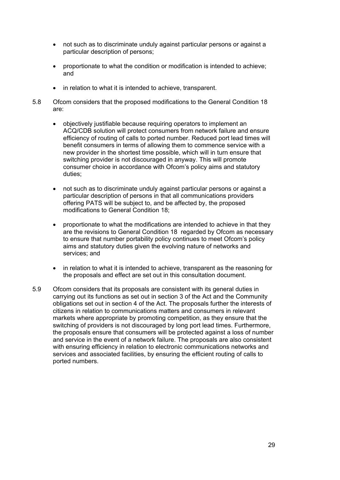- not such as to discriminate unduly against particular persons or against a particular description of persons;
- proportionate to what the condition or modification is intended to achieve; and
- in relation to what it is intended to achieve, transparent.
- 5.8 Ofcom considers that the proposed modifications to the General Condition 18 are:
	- objectively justifiable because requiring operators to implement an ACQ/CDB solution will protect consumers from network failure and ensure efficiency of routing of calls to ported number. Reduced port lead times will benefit consumers in terms of allowing them to commence service with a new provider in the shortest time possible, which will in turn ensure that switching provider is not discouraged in anyway. This will promote consumer choice in accordance with Ofcom's policy aims and statutory duties;
	- not such as to discriminate unduly against particular persons or against a particular description of persons in that all communications providers offering PATS will be subject to, and be affected by, the proposed modifications to General Condition 18;
	- proportionate to what the modifications are intended to achieve in that they are the revisions to General Condition 18 regarded by Ofcom as necessary to ensure that number portability policy continues to meet Ofcom's policy aims and statutory duties given the evolving nature of networks and services; and
	- in relation to what it is intended to achieve, transparent as the reasoning for the proposals and effect are set out in this consultation document.
- 5.9 Ofcom considers that its proposals are consistent with its general duties in carrying out its functions as set out in section 3 of the Act and the Community obligations set out in section 4 of the Act. The proposals further the interests of citizens in relation to communications matters and consumers in relevant markets where appropriate by promoting competition, as they ensure that the switching of providers is not discouraged by long port lead times. Furthermore, the proposals ensure that consumers will be protected against a loss of number and service in the event of a network failure. The proposals are also consistent with ensuring efficiency in relation to electronic communications networks and services and associated facilities, by ensuring the efficient routing of calls to ported numbers.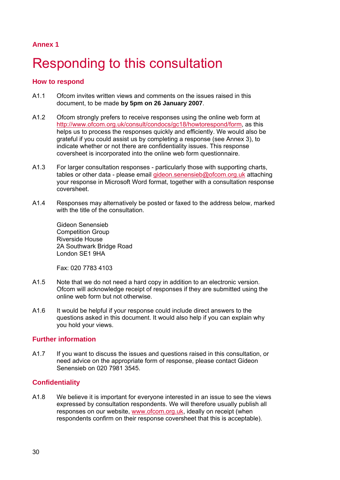## **Annex 1**

## Responding to this consultation

## **How to respond**

- A1.1 Ofcom invites written views and comments on the issues raised in this document, to be made **by 5pm on 26 January 2007**.
- A1.2 Ofcom strongly prefers to receive responses using the online web form at http://www.ofcom.org.uk/consult/condocs/gc18/howtorespond/form, as this helps us to process the responses quickly and efficiently. We would also be grateful if you could assist us by completing a response (see Annex 3), to indicate whether or not there are confidentiality issues. This response coversheet is incorporated into the online web form questionnaire.
- A1.3 For larger consultation responses particularly those with supporting charts, tables or other data - please email gideon.senensieb@ofcom.org.uk attaching your response in Microsoft Word format, together with a consultation response coversheet.
- A1.4 Responses may alternatively be posted or faxed to the address below, marked with the title of the consultation

Gideon Senensieb Competition Group Riverside House 2A Southwark Bridge Road London SE1 9HA

Fax: 020 7783 4103

- A1.5 Note that we do not need a hard copy in addition to an electronic version. Ofcom will acknowledge receipt of responses if they are submitted using the online web form but not otherwise.
- A1.6 It would be helpful if your response could include direct answers to the questions asked in this document. It would also help if you can explain why you hold your views.

## **Further information**

A1.7 If you want to discuss the issues and questions raised in this consultation, or need advice on the appropriate form of response, please contact Gideon Senensieb on 020 7981 3545.

### **Confidentiality**

A1.8 We believe it is important for everyone interested in an issue to see the views expressed by consultation respondents. We will therefore usually publish all responses on our website, www.ofcom.org.uk, ideally on receipt (when respondents confirm on their response coversheet that this is acceptable).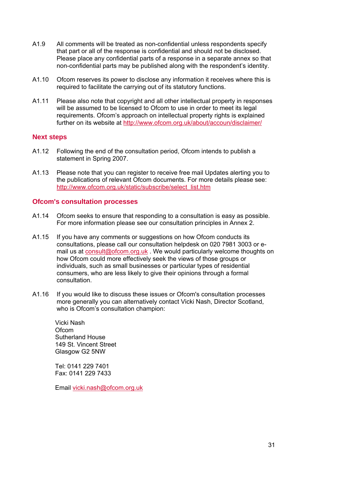- A1.9 All comments will be treated as non-confidential unless respondents specify that part or all of the response is confidential and should not be disclosed. Please place any confidential parts of a response in a separate annex so that non-confidential parts may be published along with the respondent's identity.
- A1.10 Ofcom reserves its power to disclose any information it receives where this is required to facilitate the carrying out of its statutory functions.
- A1.11 Please also note that copyright and all other intellectual property in responses will be assumed to be licensed to Ofcom to use in order to meet its legal requirements. Ofcom's approach on intellectual property rights is explained further on its website at http://www.ofcom.org.uk/about/accoun/disclaimer/

### **Next steps**

- A1.12 Following the end of the consultation period, Ofcom intends to publish a statement in Spring 2007.
- A1.13 Please note that you can register to receive free mail Updates alerting you to the publications of relevant Ofcom documents. For more details please see: http://www.ofcom.org.uk/static/subscribe/select\_list.htm

### **Ofcom's consultation processes**

- A1.14 Ofcom seeks to ensure that responding to a consultation is easy as possible. For more information please see our consultation principles in Annex 2.
- A1.15 If you have any comments or suggestions on how Ofcom conducts its consultations, please call our consultation helpdesk on 020 7981 3003 or email us at consult@ofcom.org.uk . We would particularly welcome thoughts on how Ofcom could more effectively seek the views of those groups or individuals, such as small businesses or particular types of residential consumers, who are less likely to give their opinions through a formal consultation.
- A1.16 If you would like to discuss these issues or Ofcom's consultation processes more generally you can alternatively contact Vicki Nash, Director Scotland, who is Ofcom's consultation champion:

Vicki Nash **Ofcom** Sutherland House 149 St. Vincent Street Glasgow G2 5NW

Tel: 0141 229 7401 Fax: 0141 229 7433

Email vicki.nash@ofcom.org.uk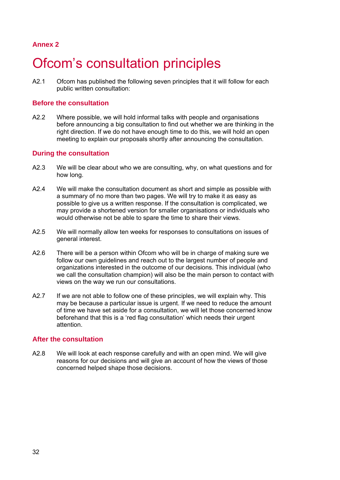## **Annex 2**

## **Ofcom's consultation principles**

A2.1 Ofcom has published the following seven principles that it will follow for each public written consultation:

### **Before the consultation**

A2.2 Where possible, we will hold informal talks with people and organisations before announcing a big consultation to find out whether we are thinking in the right direction. If we do not have enough time to do this, we will hold an open meeting to explain our proposals shortly after announcing the consultation.

## **During the consultation**

- A2.3 We will be clear about who we are consulting, why, on what questions and for how long.
- A2.4 We will make the consultation document as short and simple as possible with a summary of no more than two pages. We will try to make it as easy as possible to give us a written response. If the consultation is complicated, we may provide a shortened version for smaller organisations or individuals who would otherwise not be able to spare the time to share their views.
- A2.5 We will normally allow ten weeks for responses to consultations on issues of general interest.
- A2.6 There will be a person within Ofcom who will be in charge of making sure we follow our own guidelines and reach out to the largest number of people and organizations interested in the outcome of our decisions. This individual (who we call the consultation champion) will also be the main person to contact with views on the way we run our consultations.
- A2.7 If we are not able to follow one of these principles, we will explain why. This may be because a particular issue is urgent. If we need to reduce the amount of time we have set aside for a consultation, we will let those concerned know beforehand that this is a 'red flag consultation' which needs their urgent attention.

### **After the consultation**

A2.8 We will look at each response carefully and with an open mind. We will give reasons for our decisions and will give an account of how the views of those concerned helped shape those decisions.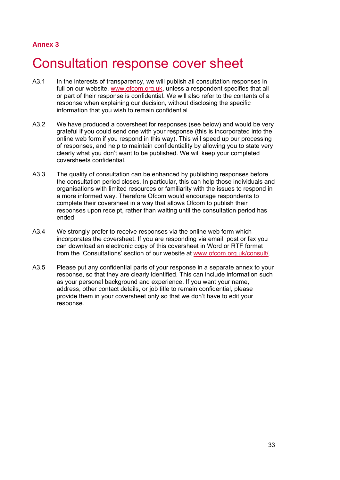## **Annex 3**

## 3 Consultation response cover sheet

- A3.1 In the interests of transparency, we will publish all consultation responses in full on our website, www.ofcom.org.uk, unless a respondent specifies that all or part of their response is confidential. We will also refer to the contents of a response when explaining our decision, without disclosing the specific information that you wish to remain confidential.
- A3.2 We have produced a coversheet for responses (see below) and would be very grateful if you could send one with your response (this is incorporated into the online web form if you respond in this way). This will speed up our processing of responses, and help to maintain confidentiality by allowing you to state very clearly what you don't want to be published. We will keep your completed coversheets confidential.
- A3.3 The quality of consultation can be enhanced by publishing responses before the consultation period closes. In particular, this can help those individuals and organisations with limited resources or familiarity with the issues to respond in a more informed way. Therefore Ofcom would encourage respondents to complete their coversheet in a way that allows Ofcom to publish their responses upon receipt, rather than waiting until the consultation period has ended.
- A3.4 We strongly prefer to receive responses via the online web form which incorporates the coversheet. If you are responding via email, post or fax you can download an electronic copy of this coversheet in Word or RTF format from the 'Consultations' section of our website at www.ofcom.org.uk/consult/.
- A3.5 Please put any confidential parts of your response in a separate annex to your response, so that they are clearly identified. This can include information such as your personal background and experience. If you want your name, address, other contact details, or job title to remain confidential, please provide them in your coversheet only so that we don't have to edit your response.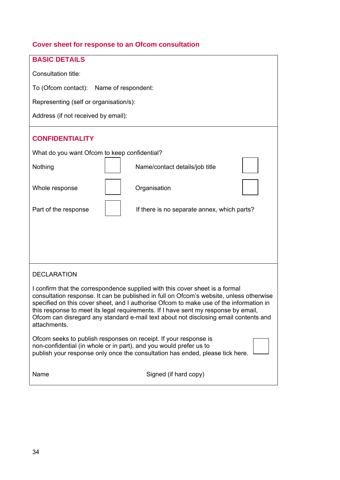## **Cover sheet for response to an Ofcom consultation**

| <b>BASIC DETAILS</b>                                                                                                                                                                                                                                                                                                                                                                                                                                            |  |  |  |  |  |  |  |  |
|-----------------------------------------------------------------------------------------------------------------------------------------------------------------------------------------------------------------------------------------------------------------------------------------------------------------------------------------------------------------------------------------------------------------------------------------------------------------|--|--|--|--|--|--|--|--|
| Consultation title:                                                                                                                                                                                                                                                                                                                                                                                                                                             |  |  |  |  |  |  |  |  |
| To (Ofcom contact): Name of respondent:                                                                                                                                                                                                                                                                                                                                                                                                                         |  |  |  |  |  |  |  |  |
| Representing (self or organisation/s):                                                                                                                                                                                                                                                                                                                                                                                                                          |  |  |  |  |  |  |  |  |
| Address (if not received by email):                                                                                                                                                                                                                                                                                                                                                                                                                             |  |  |  |  |  |  |  |  |
| <b>CONFIDENTIALITY</b>                                                                                                                                                                                                                                                                                                                                                                                                                                          |  |  |  |  |  |  |  |  |
| What do you want Ofcom to keep confidential?                                                                                                                                                                                                                                                                                                                                                                                                                    |  |  |  |  |  |  |  |  |
| Nothing<br>Name/contact details/job title                                                                                                                                                                                                                                                                                                                                                                                                                       |  |  |  |  |  |  |  |  |
| Organisation<br>Whole response                                                                                                                                                                                                                                                                                                                                                                                                                                  |  |  |  |  |  |  |  |  |
| Part of the response<br>If there is no separate annex, which parts?                                                                                                                                                                                                                                                                                                                                                                                             |  |  |  |  |  |  |  |  |
|                                                                                                                                                                                                                                                                                                                                                                                                                                                                 |  |  |  |  |  |  |  |  |
| <b>DECLARATION</b>                                                                                                                                                                                                                                                                                                                                                                                                                                              |  |  |  |  |  |  |  |  |
| I confirm that the correspondence supplied with this cover sheet is a formal<br>consultation response. It can be published in full on Ofcom's website, unless otherwise<br>specified on this cover sheet, and I authorise Ofcom to make use of the information in<br>this response to meet its legal requirements. If I have sent my response by email,<br>Ofcom can disregard any standard e-mail text about not disclosing email contents and<br>attachments. |  |  |  |  |  |  |  |  |
| Ofcom seeks to publish responses on receipt. If your response is<br>non-confidential (in whole or in part), and you would prefer us to<br>publish your response only once the consultation has ended, please tick here.                                                                                                                                                                                                                                         |  |  |  |  |  |  |  |  |
| Signed (if hard copy)<br>Name                                                                                                                                                                                                                                                                                                                                                                                                                                   |  |  |  |  |  |  |  |  |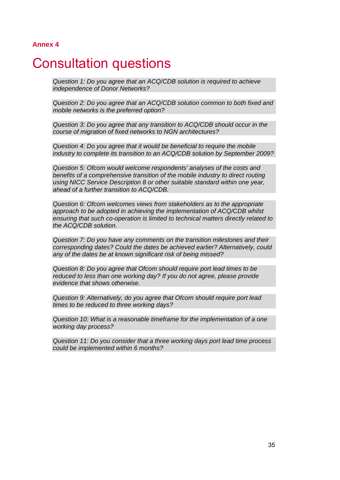#### **Annex 4**

## **Consultation questions**

*Question 1: Do you agree that an ACQ/CDB solution is required to achieve independence of Donor Networks?* 

*Question 2: Do you agree that an ACQ/CDB solution common to both fixed and mobile networks is the preferred option?* 

*Question 3: Do you agree that any transition to ACQ/CDB should occur in the course of migration of fixed networks to NGN architectures?* 

*Question 4: Do you agree that it would be beneficial to require the mobile industry to complete its transition to an ACQ/CDB solution by September 2009?* 

*Question 5: Ofcom would welcome respondents' analyses of the costs and benefits of a comprehensive transition of the mobile industry to direct routing using NICC Service Description 8 or other suitable standard within one year, ahead of a further transition to ACQ/CDB.* 

*Question 6: Ofcom welcomes views from stakeholders as to the appropriate approach to be adopted in achieving the implementation of ACQ/CDB whilst ensuring that such co-operation is limited to technical matters directly related to the ACQ/CDB solution.* 

*Question 7: Do you have any comments on the transition milestones and their corresponding dates? Could the dates be achieved earlier? Alternatively, could any of the dates be at known significant risk of being missed?* 

*Question 8: Do you agree that Ofcom should require port lead times to be reduced to less than one working day? If you do not agree, please provide evidence that shows otherwise.* 

*Question 9: Alternatively, do you agree that Ofcom should require port lead times to be reduced to three working days?* 

*Question 10: What is a reasonable timeframe for the implementation of a one working day process?* 

*Question 11: Do you consider that a three working days port lead time process could be implemented within 6 months?*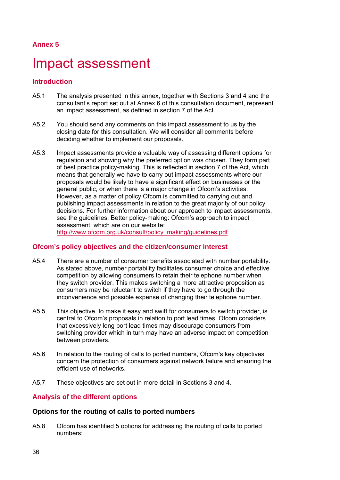# **Annex 5**

# Impact assessment

# **Introduction**

- A5.1 The analysis presented in this annex, together with Sections 3 and 4 and the consultant's report set out at Annex 6 of this consultation document, represent an impact assessment, as defined in section 7 of the Act.
- A5.2 You should send any comments on this impact assessment to us by the closing date for this consultation. We will consider all comments before deciding whether to implement our proposals.
- A5.3 Impact assessments provide a valuable way of assessing different options for regulation and showing why the preferred option was chosen. They form part of best practice policy-making. This is reflected in section 7 of the Act, which means that generally we have to carry out impact assessments where our proposals would be likely to have a significant effect on businesses or the general public, or when there is a major change in Ofcom's activities. However, as a matter of policy Ofcom is committed to carrying out and publishing impact assessments in relation to the great majority of our policy decisions. For further information about our approach to impact assessments, see the guidelines, Better policy-making: Ofcom's approach to impact assessment, which are on our website: http://www.ofcom.org.uk/consult/policy\_making/guidelines.pdf

# **Ofcom's policy objectives and the citizen/consumer interest**

- A5.4 There are a number of consumer benefits associated with number portability. As stated above, number portability facilitates consumer choice and effective competition by allowing consumers to retain their telephone number when they switch provider. This makes switching a more attractive proposition as consumers may be reluctant to switch if they have to go through the inconvenience and possible expense of changing their telephone number.
- A5.5 This objective, to make it easy and swift for consumers to switch provider, is central to Ofcom's proposals in relation to port lead times. Ofcom considers that excessively long port lead times may discourage consumers from switching provider which in turn may have an adverse impact on competition between providers.
- A5.6 In relation to the routing of calls to ported numbers, Ofcom's key objectives concern the protection of consumers against network failure and ensuring the efficient use of networks.
- A5.7 These objectives are set out in more detail in Sections 3 and 4.

# **Analysis of the different options**

### **Options for the routing of calls to ported numbers**

A5.8 Ofcom has identified 5 options for addressing the routing of calls to ported numbers: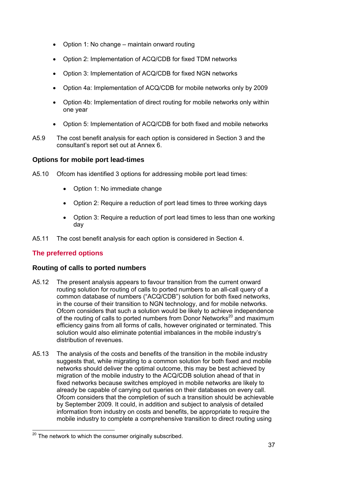- Option 1: No change maintain onward routing
- Option 2: Implementation of ACQ/CDB for fixed TDM networks
- Option 3: Implementation of ACQ/CDB for fixed NGN networks
- Option 4a: Implementation of ACQ/CDB for mobile networks only by 2009
- Option 4b: Implementation of direct routing for mobile networks only within one year
- Option 5: Implementation of ACQ/CDB for both fixed and mobile networks
- A5.9 The cost benefit analysis for each option is considered in Section 3 and the consultant's report set out at Annex 6.

# **Options for mobile port lead-times**

- A5.10 Ofcom has identified 3 options for addressing mobile port lead times:
	- Option 1: No immediate change
	- Option 2: Require a reduction of port lead times to three working days
	- Option 3: Require a reduction of port lead times to less than one working day
- A5.11 The cost benefit analysis for each option is considered in Section 4.

# **The preferred options**

# **Routing of calls to ported numbers**

- A5.12 The present analysis appears to favour transition from the current onward routing solution for routing of calls to ported numbers to an all-call query of a common database of numbers ("ACQ/CDB") solution for both fixed networks, in the course of their transition to NGN technology, and for mobile networks. Ofcom considers that such a solution would be likely to achieve independence of the routing of calls to ported numbers from Donor Networks<sup>20</sup> and maximum efficiency gains from all forms of calls, however originated or terminated. This solution would also eliminate potential imbalances in the mobile industry's distribution of revenues.
- A5.13 The analysis of the costs and benefits of the transition in the mobile industry suggests that, while migrating to a common solution for both fixed and mobile networks should deliver the optimal outcome, this may be best achieved by migration of the mobile industry to the ACQ/CDB solution ahead of that in fixed networks because switches employed in mobile networks are likely to already be capable of carrying out queries on their databases on every call. Ofcom considers that the completion of such a transition should be achievable by September 2009. It could, in addition and subject to analysis of detailed information from industry on costs and benefits, be appropriate to require the mobile industry to complete a comprehensive transition to direct routing using

 $\overline{a}$ <sup>20</sup> The network to which the consumer originally subscribed.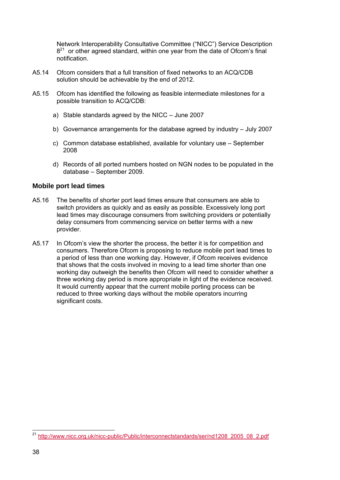Network Interoperability Consultative Committee ("NICC") Service Description  $8<sup>21</sup>$  or other agreed standard, within one year from the date of Ofcom's final notification.

- A5.14 Ofcom considers that a full transition of fixed networks to an ACQ/CDB solution should be achievable by the end of 2012.
- A5.15 Ofcom has identified the following as feasible intermediate milestones for a possible transition to ACQ/CDB:
	- a) Stable standards agreed by the NICC June 2007
	- b) Governance arrangements for the database agreed by industry July 2007
	- c) Common database established, available for voluntary use September 2008
	- d) Records of all ported numbers hosted on NGN nodes to be populated in the database – September 2009.

### **Mobile port lead times**

- A5.16 The benefits of shorter port lead times ensure that consumers are able to switch providers as quickly and as easily as possible. Excessively long port lead times may discourage consumers from switching providers or potentially delay consumers from commencing service on better terms with a new provider.
- A5.17 In Ofcom's view the shorter the process, the better it is for competition and consumers. Therefore Ofcom is proposing to reduce mobile port lead times to a period of less than one working day. However, if Ofcom receives evidence that shows that the costs involved in moving to a lead time shorter than one working day outweigh the benefits then Ofcom will need to consider whether a three working day period is more appropriate in light of the evidence received. It would currently appear that the current mobile porting process can be reduced to three working days without the mobile operators incurring significant costs.

 $\overline{a}$ <sup>21</sup> http://www.nicc.org.uk/nicc-public/Public/interconnectstandards/ser/nd1208\_2005\_08\_2.pdf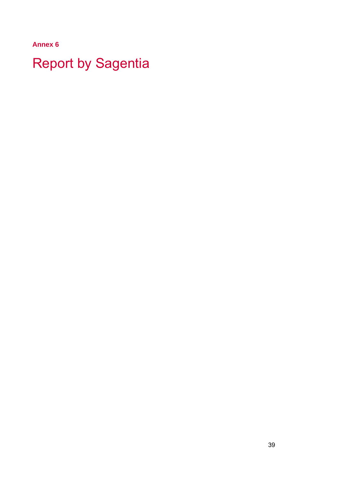**Annex 6** 

**Report by Sagentia**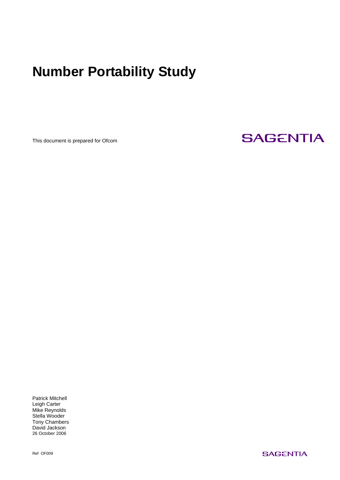# **Number Portability Study**

This document is prepared for Ofcom

# **SAGENTIA**

Patrick Mitchell Leigh Carter Mike Reynolds Stella Wooder Tony Chambers David Jackson 26 October 2006

Ref OF009

**SAGENTIA**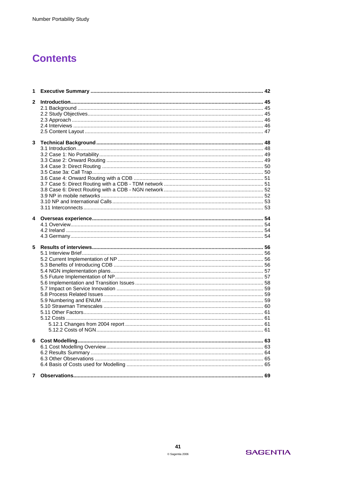# **Contents**

| 1            |  |
|--------------|--|
| $\mathbf{2}$ |  |
|              |  |
|              |  |
|              |  |
|              |  |
|              |  |
| 3            |  |
|              |  |
|              |  |
|              |  |
|              |  |
|              |  |
|              |  |
|              |  |
|              |  |
|              |  |
|              |  |
|              |  |
| 4            |  |
|              |  |
|              |  |
|              |  |
| 5            |  |
|              |  |
|              |  |
|              |  |
|              |  |
|              |  |
|              |  |
|              |  |
|              |  |
|              |  |
|              |  |
|              |  |
|              |  |
|              |  |
|              |  |
| 6            |  |
|              |  |
|              |  |
|              |  |
|              |  |
| $\mathbf{7}$ |  |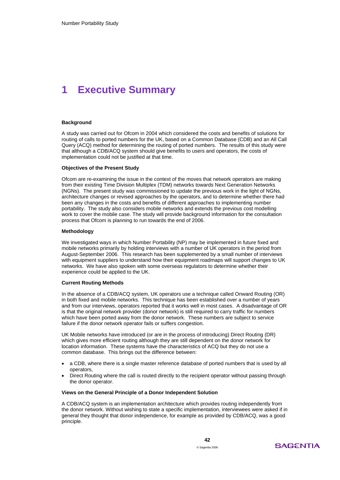# **1 Executive Summary**

### **Background**

A study was carried out for Ofcom in 2004 which considered the costs and benefits of solutions for routing of calls to ported numbers for the UK, based on a Common Database (CDB) and an All Call Query (ACQ) method for determining the routing of ported numbers. The results of this study were that although a CDB/ACQ system should give benefits to users and operators, the costs of implementation could not be justified at that time.

### **Objectives of the Present Study**

Ofcom are re-examining the issue in the context of the moves that network operators are making from their existing Time Division Multiplex (TDM) networks towards Next Generation Networks (NGNs). The present study was commissioned to update the previous work in the light of NGNs, architecture changes or revised approaches by the operators, and to determine whether there had been any changes in the costs and benefits of different approaches to implementing number portability. The study also considers mobile networks and extends the previous cost modelling work to cover the mobile case. The study will provide background information for the consultation process that Ofcom is planning to run towards the end of 2006.

### **Methodology**

We investigated ways in which Number Portability (NP) may be implemented in future fixed and mobile networks primarily by holding interviews with a number of UK operators in the period from August-September 2006. This research has been supplemented by a small number of interviews with equipment suppliers to understand how their equipment roadmaps will support changes to UK networks. We have also spoken with some overseas regulators to determine whether their experience could be applied to the UK.

#### **Current Routing Methods**

In the absence of a CDB/ACQ system, UK operators use a technique called Onward Routing (OR) in both fixed and mobile networks. This technique has been established over a number of years and from our interviews, operators reported that it works well in most cases. A disadvantage of OR is that the original network provider (donor network) is still required to carry traffic for numbers which have been ported away from the donor network. These numbers are subject to service failure if the donor network operator fails or suffers congestion.

UK Mobile networks have introduced (or are in the process of introducing) Direct Routing (DR) which gives more efficient routing although they are still dependent on the donor network for location information. These systems have the characteristics of ACQ but they do not use a common database. This brings out the difference between:

- a CDB, where there is a single master reference database of ported numbers that is used by all operators,
- Direct Routing where the call is routed directly to the recipient operator without passing through the donor operator.

### **Views on the General Principle of a Donor Independent Solution**

A CDB/ACQ system is an implementation architecture which provides routing independently from the donor network. Without wishing to state a specific implementation, interviewees were asked if in general they thought that donor independence, for example as provided by CDB/ACQ, was a good principle.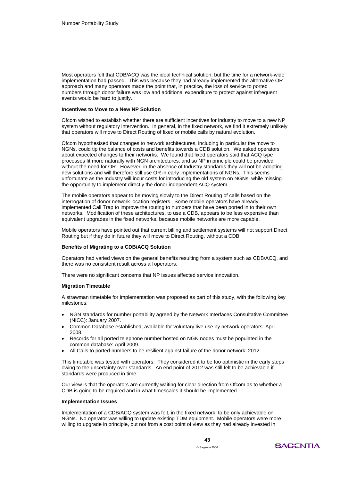Most operators felt that CDB/ACQ was the ideal technical solution, but the time for a network-wide implementation had passed. This was because they had already implemented the alternative OR approach and many operators made the point that, in practice, the loss of service to ported numbers through donor failure was low and additional expenditure to protect against infrequent events would be hard to justify.

#### **Incentives to Move to a New NP Solution**

Ofcom wished to establish whether there are sufficient incentives for industry to move to a new NP system without regulatory intervention. In general, in the fixed network, we find it extremely unlikely that operators will move to Direct Routing of fixed or mobile calls by natural evolution.

Ofcom hypothesised that changes to network architectures, including in particular the move to NGNs, could tip the balance of costs and benefits towards a CDB solution. We asked operators about expected changes to their networks. We found that fixed operators said that ACQ type processes fit more naturally with NGN architectures, and so NP in principle could be provided without the need for OR. However, in the absence of Industry standards they will not be adopting new solutions and will therefore still use OR in early implementations of NGNs. This seems unfortunate as the Industry will incur costs for introducing the old system on NGNs, while missing the opportunity to implement directly the donor independent ACQ system.

The mobile operators appear to be moving slowly to the Direct Routing of calls based on the interrogation of donor network location registers. Some mobile operators have already implemented Call Trap to improve the routing to numbers that have been ported in to their own networks. Modification of these architectures, to use a CDB, appears to be less expensive than equivalent upgrades in the fixed networks, because mobile networks are more capable.

Mobile operators have pointed out that current billing and settlement systems will not support Direct Routing but if they do in future they will move to Direct Routing, without a CDB.

#### **Benefits of Migrating to a CDB/ACQ Solution**

Operators had varied views on the general benefits resulting from a system such as CDB/ACQ, and there was no consistent result across all operators.

There were no significant concerns that NP issues affected service innovation.

#### **Migration Timetable**

A strawman timetable for implementation was proposed as part of this study, with the following key milestones:

- NGN standards for number portability agreed by the Network Interfaces Consultative Committee (NICC): January 2007.
- Common Database established, available for voluntary live use by network operators: April 2008.
- Records for all ported telephone number hosted on NGN nodes must be populated in the common database: April 2009.
- All Calls to ported numbers to be resilient against failure of the donor network: 2012.

This timetable was tested with operators. They considered it to be too optimistic in the early steps owing to the uncertainty over standards. An end point of 2012 was still felt to be achievable if standards were produced in time.

Our view is that the operators are currently waiting for clear direction from Ofcom as to whether a CDB is going to be required and in what timescales it should be implemented.

### **Implementation Issues**

Implementation of a CDB/ACQ system was felt, in the fixed network, to be only achievable on NGNs. No operator was willing to update existing TDM equipment. Mobile operators were more willing to upgrade in principle, but not from a cost point of view as they had already invested in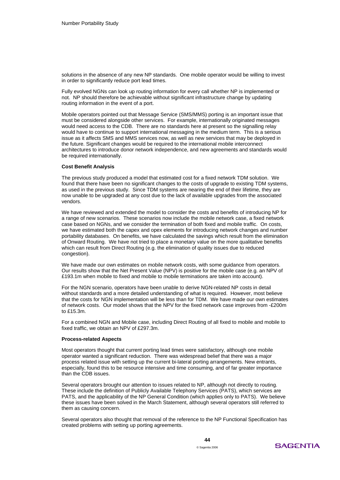solutions in the absence of any new NP standards. One mobile operator would be willing to invest in order to significantly reduce port lead times.

Fully evolved NGNs can look up routing information for every call whether NP is implemented or not. NP should therefore be achievable without significant infrastructure change by updating routing information in the event of a port.

Mobile operators pointed out that Message Service (SMS/MMS) porting is an important issue that must be considered alongside other services. For example, internationally originated messages would need access to the CDB. There are no standards here at present so the signalling relay would have to continue to support international messaging in the medium term. This is a serious issue as it affects SMS and MMS services now, as well as new services that may be deployed in the future. Significant changes would be required to the international mobile interconnect architectures to introduce donor network independence, and new agreements and standards would be required internationally.

### **Cost Benefit Analysis**

The previous study produced a model that estimated cost for a fixed network TDM solution. We found that there have been no significant changes to the costs of upgrade to existing TDM systems, as used in the previous study. Since TDM systems are nearing the end of their lifetime, they are now unable to be upgraded at any cost due to the lack of available upgrades from the associated vendors.

We have reviewed and extended the model to consider the costs and benefits of introducing NP for a range of new scenarios. These scenarios now include the mobile network case, a fixed network case based on NGNs, and we consider the termination of both fixed and mobile traffic. On costs, we have estimated both the capex and opex elements for introducing network changes and number portability databases. On benefits, we have calculated the savings which result from the elimination of Onward Routing. We have not tried to place a monetary value on the more qualitative benefits which can result from Direct Routing (e.g. the elimination of quality issues due to reduced congestion).

We have made our own estimates on mobile network costs, with some guidance from operators. Our results show that the Net Present Value (NPV) is positive for the mobile case (e.g. an NPV of £193.1m when mobile to fixed and mobile to mobile terminations are taken into account).

For the NGN scenario, operators have been unable to derive NGN-related NP costs in detail without standards and a more detailed understanding of what is required. However, most believe that the costs for NGN implementation will be less than for TDM. We have made our own estimates of network costs. Our model shows that the NPV for the fixed network case improves from -£200m to £15.3m.

For a combined NGN and Mobile case, including Direct Routing of all fixed to mobile and mobile to fixed traffic, we obtain an NPV of £297.3m.

### **Process-related Aspects**

Most operators thought that current porting lead times were satisfactory, although one mobile operator wanted a significant reduction. There was widespread belief that there was a major process related issue with setting up the current bi-lateral porting arrangements. New entrants, especially, found this to be resource intensive and time consuming, and of far greater importance than the CDB issues.

Several operators brought our attention to issues related to NP, although not directly to routing. These include the definition of Publicly Available Telephony Services (PATS), which services are PATS, and the applicability of the NP General Condition (which applies only to PATS). We believe these issues have been solved in the March Statement, although several operators still referred to them as causing concern.

Several operators also thought that removal of the reference to the NP Functional Specification has created problems with setting up porting agreements.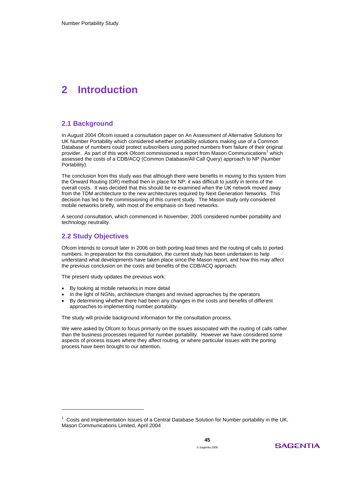# **2 Introduction**

### **2.1 Background**

In August 2004 Ofcom issued a consultation paper on An Assessment of Alternative Solutions for UK Number Portability which considered whether portability solutions making use of a Common Database of numbers could protect subscribers using ported numbers from failure of their original provider. As part of this work Ofcom commissioned a report from Mason Communications<sup>1</sup> which assessed the costs of a CDB/ACQ (Common Database/All Call Query) approach to NP (Number Portability).

The conclusion from this study was that although there were benefits in moving to this system from the Onward Routing (OR) method then in place for NP, it was difficult to justify in terms of the overall costs. It was decided that this should be re-examined when the UK network moved away from the TDM architecture to the new architectures required by Next Generation Networks. This decision has led to the commissioning of this current study. The Mason study only considered mobile networks briefly, with most of the emphasis on fixed networks.

A second consultation, which commenced in November, 2005 considered number portability and technology neutrality.

### **2.2 Study Objectives**

-

Ofcom intends to consult later in 2006 on both porting lead times and the routing of calls to ported numbers. In preparation for this consultation, the current study has been undertaken to help understand what developments have taken place since the Mason report, and how this may affect the previous conclusion on the costs and benefits of the CDB/ACQ approach.

The present study updates the previous work:

- By looking at mobile networks in more detail
- In the light of NGNs, architecture changes and revised approaches by the operators
- By determining whether there had been any changes in the costs and benefits of different approaches to implementing number portability.

The study will provide background information for the consultation process.

We were asked by Ofcom to focus primarily on the issues associated with the routing of calls rather than the business processes required for number portability. However we have considered some aspects of process issues where they affect routing, or where particular issues with the porting process have been brought to our attention.



 $1$  Costs and Implementation Issues of a Central Database Solution for Number portability in the UK, Mason Communications Limited, April 2004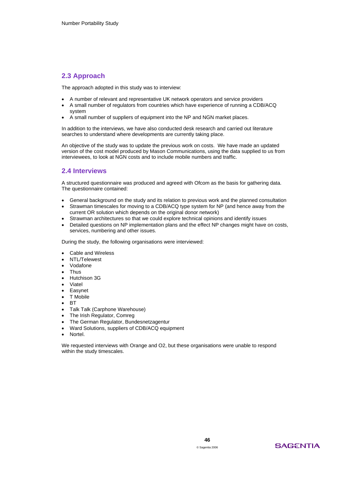### **2.3 Approach**

The approach adopted in this study was to interview:

- A number of relevant and representative UK network operators and service providers
- A small number of regulators from countries which have experience of running a CDB/ACQ system
- A small number of suppliers of equipment into the NP and NGN market places.

In addition to the interviews, we have also conducted desk research and carried out literature searches to understand where developments are currently taking place.

An objective of the study was to update the previous work on costs. We have made an updated version of the cost model produced by Mason Communications, using the data supplied to us from interviewees, to look at NGN costs and to include mobile numbers and traffic.

### **2.4 Interviews**

A structured questionnaire was produced and agreed with Ofcom as the basis for gathering data. The questionnaire contained:

- General background on the study and its relation to previous work and the planned consultation
- Strawman timescales for moving to a CDB/ACQ type system for NP (and hence away from the current OR solution which depends on the original donor network)
- Strawman architectures so that we could explore technical opinions and identify issues
- Detailed questions on NP implementation plans and the effect NP changes might have on costs, services, numbering and other issues.

During the study, the following organisations were interviewed:

- Cable and Wireless
- NTL/Telewest
- Vodafone
- Thus
- Hutchison 3G
- Viatel
- Easynet
- T Mobile
- BT
- Talk Talk (Carphone Warehouse)
- The Irish Regulator, Comreg
- The German Regulator, Bundesnetzagentur
- Ward Solutions, suppliers of CDB/ACQ equipment
- Nortel.

We requested interviews with Orange and O2, but these organisations were unable to respond within the study timescales.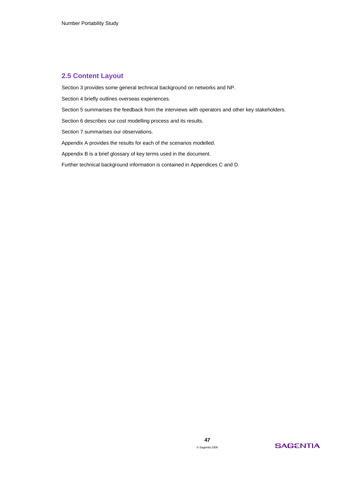### **2.5 Content Layout**

Section 3 provides some general technical background on networks and NP.

Section 4 briefly outlines overseas experiences.

Section 5 summarises the feedback from the interviews with operators and other key stakeholders.

Section 6 describes our cost modelling process and its results.

Section 7 summarises our observations.

Appendix A provides the results for each of the scenarios modelled.

Appendix B is a brief glossary of key terms used in the document.

Further technical background information is contained in Appendices C and D.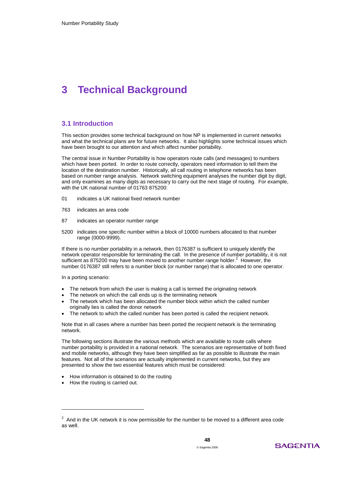# **3 Technical Background**

### **3.1 Introduction**

This section provides some technical background on how NP is implemented in current networks and what the technical plans are for future networks. It also highlights some technical issues which have been brought to our attention and which affect number portability.

The central issue in Number Portability is how operators route calls (and messages) to numbers which have been ported. In order to route correctly, operators need information to tell them the location of the destination number. Historically, all call routing in telephone networks has been based on number range analysis. Network switching equipment analyses the number digit by digit, and only examines as many digits as necessary to carry out the next stage of routing. For example, with the UK national number of 01763 875200:

- 01 indicates a UK national fixed network number
- 763 indicates an area code
- 87 indicates an operator number range
- 5200 indicates one specific number within a block of 10000 numbers allocated to that number range (0000-9999).

If there is no number portability in a network, then 0176387 is sufficient to uniquely identify the network operator responsible for terminating the call. In the presence of number portability, it is not sufficient as 875200 may have been moved to another number range holder. $^2$  However, the number 0176387 still refers to a number block (or number range) that is allocated to one operator.

In a porting scenario:

- The network from which the user is making a call is termed the originating network
- The network on which the call ends up is the terminating network
- The network which has been allocated the number block within which the called number originally lies is called the donor network
- The network to which the called number has been ported is called the recipient network.

Note that in all cases where a number has been ported the recipient network is the terminating network.

The following sections illustrate the various methods which are available to route calls where number portability is provided in a national network. The scenarios are representative of both fixed and mobile networks, although they have been simplified as far as possible to illustrate the main features. Not all of the scenarios are actually implemented in current networks, but they are presented to show the two essential features which must be considered:

- How information is obtained to do the routing
- How the routing is carried out.

-



 $2$  And in the UK network it is now permissible for the number to be moved to a different area code as well.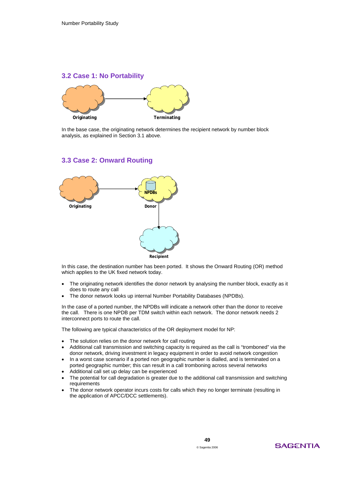### **3.2 Case 1: No Portability**



In the base case, the originating network determines the recipient network by number block analysis, as explained in Section 3.1 above.

### **3.3 Case 2: Onward Routing**



In this case, the destination number has been ported. It shows the Onward Routing (OR) method which applies to the UK fixed network today.

- The originating network identifies the donor network by analysing the number block, exactly as it does to route any call
- The donor network looks up internal Number Portability Databases (NPDBs).

In the case of a ported number, the NPDBs will indicate a network other than the donor to receive the call. There is one NPDB per TDM switch within each network. The donor network needs 2 interconnect ports to route the call.

The following are typical characteristics of the OR deployment model for NP:

- The solution relies on the donor network for call routing
- Additional call transmission and switching capacity is required as the call is "tromboned" via the donor network, driving investment in legacy equipment in order to avoid network congestion
- In a worst case scenario if a ported non geographic number is dialled, and is terminated on a ported geographic number; this can result in a call tromboning across several networks
- Additional call set up delay can be experienced
- The potential for call degradation is greater due to the additional call transmission and switching requirements
- The donor network operator incurs costs for calls which they no longer terminate (resulting in the application of APCC/DCC settlements).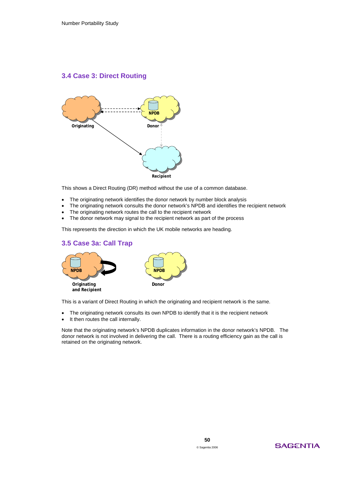# **3.4 Case 3: Direct Routing**



This shows a Direct Routing (DR) method without the use of a common database.

- The originating network identifies the donor network by number block analysis
- The originating network consults the donor network's NPDB and identifies the recipient network
- The originating network routes the call to the recipient network
- The donor network may signal to the recipient network as part of the process

This represents the direction in which the UK mobile networks are heading.

# **3.5 Case 3a: Call Trap**



This is a variant of Direct Routing in which the originating and recipient network is the same.

- The originating network consults its own NPDB to identify that it is the recipient network
- It then routes the call internally.

Note that the originating network's NPDB duplicates information in the donor network's NPDB. The donor network is not involved in delivering the call. There is a routing efficiency gain as the call is retained on the originating network.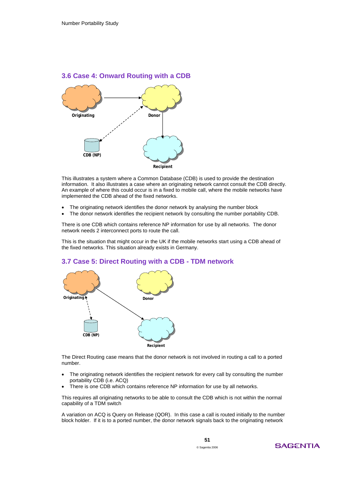



This illustrates a system where a Common Database (CDB) is used to provide the destination information. It also illustrates a case where an originating network cannot consult the CDB directly. An example of where this could occur is in a fixed to mobile call, where the mobile networks have implemented the CDB ahead of the fixed networks.

- The originating network identifies the donor network by analysing the number block
- The donor network identifies the recipient network by consulting the number portability CDB.

There is one CDB which contains reference NP information for use by all networks. The donor network needs 2 interconnect ports to route the call.

This is the situation that might occur in the UK if the mobile networks start using a CDB ahead of the fixed networks. This situation already exists in Germany.

### **3.7 Case 5: Direct Routing with a CDB - TDM network**



The Direct Routing case means that the donor network is not involved in routing a call to a ported number.

- The originating network identifies the recipient network for every call by consulting the number portability CDB (i.e. ACQ)
- There is one CDB which contains reference NP information for use by all networks.

This requires all originating networks to be able to consult the CDB which is not within the normal capability of a TDM switch

A variation on ACQ is Query on Release (QOR). In this case a call is routed initially to the number block holder. If it is to a ported number, the donor network signals back to the originating network

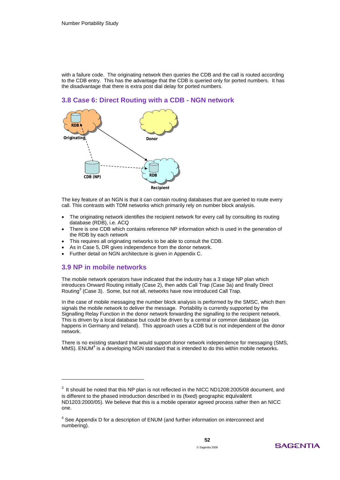with a failure code. The originating network then queries the CDB and the call is routed according to the CDB entry. This has the advantage that the CDB is queried only for ported numbers. It has the disadvantage that there is extra post dial delay for ported numbers.





The key feature of an NGN is that it can contain routing databases that are queried to route every call. This contrasts with TDM networks which primarily rely on number block analysis.

- The originating network identifies the recipient network for every call by consulting its routing database (RDB), i.e. ACQ
- There is one CDB which contains reference NP information which is used in the generation of the RDB by each network
- This requires all originating networks to be able to consult the CDB.
- As in Case 5, DR gives independence from the donor network.
- Further detail on NGN architecture is given in Appendix C.

### **3.9 NP in mobile networks**

-

The mobile network operators have indicated that the industry has a 3 stage NP plan which introduces Onward Routing initially (Case 2), then adds Call Trap (Case 3a) and finally Direct Routing<sup>3</sup> (Case 3). Some, but not all, networks have now introduced Call Trap.

In the case of mobile messaging the number block analysis is performed by the SMSC, which then signals the mobile network to deliver the message. Portability is currently supported by the Signalling Relay Function in the donor network forwarding the signalling to the recipient network. This is driven by a local database but could be driven by a central or common database (as happens in Germany and Ireland). This approach uses a CDB but is not independent of the donor network.

There is no existing standard that would support donor network independence for messaging (SMS, MMS). ENUM $4$  is a developing NGN standard that is intended to do this within mobile networks.



 $3$  It should be noted that this NP plan is not reflected in the NICC ND1208:2005/08 document, and is different to the phased introduction described in its (fixed) geographic equivalent ND1203:2000/05). We believe that this is a mobile operator agreed process rather then an NICC one.

<sup>&</sup>lt;sup>4</sup> See Appendix D for a description of ENUM (and further information on interconnect and numbering).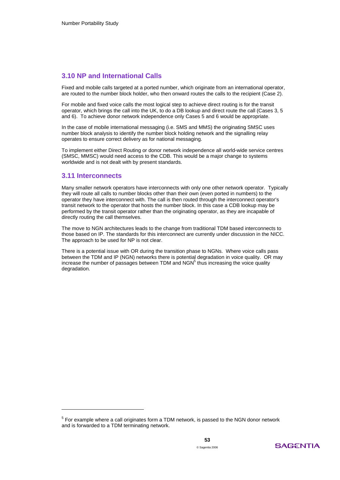### **3.10 NP and International Calls**

Fixed and mobile calls targeted at a ported number, which originate from an international operator, are routed to the number block holder, who then onward routes the calls to the recipient (Case 2).

For mobile and fixed voice calls the most logical step to achieve direct routing is for the transit operator, which brings the call into the UK, to do a DB lookup and direct route the call (Cases 3, 5 and 6). To achieve donor network independence only Cases 5 and 6 would be appropriate.

In the case of mobile international messaging (i.e. SMS and MMS) the originating SMSC uses number block analysis to identify the number block holding network and the signalling relay operates to ensure correct delivery as for national messaging.

To implement either Direct Routing or donor network independence all world-wide service centres (SMSC, MMSC) would need access to the CDB. This would be a major change to systems worldwide and is not dealt with by present standards.

### **3.11 Interconnects**

-

Many smaller network operators have interconnects with only one other network operator. Typically they will route all calls to number blocks other than their own (even ported in numbers) to the operator they have interconnect with. The call is then routed through the interconnect operator's transit network to the operator that hosts the number block. In this case a CDB lookup may be performed by the transit operator rather than the originating operator, as they are incapable of directly routing the call themselves.

The move to NGN architectures leads to the change from traditional TDM based interconnects to those based on IP. The standards for this interconnect are currently under discussion in the NICC. The approach to be used for NP is not clear.

There is a potential issue with OR during the transition phase to NGNs. Where voice calls pass between the TDM and IP (NGN) networks there is potential degradation in voice quality. OR may increase the number of passages between TDM and  $\text{NGN}^5$  thus increasing the voice quality degradation.

 $5$  For example where a call originates form a TDM network, is passed to the NGN donor network and is forwarded to a TDM terminating network.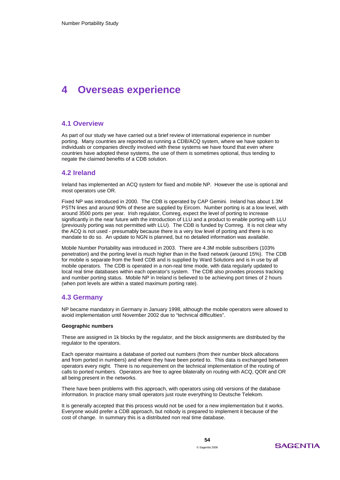# **4 Overseas experience**

### **4.1 Overview**

As part of our study we have carried out a brief review of international experience in number porting. Many countries are reported as running a CDB/ACQ system, where we have spoken to individuals or companies directly involved with these systems we have found that even where countries have adopted these systems, the use of them is sometimes optional, thus tending to negate the claimed benefits of a CDB solution.

### **4.2 Ireland**

Ireland has implemented an ACQ system for fixed and mobile NP. However the use is optional and most operators use OR.

Fixed NP was introduced in 2000. The CDB is operated by CAP Gemini. Ireland has about 1.3M PSTN lines and around 90% of these are supplied by Eircom. Number porting is at a low level, with around 3500 ports per year. Irish regulator, Comreg, expect the level of porting to increase significantly in the near future with the introduction of LLU and a product to enable porting with LLU (previously porting was not permitted with LLU). The CDB is funded by Comreg. It is not clear why the ACQ is not used - presumably because there is a very low level of porting and there is no mandate to do so. An update to NGN is planned, but no detailed information was available.

Mobile Number Portability was introduced in 2003. There are 4.3M mobile subscribers (103% penetration) and the porting level is much higher than in the fixed network (around 15%). The CDB for mobile is separate from the fixed CDB and is supplied by Ward Solutions and is in use by all mobile operators. The CDB is operated in a non-real time mode, with data regularly updated to local real time databases within each operator's system. The CDB also provides process tracking and number porting status. Mobile NP in Ireland is believed to be achieving port times of 2 hours (when port levels are within a stated maximum porting rate).

### **4.3 Germany**

NP became mandatory in Germany in January 1998, although the mobile operators were allowed to avoid implementation until November 2002 due to "technical difficulties".

#### **Geographic numbers**

These are assigned in 1k blocks by the regulator, and the block assignments are distributed by the regulator to the operators.

Each operator maintains a database of ported out numbers (from their number block allocations and from ported in numbers) and where they have been ported to. This data is exchanged between operators every night. There is no requirement on the technical implementation of the routing of calls to ported numbers. Operators are free to agree bilaterally on routing with ACQ, QOR and OR all being present in the networks.

There have been problems with this approach, with operators using old versions of the database information. In practice many small operators just route everything to Deutsche Telekom.

It is generally accepted that this process would not be used for a new implementation but it works. Everyone would prefer a CDB approach, but nobody is prepared to implement it because of the cost of change. In summary this is a distributed non real time database.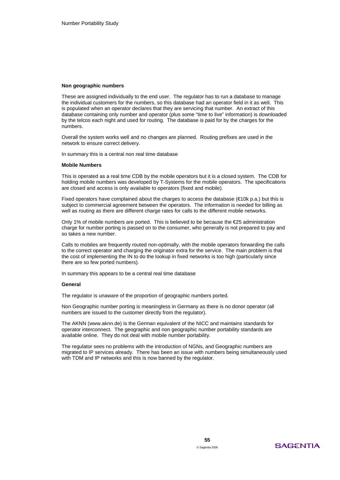### **Non geographic numbers**

These are assigned individually to the end user. The regulator has to run a database to manage the individual customers for the numbers, so this database had an operator field in it as well. This is populated when an operator declares that they are servicing that number. An extract of this database containing only number and operator (plus some "time to live" information) is downloaded by the telcos each night and used for routing. The database is paid for by the charges for the numbers.

Overall the system works well and no changes are planned. Routing prefixes are used in the network to ensure correct delivery.

In summary this is a central non real time database

### **Mobile Numbers**

This is operated as a real time CDB by the mobile operators but it is a closed system. The CDB for holding mobile numbers was developed by T-Systems for the mobile operators. The specifications are closed and access is only available to operators (fixed and mobile).

Fixed operators have complained about the charges to access the database ( $\in$ 10k p.a.) but this is subject to commercial agreement between the operators. The information is needed for billing as well as routing as there are different charge rates for calls to the different mobile networks.

Only 1% of mobile numbers are ported. This is believed to be because the  $E25$  administration charge for number porting is passed on to the consumer, who generally is not prepared to pay and so takes a new number.

Calls to mobiles are frequently routed non-optimally, with the mobile operators forwarding the calls to the correct operator and charging the originator extra for the service. The main problem is that the cost of implementing the IN to do the lookup in fixed networks is too high (particularly since there are so few ported numbers).

In summary this appears to be a central real time database

#### **General**

The regulator is unaware of the proportion of geographic numbers ported.

Non Geographic number porting is meaningless in Germany as there is no donor operator (all numbers are issued to the customer directly from the regulator).

The AKNN (www.aknn.de) is the German equivalent of the NICC and maintains standards for operator interconnect. The geographic and non geographic number portability standards are available online. They do not deal with mobile number portability.

The regulator sees no problems with the introduction of NGNs, and Geographic numbers are migrated to IP services already. There has been an issue with numbers being simultaneously used with TDM and IP networks and this is now banned by the regulator.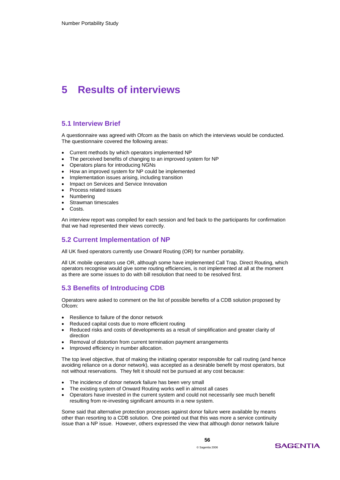# **5 Results of interviews**

### **5.1 Interview Brief**

A questionnaire was agreed with Ofcom as the basis on which the interviews would be conducted. The questionnaire covered the following areas:

- Current methods by which operators implemented NP
- The perceived benefits of changing to an improved system for NP
- Operators plans for introducing NGNs
- How an improved system for NP could be implemented
- Implementation issues arising, including transition
- Impact on Services and Service Innovation
- Process related issues
- **Numbering**
- Strawman timescales
- Costs.

An interview report was compiled for each session and fed back to the participants for confirmation that we had represented their views correctly.

### **5.2 Current Implementation of NP**

All UK fixed operators currently use Onward Routing (OR) for number portability.

All UK mobile operators use OR, although some have implemented Call Trap. Direct Routing, which operators recognise would give some routing efficiencies, is not implemented at all at the moment as there are some issues to do with bill resolution that need to be resolved first.

### **5.3 Benefits of Introducing CDB**

Operators were asked to comment on the list of possible benefits of a CDB solution proposed by Ofcom:

- Resilience to failure of the donor network
- Reduced capital costs due to more efficient routing
- Reduced risks and costs of developments as a result of simplification and greater clarity of direction
- Removal of distortion from current termination payment arrangements
- Improved efficiency in number allocation.

The top level objective, that of making the initiating operator responsible for call routing (and hence avoiding reliance on a donor network), was accepted as a desirable benefit by most operators, but not without reservations. They felt it should not be pursued at any cost because:

- The incidence of donor network failure has been very small
- The existing system of Onward Routing works well in almost all cases
- Operators have invested in the current system and could not necessarily see much benefit resulting from re-investing significant amounts in a new system.

Some said that alternative protection processes against donor failure were available by means other than resorting to a CDB solution. One pointed out that this was more a service continuity issue than a NP issue. However, others expressed the view that although donor network failure

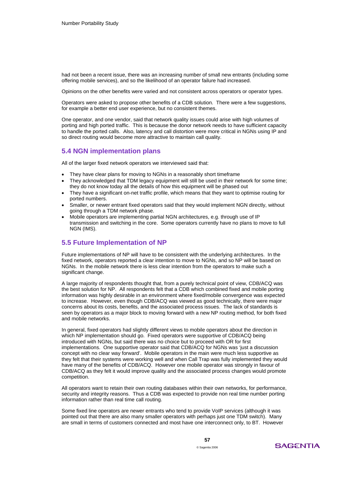had not been a recent issue, there was an increasing number of small new entrants (including some offering mobile services), and so the likelihood of an operator failure had increased.

Opinions on the other benefits were varied and not consistent across operators or operator types.

Operators were asked to propose other benefits of a CDB solution. There were a few suggestions, for example a better end user experience, but no consistent themes.

One operator, and one vendor, said that network quality issues could arise with high volumes of porting and high ported traffic. This is because the donor network needs to have sufficient capacity to handle the ported calls. Also, latency and call distortion were more critical in NGNs using IP and so direct routing would become more attractive to maintain call quality.

### **5.4 NGN implementation plans**

All of the larger fixed network operators we interviewed said that:

- They have clear plans for moving to NGNs in a reasonably short timeframe
- They acknowledged that TDM legacy equipment will still be used in their network for some time; they do not know today all the details of how this equipment will be phased out
- They have a significant on-net traffic profile, which means that they want to optimise routing for ported numbers.
- Smaller, or newer entrant fixed operators said that they would implement NGN directly, without going through a TDM network phase.
- Mobile operators are implementing partial NGN architectures, e.g. through use of IP transmission and switching in the core. Some operators currently have no plans to move to full NGN (IMS).

### **5.5 Future Implementation of NP**

Future implementations of NP will have to be consistent with the underlying architectures. In the fixed network, operators reported a clear intention to move to NGNs, and so NP will be based on NGNs. In the mobile network there is less clear intention from the operators to make such a significant change.

A large majority of respondents thought that, from a purely technical point of view, CDB/ACQ was the best solution for NP. All respondents felt that a CDB which combined fixed and mobile porting information was highly desirable in an environment where fixed/mobile convergence was expected to increase. However, even though CDB/ACQ was viewed as good technically, there were major concerns about its costs, benefits, and the associated process issues. The lack of standards is seen by operators as a major block to moving forward with a new NP routing method, for both fixed and mobile networks.

In general, fixed operators had slightly different views to mobile operators about the direction in which NP implementation should go. Fixed operators were supportive of CDB/ACQ being introduced with NGNs, but said there was no choice but to proceed with OR for first implementations. One supportive operator said that CDB/ACQ for NGNs was 'just a discussion concept with no clear way forward'. Mobile operators in the main were much less supportive as they felt that their systems were working well and when Call Trap was fully implemented they would have many of the benefits of CDB/ACQ. However one mobile operator was strongly in favour of CDB/ACQ as they felt it would improve quality and the associated process changes would promote competition.

All operators want to retain their own routing databases within their own networks, for performance, security and integrity reasons. Thus a CDB was expected to provide non real time number porting information rather than real time call routing.

Some fixed line operators are newer entrants who tend to provide VoIP services (although it was pointed out that there are also many smaller operators with perhaps just one TDM switch). Many are small in terms of customers connected and most have one interconnect only, to BT. However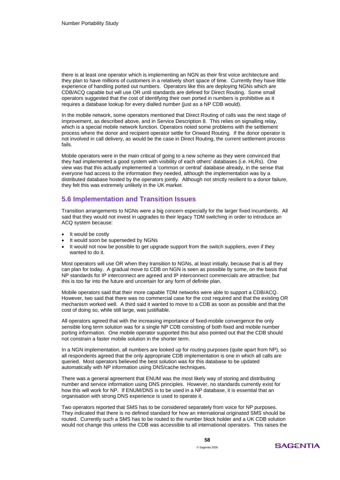there is at least one operator which is implementing an NGN as their first voice architecture and they plan to have millions of customers in a relatively short space of time. Currently they have little experience of handling ported out numbers. Operators like this are deploying NGNs which are CDB/ACQ capable but will use OR until standards are defined for Direct Routing. Some small operators suggested that the cost of identifying their own ported in numbers is prohibitive as it requires a database lookup for every dialled number (just as a NP CDB would).

In the mobile network, some operators mentioned that Direct Routing of calls was the next stage of improvement, as described above, and in Service Description 8. This relies on signalling relay, which is a special mobile network function. Operators noted some problems with the settlement process where the donor and recipient operator settle for Onward Routing. If the donor operator is not involved in call delivery, as would be the case in Direct Routing, the current settlement process fails.

Mobile operators were in the main critical of going to a new scheme as they were convinced that they had implemented a good system with visibility of each others' databases (i.e. HLRs). One view was that this actually implemented a 'common or central' database already, in the sense that everyone had access to the information they needed, although the implementation was by a distributed database hosted by the operators jointly. Although not strictly resilient to a donor failure, they felt this was extremely unlikely in the UK market.

### **5.6 Implementation and Transition Issues**

Transition arrangements to NGNs were a big concern especially for the larger fixed incumbents. All said that they would not invest in upgrades to their legacy TDM switching in order to introduce an ACQ system because:

- It would be costly
- It would soon be superseded by NGNs
- It would not now be possible to get upgrade support from the switch suppliers, even if they wanted to do it.

Most operators will use OR when they transition to NGNs, at least initially, because that is all they can plan for today. A gradual move to CDB on NGN is seen as possible by some, on the basis that NP standards for IP interconnect are agreed and IP interconnect commercials are attractive; but this is too far into the future and uncertain for any form of definite plan.

Mobile operators said that their more capable TDM networks were able to support a CDB/ACQ. However, two said that there was no commercial case for the cost required and that the existing OR mechanism worked well. A third said it wanted to move to a CDB as soon as possible and that the cost of doing so, while still large, was justifiable.

All operators agreed that with the increasing importance of fixed-mobile convergence the only sensible long term solution was for a single NP CDB consisting of both fixed and mobile number porting information. One mobile operator supported this but also pointed out that the CDB should not constrain a faster mobile solution in the shorter term.

In a NGN implementation, all numbers are looked up for routing purposes (quite apart from NP), so all respondents agreed that the only appropriate CDB implementation is one in which all calls are queried. Most operators believed the best solution was for this database to be updated automatically with NP information using DNS/cache techniques.

There was a general agreement that ENUM was the most likely way of storing and distributing number and service information using DNS principles. However, no standards currently exist for how this will work for NP. If ENUM/DNS is to be used in a NP database, it is essential that an organisation with strong DNS experience is used to operate it.

Two operators reported that SMS has to be considered separately from voice for NP purposes. They indicated that there is no defined standard for how an international originated SMS should be routed. Currently such a SMS has to be routed to the number block holder and a UK CDB solution would not change this unless the CDB was accessible to all international operators. This raises the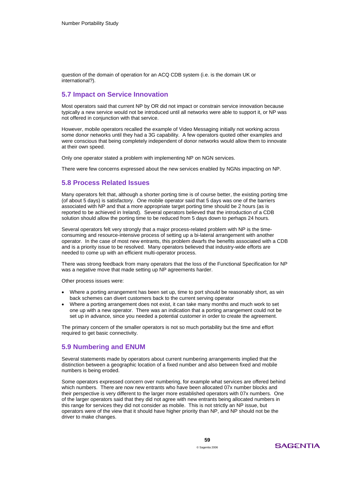question of the domain of operation for an ACQ CDB system (i.e. is the domain UK or international?).

### **5.7 Impact on Service Innovation**

Most operators said that current NP by OR did not impact or constrain service innovation because typically a new service would not be introduced until all networks were able to support it, or NP was not offered in conjunction with that service.

However, mobile operators recalled the example of Video Messaging initially not working across some donor networks until they had a 3G capability. A few operators quoted other examples and were conscious that being completely independent of donor networks would allow them to innovate at their own speed.

Only one operator stated a problem with implementing NP on NGN services.

There were few concerns expressed about the new services enabled by NGNs impacting on NP.

### **5.8 Process Related Issues**

Many operators felt that, although a shorter porting time is of course better, the existing porting time (of about 5 days) is satisfactory. One mobile operator said that 5 days was one of the barriers associated with NP and that a more appropriate target porting time should be 2 hours (as is reported to be achieved in Ireland). Several operators believed that the introduction of a CDB solution should allow the porting time to be reduced from 5 days down to perhaps 24 hours.

Several operators felt very strongly that a major process-related problem with NP is the timeconsuming and resource-intensive process of setting up a bi-lateral arrangement with another operator. In the case of most new entrants, this problem dwarfs the benefits associated with a CDB and is a priority issue to be resolved. Many operators believed that industry-wide efforts are needed to come up with an efficient multi-operator process.

There was strong feedback from many operators that the loss of the Functional Specification for NP was a negative move that made setting up NP agreements harder.

Other process issues were:

- Where a porting arrangement has been set up, time to port should be reasonably short, as win back schemes can divert customers back to the current serving operator
- Where a porting arrangement does not exist, it can take many months and much work to set one up with a new operator. There was an indication that a porting arrangement could not be set up in advance, since you needed a potential customer in order to create the agreement.

The primary concern of the smaller operators is not so much portability but the time and effort required to get basic connectivity.

### **5.9 Numbering and ENUM**

Several statements made by operators about current numbering arrangements implied that the distinction between a geographic location of a fixed number and also between fixed and mobile numbers is being eroded.

Some operators expressed concern over numbering, for example what services are offered behind which numbers. There are now new entrants who have been allocated 07x number blocks and their perspective is very different to the larger more established operators with 07x numbers. One of the larger operators said that they did not agree with new entrants being allocated numbers in this range for services they did not consider as mobile. This is not strictly an NP issue, but operators were of the view that it should have higher priority than NP, and NP should not be the driver to make changes.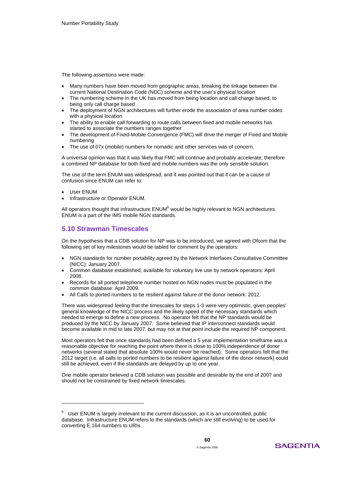The following assertions were made:

- Many numbers have been moved from geographic areas, breaking the linkage between the current National Destination Code (NDC) scheme and the user's physical location
- The numbering scheme in the UK has moved from being location and call charge based, to being only call charge based
- The deployment of NGN architectures will further erode the association of area number codes with a physical location
- The ability to enable call forwarding to route calls between fixed and mobile networks has started to associate the numbers ranges together
- The development of Fixed-Mobile Convergence (FMC) will drive the merger of Fixed and Mobile numbering
- The use of 07x (mobile) numbers for nomadic and other services was of concern.

A universal opinion was that it was likely that FMC will continue and probably accelerate; therefore a combined NP database for both fixed and mobile numbers was the only sensible solution.

The use of the term ENUM was widespread, and it was pointed out that it can be a cause of confusion since ENUM can refer to:

• User ENUM

 $\overline{a}$ 

• Infrastructure or Operator ENUM.

All operators thought that infrastructure  $ENUM<sup>6</sup>$  would be highly relevant to NGN architectures. ENUM is a part of the IMS mobile NGN standards.

### **5.10 Strawman Timescales**

On the hypothesis that a CDB solution for NP was to be introduced, we agreed with Ofcom that the following set of key milestones would be tabled for comment by the operators:

- NGN standards for number portability agreed by the Network Interfaces Consultative Committee (NICC): January 2007.
- Common database established, available for voluntary live use by network operators: April 2008.
- Records for all ported telephone number hosted on NGN nodes must be populated in the common database: April 2009.
- All Calls to ported numbers to be resilient against failure of the donor network: 2012.

There was widespread feeling that the timescales for steps 1-3 were very optimistic, given peoples' general knowledge of the NICC process and the likely speed of the necessary standards which needed to emerge to define a new process. No operator felt that the NP standards would be produced by the NICC by January 2007. Some believed that IP interconnect standards would become available in mid to late 2007, but may not at that point include the required NP component.

Most operators felt that once standards had been defined a 5 year implementation timeframe was a reasonable objective for reaching the point where there is close to 100% independence of donor networks (several stated that absolute 100% would never be reached). Some operators felt that the 2012 target (i.e. all calls to ported numbers to be resilient against failure of the donor network) could still be achieved, even if the standards are delayed by up to one year.

One mobile operator believed a CDB solution was possible and desirable by the end of 2007 and should not be constrained by fixed network timescales.

 $6$  User ENUM is largely irrelevant to the current discussion, as it is an uncontrolled, public database. Infrastructure ENUM refers to the standards (which are still evolving) to be used for converting E.164 numbers to URIs.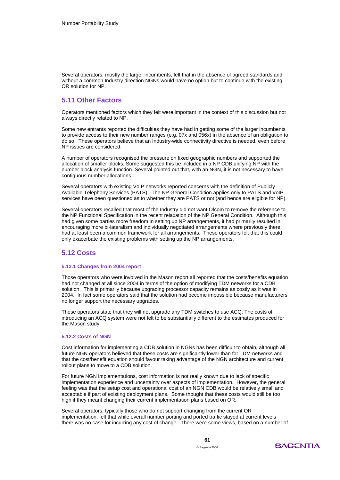Several operators, mostly the larger incumbents, felt that in the absence of agreed standards and without a common Industry direction NGNs would have no option but to continue with the existing OR solution for NP.

### **5.11 Other Factors**

Operators mentioned factors which they felt were important in the context of this discussion but not always directly related to NP.

Some new entrants reported the difficulties they have had in getting some of the larger incumbents to provide access to their new number ranges (e.g. 07x and 056x) in the absence of an obligation to do so. These operators believe that an Industry-wide connectivity directive is needed, even before NP issues are considered.

A number of operators recognised the pressure on fixed geographic numbers and supported the allocation of smaller blocks. Some suggested this be included in a NP CDB unifying NP with the number block analysis function. Several pointed out that, with an NGN, it is not necessary to have contiguous number allocations.

Several operators with existing VoIP networks reported concerns with the definition of Publicly Available Telephony Services (PATS). The NP General Condition applies only to PATS and VoIP services have been questioned as to whether they are PATS or not (and hence are eligible for NP).

Several operators recalled that most of the Industry did not want Ofcom to remove the reference to the NP Functional Specification in the recent relaxation of the NP General Condition. Although this had given some parties more freedom in setting up NP arrangements, it had primarily resulted in encouraging more bi-lateralism and individually negotiated arrangements where previously there had at least been a common framework for all arrangements. These operators felt that this could only exacerbate the existing problems with setting up the NP arrangements.

### **5.12 Costs**

### **5.12.1 Changes from 2004 report**

Those operators who were involved in the Mason report all reported that the costs/benefits equation had not changed at all since 2004 in terms of the option of modifying TDM networks for a CDB solution. This is primarily because upgrading processor capacity remains as costly as it was in 2004. In fact some operators said that the solution had become impossible because manufacturers no longer support the necessary upgrades.

These operators state that they will not upgrade any TDM switches to use ACQ. The costs of introducing an ACQ system were not felt to be substantially different to the estimates produced for the Mason study.

### **5.12.2 Costs of NGN**

Cost information for implementing a CDB solution in NGNs has been difficult to obtain, although all future NGN operators believed that these costs are significantly lower than for TDM networks and that the cost/benefit equation should favour taking advantage of the NGN architecture and current rollout plans to move to a CDB solution.

For future NGN implementations, cost information is not really known due to lack of specific implementation experience and uncertainty over aspects of implementation. However, the general feeling was that the setup cost and operational cost of an NGN CDB would be relatively small and acceptable if part of existing deployment plans. Some thought that these costs would still be too high if they meant changing their current implementation plans based on OR.

Several operators, typically those who do not support changing from the current OR implementation, felt that while overall number porting and ported traffic stayed at current levels there was no case for incurring any cost of change. There were some views, based on a number of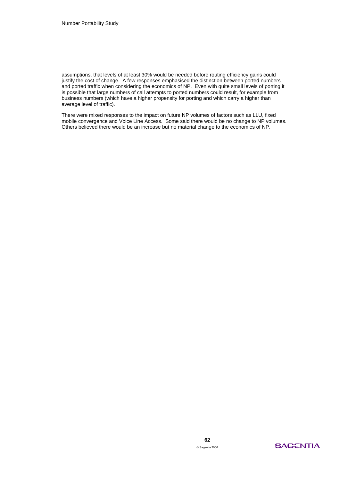assumptions, that levels of at least 30% would be needed before routing efficiency gains could justify the cost of change. A few responses emphasised the distinction between ported numbers and ported traffic when considering the economics of NP. Even with quite small levels of porting it is possible that large numbers of call attempts to ported numbers could result, for example from business numbers (which have a higher propensity for porting and which carry a higher than average level of traffic).

There were mixed responses to the impact on future NP volumes of factors such as LLU, fixed mobile convergence and Voice Line Access. Some said there would be no change to NP volumes. Others believed there would be an increase but no material change to the economics of NP.

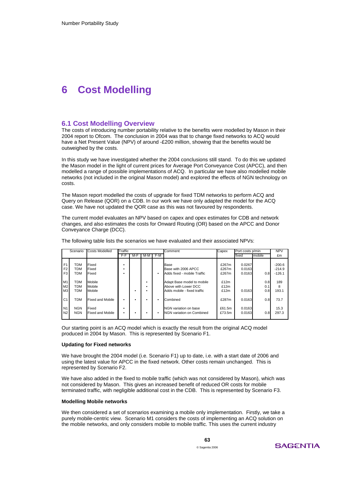# **6 Cost Modelling**

### **6.1 Cost Modelling Overview**

The costs of introducing number portability relative to the benefits were modelled by Mason in their 2004 report to Ofcom. The conclusion in 2004 was that to change fixed networks to ACQ would have a Net Present Value (NPV) of around -£200 million, showing that the benefits would be outweighed by the costs.

In this study we have investigated whether the 2004 conclusions still stand. To do this we updated the Mason model in the light of current prices for Average Port Conveyance Cost (APCC), and then modelled a range of possible implementations of ACQ. In particular we have also modelled mobile networks (not included in the original Mason model) and explored the effects of NGN technology on costs.

The Mason report modelled the costs of upgrade for fixed TDM networks to perform ACQ and Query on Release (QOR) on a CDB. In our work we have only adapted the model for the ACQ case. We have not updated the QOR case as this was not favoured by respondents.

The current model evaluates an NPV based on capex and opex estimates for CDB and network changes, and also estimates the costs for Onward Routing (OR) based on the APCC and Donor Conveyance Charge (DCC).

|                                                    | Scenario                        | <b>Costs Modelled</b>            | Traffic |     |     |       | Comment                                                                           | Capex                   | Port costs p/min           |                   | <b>NPV</b>                       |
|----------------------------------------------------|---------------------------------|----------------------------------|---------|-----|-----|-------|-----------------------------------------------------------------------------------|-------------------------|----------------------------|-------------------|----------------------------------|
|                                                    |                                 |                                  | F-F     | M-F | M-M | $F-M$ |                                                                                   |                         | fixed                      | mobile            | £m                               |
| F <sub>1</sub><br>F <sub>2</sub><br>F <sub>3</sub> | TDM<br>TDM<br>TDM               | Fixed<br>Fixed<br>Fixed          |         |     |     |       | Base<br>Base with 2006 APCC<br>Adds fixed - mobile Traffic                        | £267m<br>£267m<br>£267m | 0.0267<br>0.0163<br>0.0163 | 0.8               | $-200.6$<br>$-214.9$<br>$-126.1$ |
| M1<br>M <sub>2</sub><br>M <sub>3</sub>             | <b>TDM</b><br>TDM<br><b>TDM</b> | Mobile<br>Mobile<br>Mobile       |         |     |     |       | Adapt Base model to mobile<br>Above with Lower DCC<br>Adds mobile - fixed traffic | £12m<br>£12m<br>£12m    | 0.0163                     | 0.8<br>0.1<br>0.8 | 189<br>8<br>193.1                |
| C <sub>1</sub>                                     | <b>TDM</b>                      | <b>Fixed and Mobile</b>          |         |     |     |       | Combined                                                                          | £287m                   | 0.0163                     | 0.8               | 73.7                             |
| N <sub>1</sub><br>N <sub>2</sub>                   | <b>NGN</b><br><b>NGN</b>        | Fixed<br><b>Fixed and Mobile</b> |         |     |     |       | NGN variation on base<br>NGN variation on Combined                                | £61.5m<br>£73.5m        | 0.0163<br>0.0163           | 0.8               | 15.3<br>297.3                    |

The following table lists the scenarios we have evaluated and their associated NPVs:

Our starting point is an ACQ model which is exactly the result from the original ACQ model produced in 2004 by Mason. This is represented by Scenario F1.

#### **Updating for Fixed networks**

We have brought the 2004 model (i.e. Scenario F1) up to date, i.e. with a start date of 2006 and using the latest value for APCC in the fixed network. Other costs remain unchanged. This is represented by Scenario F2.

We have also added in the fixed to mobile traffic (which was not considered by Mason), which was not considered by Mason. This gives an increased benefit of reduced OR costs for mobile terminated traffic, with negligible additional cost in the CDB. This is represented by Scenario F3.

### **Modelling Mobile networks**

We then considered a set of scenarios examining a mobile only implementation. Firstly, we take a purely mobile-centric view. Scenario M1 considers the costs of implementing an ACQ solution on the mobile networks, and only considers mobile to mobile traffic. This uses the current industry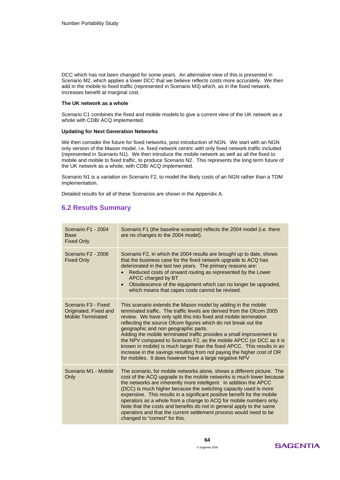DCC which has not been changed for some years. An alternative view of this is presented in Scenario M2, which applies a lower DCC that we believe reflects costs more accurately. We then add in the mobile to fixed traffic (represented in Scenario M3) which, as in the fixed network, increases benefit at marginal cost.

### **The UK network as a whole**

Scenario C1 combines the fixed and mobile models to give a current view of the UK network as a whole with CDB/ ACQ implemented.

### **Updating for Next Generation Networks**

We then consider the future for fixed networks, post introduction of NGN. We start with an NGN only version of the Mason model, i.e. fixed network centric with only fixed network traffic included (represented in Scenario N1). We then introduce the mobile network as well as all the fixed to mobile and mobile to fixed traffic, to produce Scenario N2. This represents the long term future of the UK network as a whole, with CDB/ ACQ implemented.

Scenario N1 is a variation on Scenario F2, to model the likely costs of an NGN rather than a TDM implementation.

Detailed results for all of these Scenarios are shown in the Appendix A.

### **6.2 Results Summary**

| Scenario F1 - 2004<br><b>Base</b><br><b>Fixed Only</b>                               | Scenario F1 (the baseline scenario) reflects the 2004 model (i.e. there<br>are no changes to the 2004 model).                                                                                                                                                                                                                                                                                                                                                                                                                                                                                                                                                                          |
|--------------------------------------------------------------------------------------|----------------------------------------------------------------------------------------------------------------------------------------------------------------------------------------------------------------------------------------------------------------------------------------------------------------------------------------------------------------------------------------------------------------------------------------------------------------------------------------------------------------------------------------------------------------------------------------------------------------------------------------------------------------------------------------|
| Scenario F2 - 2006<br><b>Fixed Only</b>                                              | Scenario F2, in which the 2004 results are brought up to date, shows<br>that the business case for the fixed network upgrade to ACQ has<br>deteriorated in the last two years. The primary reasons are:<br>Reduced costs of onward routing as represented by the Lower<br>APCC charged by BT<br>Obsolescence of the equipment which can no longer be upgraded,<br>$\bullet$<br>which means that capex costs cannot be revised.                                                                                                                                                                                                                                                         |
| Scenario F <sub>3</sub> - Fixed<br>Originated, Fixed and<br><b>Mobile Terminated</b> | This scenario extends the Mason model by adding in the mobile<br>terminated traffic. The traffic levels are derived from the Ofcom 2005<br>review. We have only split this into fixed and mobile termination<br>reflecting the source Ofcom figures which do not break out the<br>geographic and non geographic parts.<br>Adding the mobile terminated traffic provides a small improvement to<br>the NPV compared to Scenario F2, as the mobile APCC (or DCC as it is<br>known in mobile) is much larger than the fixed APCC. This results in an<br>increase in the savings resulting from not paying the higher cost of OR<br>for mobiles. It does however have a large negative NPV |
| Scenario M1 - Mobile<br>Only                                                         | The scenario, for mobile networks alone, shows a different picture. The<br>cost of the ACQ upgrade to the mobile networks is much lower because<br>the networks are inherently more intelligent. In addition the APCC<br>(DCC) is much higher because the switching capacity used is more<br>expensive. This results in a significant positive benefit for the mobile<br>operators as a whole from a change to ACQ for mobile numbers only.<br>Note that the costs and benefits do not in general apply to the same<br>operators and that the current settlement process would need to be<br>changed to "correct" for this.                                                            |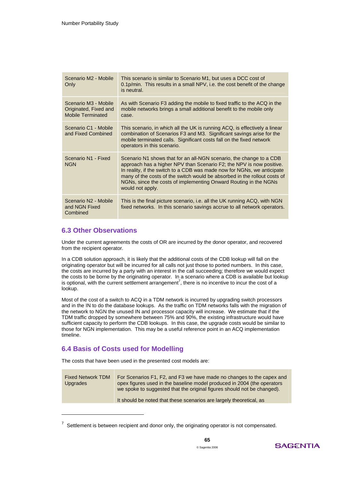| Scenario M2 - Mobile<br>Only                                              | This scenario is similar to Scenario M1, but uses a DCC cost of<br>0.1p/min. This results in a small NPV, i.e. the cost benefit of the change<br>is neutral.                                                                                                                                                                                                                                |
|---------------------------------------------------------------------------|---------------------------------------------------------------------------------------------------------------------------------------------------------------------------------------------------------------------------------------------------------------------------------------------------------------------------------------------------------------------------------------------|
| Scenario M3 - Mobile<br>Originated, Fixed and<br><b>Mobile Terminated</b> | As with Scenario F3 adding the mobile to fixed traffic to the ACQ in the<br>mobile networks brings a small additional benefit to the mobile only<br>case.                                                                                                                                                                                                                                   |
| Scenario C1 - Mobile<br>and Fixed Combined                                | This scenario, in which all the UK is running ACQ, is effectively a linear<br>combination of Scenarios F3 and M3. Significant savings arise for the<br>mobile terminated calls. Significant costs fall on the fixed network<br>operators in this scenario.                                                                                                                                  |
| Scenario N1 - Fixed<br><b>NGN</b>                                         | Scenario N1 shows that for an all-NGN scenario, the change to a CDB<br>approach has a higher NPV than Scenario F2; the NPV is now positive.<br>In reality, if the switch to a CDB was made now for NGNs, we anticipate<br>many of the costs of the switch would be absorbed in the rollout costs of<br>NGNs, since the costs of implementing Onward Routing in the NGNs<br>would not apply. |
| Scenario N2 - Mobile<br>and NGN Fixed<br>Combined                         | This is the final picture scenario, i.e. all the UK running ACQ, with NGN<br>fixed networks. In this scenario savings accrue to all network operators.                                                                                                                                                                                                                                      |

### **6.3 Other Observations**

Under the current agreements the costs of OR are incurred by the donor operator, and recovered from the recipient operator.

In a CDB solution approach, it is likely that the additional costs of the CDB lookup will fall on the originating operator but will be incurred for all calls not just those to ported numbers. In this case, the costs are incurred by a party with an interest in the call succeeding; therefore we would expect the costs to be borne by the originating operator. In a scenario where a CDB is available but lookup is optional, with the current settlement arrangement<sup>7</sup>, there is no incentive to incur the cost of a lookup.

Most of the cost of a switch to ACQ in a TDM network is incurred by upgrading switch processors and in the IN to do the database lookups. As the traffic on TDM networks falls with the migration of the network to NGN the unused IN and processor capacity will increase. We estimate that if the TDM traffic dropped by somewhere between 75% and 90%, the existing infrastructure would have sufficient capacity to perform the CDB lookups. In this case, the upgrade costs would be similar to those for NGN implementation. This may be a useful reference point in an ACQ implementation timeline.

# **6.4 Basis of Costs used for Modelling**

-

The costs that have been used in the presented cost models are:

| <b>Fixed Network TDM</b><br><b>Upgrades</b> | For Scenarios F1, F2, and F3 we have made no changes to the capex and<br>opex figures used in the baseline model produced in 2004 (the operators<br>we spoke to suggested that the original figures should not be changed). |
|---------------------------------------------|-----------------------------------------------------------------------------------------------------------------------------------------------------------------------------------------------------------------------------|
|                                             | It should be noted that these scenarios are largely theoretical, as                                                                                                                                                         |
|                                             |                                                                                                                                                                                                                             |

 $7$  Settlement is between recipient and donor only, the originating operator is not compensated.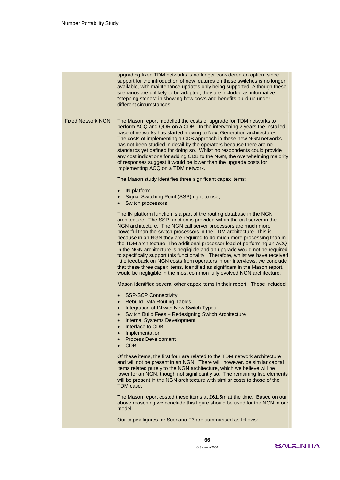|                          | upgrading fixed TDM networks is no longer considered an option, since<br>support for the introduction of new features on these switches is no longer<br>available, with maintenance updates only being supported. Although these<br>scenarios are unlikely to be adopted, they are included as informative<br>"stepping stones" in showing how costs and benefits build up under<br>different circumstances.                                                                                                                                                                                                                                                                                                                                                                                                                                              |  |  |  |
|--------------------------|-----------------------------------------------------------------------------------------------------------------------------------------------------------------------------------------------------------------------------------------------------------------------------------------------------------------------------------------------------------------------------------------------------------------------------------------------------------------------------------------------------------------------------------------------------------------------------------------------------------------------------------------------------------------------------------------------------------------------------------------------------------------------------------------------------------------------------------------------------------|--|--|--|
| <b>Fixed Network NGN</b> | The Mason report modelled the costs of upgrade for TDM networks to<br>perform ACQ and QOR on a CDB. In the intervening 2 years the installed<br>base of networks has started moving to Next Generation architectures.<br>The costs of implementing a CDB approach in these new NGN networks<br>has not been studied in detail by the operators because there are no<br>standards yet defined for doing so. Whilst no respondents could provide<br>any cost indications for adding CDB to the NGN, the overwhelming majority<br>of responses suggest it would be lower than the upgrade costs for<br>implementing ACQ on a TDM network.                                                                                                                                                                                                                    |  |  |  |
|                          | The Mason study identifies three significant capex items:                                                                                                                                                                                                                                                                                                                                                                                                                                                                                                                                                                                                                                                                                                                                                                                                 |  |  |  |
|                          | IN platform<br>$\bullet$<br>Signal Switching Point (SSP) right-to use,<br>$\bullet$<br>Switch processors<br>$\bullet$                                                                                                                                                                                                                                                                                                                                                                                                                                                                                                                                                                                                                                                                                                                                     |  |  |  |
|                          | The IN platform function is a part of the routing database in the NGN<br>architecture. The SSP function is provided within the call server in the<br>NGN architecture. The NGN call server processors are much more<br>powerful than the switch processors in the TDM architecture. This is<br>because in an NGN they are required to do much more processing than in<br>the TDM architecture. The additional processor load of performing an ACQ<br>in the NGN architecture is negligible and an upgrade would not be required<br>to specifically support this functionality. Therefore, whilst we have received<br>little feedback on NGN costs from operators in our interviews, we conclude<br>that these three capex items, identified as significant in the Mason report,<br>would be negligible in the most common fully evolved NGN architecture. |  |  |  |
|                          | Mason identified several other capex items in their report. These included:                                                                                                                                                                                                                                                                                                                                                                                                                                                                                                                                                                                                                                                                                                                                                                               |  |  |  |
|                          | <b>SSP-SCP Connectivity</b><br>$\bullet$<br><b>Rebuild Data Routing Tables</b><br>$\bullet$<br>Integration of IN with New Switch Types<br>$\bullet$<br>Switch Build Fees - Redesigning Switch Architecture<br>$\bullet$<br><b>Internal Systems Development</b><br>$\bullet$<br>Interface to CDB<br>Implementation<br>$\bullet$<br><b>Process Development</b><br>$\bullet$<br><b>CDB</b>                                                                                                                                                                                                                                                                                                                                                                                                                                                                   |  |  |  |
|                          | Of these items, the first four are related to the TDM network architecture<br>and will not be present in an NGN. There will, however, be similar capital<br>items related purely to the NGN architecture, which we believe will be<br>lower for an NGN, though not significantly so. The remaining five elements<br>will be present in the NGN architecture with similar costs to those of the<br>TDM case.                                                                                                                                                                                                                                                                                                                                                                                                                                               |  |  |  |
|                          | The Mason report costed these items at £61.5m at the time. Based on our<br>above reasoning we conclude this figure should be used for the NGN in our<br>model.                                                                                                                                                                                                                                                                                                                                                                                                                                                                                                                                                                                                                                                                                            |  |  |  |
|                          | Our capex figures for Scenario F3 are summarised as follows:                                                                                                                                                                                                                                                                                                                                                                                                                                                                                                                                                                                                                                                                                                                                                                                              |  |  |  |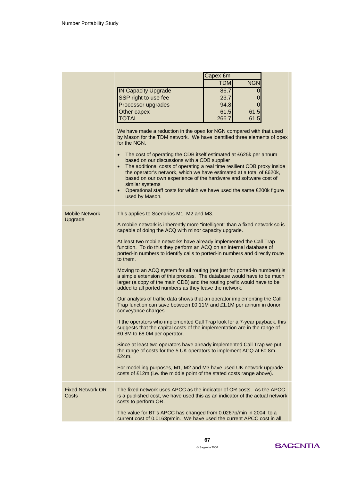|                                  |                                                                                                                                                                                                                                                                                                                                                                                                                                                                                                 | Capex £m                                                                                                                                         |  |  |
|----------------------------------|-------------------------------------------------------------------------------------------------------------------------------------------------------------------------------------------------------------------------------------------------------------------------------------------------------------------------------------------------------------------------------------------------------------------------------------------------------------------------------------------------|--------------------------------------------------------------------------------------------------------------------------------------------------|--|--|
|                                  |                                                                                                                                                                                                                                                                                                                                                                                                                                                                                                 | <b>NGN</b><br><b>TDM</b>                                                                                                                         |  |  |
|                                  | <b>IN Capacity Upgrade</b>                                                                                                                                                                                                                                                                                                                                                                                                                                                                      | 86.7<br>0                                                                                                                                        |  |  |
|                                  | SSP right to use fee                                                                                                                                                                                                                                                                                                                                                                                                                                                                            | 23.7<br>0                                                                                                                                        |  |  |
|                                  | Processor upgrades                                                                                                                                                                                                                                                                                                                                                                                                                                                                              | 94.8<br>0                                                                                                                                        |  |  |
|                                  | Other capex                                                                                                                                                                                                                                                                                                                                                                                                                                                                                     | 61.5<br>61.5                                                                                                                                     |  |  |
|                                  | <b>TOTAL</b>                                                                                                                                                                                                                                                                                                                                                                                                                                                                                    | 266.7<br>61.5                                                                                                                                    |  |  |
|                                  |                                                                                                                                                                                                                                                                                                                                                                                                                                                                                                 |                                                                                                                                                  |  |  |
|                                  | We have made a reduction in the opex for NGN compared with that used<br>by Mason for the TDM network. We have identified three elements of opex<br>for the NGN.<br>The cost of operating the CDB itself estimated at £625k per annum<br>based on our discussions with a CDB supplier<br>$\bullet$<br>the operator's network, which we have estimated at a total of £620k,<br>based on our own experience of the hardware and software cost of<br>similar systems<br>$\bullet$<br>used by Mason. | The additional costs of operating a real time resilient CDB proxy inside<br>Operational staff costs for which we have used the same £200k figure |  |  |
| <b>Mobile Network</b><br>Upgrade | This applies to Scenarios M1, M2 and M3.                                                                                                                                                                                                                                                                                                                                                                                                                                                        |                                                                                                                                                  |  |  |
|                                  | A mobile network is inherently more "intelligent" than a fixed network so is<br>capable of doing the ACQ with minor capacity upgrade.                                                                                                                                                                                                                                                                                                                                                           |                                                                                                                                                  |  |  |
|                                  | At least two mobile networks have already implemented the Call Trap<br>function. To do this they perform an ACQ on an internal database of<br>ported-in numbers to identify calls to ported-in numbers and directly route<br>to them.                                                                                                                                                                                                                                                           |                                                                                                                                                  |  |  |
|                                  | Moving to an ACQ system for all routing (not just for ported-in numbers) is<br>a simple extension of this process. The database would have to be much<br>larger (a copy of the main CDB) and the routing prefix would have to be<br>added to all ported numbers as they leave the network.                                                                                                                                                                                                      |                                                                                                                                                  |  |  |
|                                  | Our analysis of traffic data shows that an operator implementing the Call<br>Trap function can save between £0.11M and £1.1M per annum in donor<br>conveyance charges.                                                                                                                                                                                                                                                                                                                          |                                                                                                                                                  |  |  |
|                                  | If the operators who implemented Call Trap look for a 7-year payback, this<br>suggests that the capital costs of the implementation are in the range of<br>£0.8M to £8.0M per operator.                                                                                                                                                                                                                                                                                                         |                                                                                                                                                  |  |  |
|                                  | Since at least two operators have already implemented Call Trap we put<br>the range of costs for the 5 UK operators to implement ACQ at £0.8m-<br>£24m.                                                                                                                                                                                                                                                                                                                                         |                                                                                                                                                  |  |  |
|                                  | For modelling purposes, M1, M2 and M3 have used UK network upgrade<br>costs of £12m (i.e. the middle point of the stated costs range above).                                                                                                                                                                                                                                                                                                                                                    |                                                                                                                                                  |  |  |
| <b>Fixed Network OR</b><br>Costs | The fixed network uses APCC as the indicator of OR costs. As the APCC<br>is a published cost, we have used this as an indicator of the actual network<br>costs to perform OR.                                                                                                                                                                                                                                                                                                                   |                                                                                                                                                  |  |  |
|                                  | The value for BT's APCC has changed from 0.0267p/min in 2004, to a<br>current cost of 0.0163p/min. We have used the current APCC cost in all                                                                                                                                                                                                                                                                                                                                                    |                                                                                                                                                  |  |  |
|                                  |                                                                                                                                                                                                                                                                                                                                                                                                                                                                                                 |                                                                                                                                                  |  |  |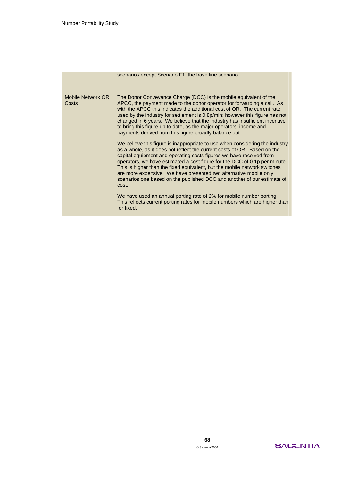|                            | scenarios except Scenario F1, the base line scenario.                                                                                                                                                                                                                                                                                                                                                                                                                                                                                               |
|----------------------------|-----------------------------------------------------------------------------------------------------------------------------------------------------------------------------------------------------------------------------------------------------------------------------------------------------------------------------------------------------------------------------------------------------------------------------------------------------------------------------------------------------------------------------------------------------|
| Mobile Network OR<br>Costs | The Donor Conveyance Charge (DCC) is the mobile equivalent of the<br>APCC, the payment made to the donor operator for forwarding a call. As<br>with the APCC this indicates the additional cost of OR. The current rate<br>used by the industry for settlement is 0.8p/min; however this figure has not<br>changed in 6 years. We believe that the industry has insufficient incentive<br>to bring this figure up to date, as the major operators' income and<br>payments derived from this figure broadly balance out.                             |
|                            | We believe this figure is inappropriate to use when considering the industry<br>as a whole, as it does not reflect the current costs of OR. Based on the<br>capital equipment and operating costs figures we have received from<br>operators, we have estimated a cost figure for the DCC of 0.1p per minute.<br>This is higher than the fixed equivalent, but the mobile network switches<br>are more expensive. We have presented two alternative mobile only<br>scenarios one based on the published DCC and another of our estimate of<br>cost. |
|                            | We have used an annual porting rate of 2% for mobile number porting.<br>This reflects current porting rates for mobile numbers which are higher than<br>for fixed.                                                                                                                                                                                                                                                                                                                                                                                  |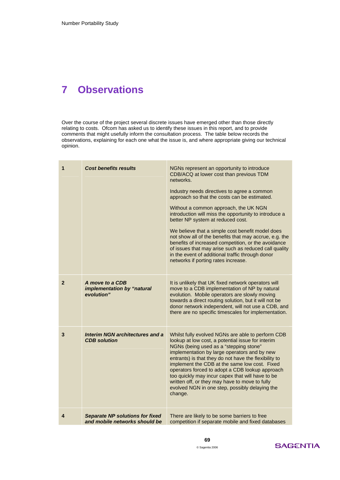# **7 Observations**

Over the course of the project several discrete issues have emerged other than those directly relating to costs. Ofcom has asked us to identify these issues in this report, and to provide comments that might usefully inform the consultation process. The table below records the observations, explaining for each one what the issue is, and where appropriate giving our technical opinion.

| 1              | <b>Cost benefits results</b>                                            | NGNs represent an opportunity to introduce<br>CDB/ACQ at lower cost than previous TDM<br>networks.<br>Industry needs directives to agree a common<br>approach so that the costs can be estimated.<br>Without a common approach, the UK NGN<br>introduction will miss the opportunity to introduce a<br>better NP system at reduced cost.<br>We believe that a simple cost benefit model does<br>not show all of the benefits that may accrue, e.g. the<br>benefits of increased competition, or the avoidance<br>of issues that may arise such as reduced call quality<br>in the event of additional traffic through donor<br>networks if porting rates increase. |
|----------------|-------------------------------------------------------------------------|-------------------------------------------------------------------------------------------------------------------------------------------------------------------------------------------------------------------------------------------------------------------------------------------------------------------------------------------------------------------------------------------------------------------------------------------------------------------------------------------------------------------------------------------------------------------------------------------------------------------------------------------------------------------|
| $\overline{2}$ | A move to a CDB<br>implementation by "natural<br>evolution"             | It is unlikely that UK fixed network operators will<br>move to a CDB implementation of NP by natural<br>evolution. Mobile operators are slowly moving<br>towards a direct routing solution, but it will not be<br>donor network independent, will not use a CDB, and<br>there are no specific timescales for implementation.                                                                                                                                                                                                                                                                                                                                      |
| 3              | <b>Interim NGN architectures and a</b><br><b>CDB</b> solution           | Whilst fully evolved NGNs are able to perform CDB<br>lookup at low cost, a potential issue for interim<br>NGNs (being used as a "stepping stone"<br>implementation by large operators and by new<br>entrants) is that they do not have the flexibility to<br>implement the CDB at the same low cost. Fixed<br>operators forced to adopt a CDB lookup approach<br>too quickly may incur capex that will have to be<br>written off, or they may have to move to fully<br>evolved NGN in one step, possibly delaying the<br>change.                                                                                                                                  |
| 4              | <b>Separate NP solutions for fixed</b><br>and mobile networks should be | There are likely to be some barriers to free<br>competition if separate mobile and fixed databases                                                                                                                                                                                                                                                                                                                                                                                                                                                                                                                                                                |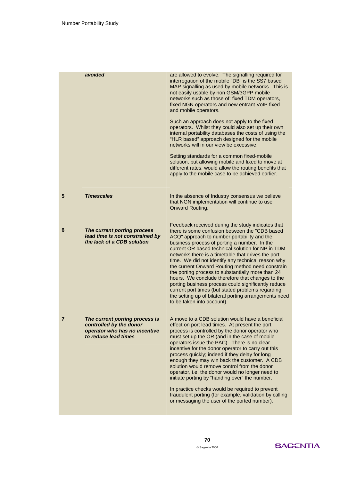|                | avoided                                                                                                            |                                                                                                                                                                                                                                                                                                                                                                                                                                                                                                                                                                                                                                                                                                                                     |
|----------------|--------------------------------------------------------------------------------------------------------------------|-------------------------------------------------------------------------------------------------------------------------------------------------------------------------------------------------------------------------------------------------------------------------------------------------------------------------------------------------------------------------------------------------------------------------------------------------------------------------------------------------------------------------------------------------------------------------------------------------------------------------------------------------------------------------------------------------------------------------------------|
|                |                                                                                                                    | are allowed to evolve. The signalling required for<br>interrogation of the mobile "DB" is the SS7 based<br>MAP signalling as used by mobile networks. This is<br>not easily usable by non GSM/3GPP mobile<br>networks such as those of: fixed TDM operators,<br>fixed NGN operators and new entrant VoIP fixed<br>and mobile operators.<br>Such an approach does not apply to the fixed<br>operators. Whilst they could also set up their own<br>internal portability databases the costs of using the<br>"HLR based" approach designed for the mobile<br>networks will in our view be excessive.<br>Setting standards for a common fixed-mobile<br>solution, but allowing mobile and fixed to move at                              |
|                |                                                                                                                    | different rates, would allow the routing benefits that<br>apply to the mobile case to be achieved earlier.                                                                                                                                                                                                                                                                                                                                                                                                                                                                                                                                                                                                                          |
| 5              | <b>Timescales</b>                                                                                                  | In the absence of Industry consensus we believe<br>that NGN implementation will continue to use<br>Onward Routing.                                                                                                                                                                                                                                                                                                                                                                                                                                                                                                                                                                                                                  |
| 6              | The current porting process<br>lead time is not constrained by<br>the lack of a CDB solution                       | Feedback received during the study indicates that<br>there is some confusion between the "CDB based<br>ACQ" approach to number portability and the<br>business process of porting a number. In the<br>current OR based technical solution for NP in TDM<br>networks there is a timetable that drives the port<br>time. We did not identify any technical reason why<br>the current Onward Routing method need constrain<br>the porting process to substantially more than 24<br>hours. We conclude therefore that changes to the<br>porting business process could significantly reduce<br>current port times (but stated problems regarding<br>the setting up of bilateral porting arrangements need<br>to be taken into account). |
| $\overline{7}$ | The current porting process is<br>controlled by the donor<br>operator who has no incentive<br>to reduce lead times | A move to a CDB solution would have a beneficial<br>effect on port lead times. At present the port<br>process is controlled by the donor operator who<br>must set up the OR (and in the case of mobile<br>operators issue the PAC). There is no clear<br>incentive for the donor operator to carry out this<br>process quickly; indeed if they delay for long<br>enough they may win back the customer. A CDB<br>solution would remove control from the donor<br>operator, i.e. the donor would no longer need to<br>initiate porting by "handing over" the number.<br>In practice checks would be required to prevent<br>fraudulent porting (for example, validation by calling<br>or messaging the user of the ported number).    |

# **SAGENTIA**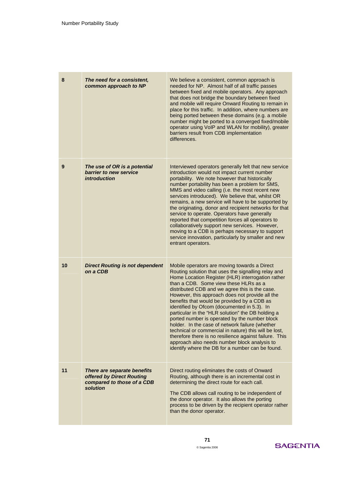| 8  | The need for a consistent,<br>common approach to NP                                                | We believe a consistent, common approach is<br>needed for NP. Almost half of all traffic passes<br>between fixed and mobile operators. Any approach<br>that does not bridge the boundary between fixed<br>and mobile will require Onward Routing to remain in<br>place for this traffic. In addition, where numbers are<br>being ported between these domains (e.g. a mobile<br>number might be ported to a converged fixed/mobile<br>operator using VoIP and WLAN for mobility), greater<br>barriers result from CDB implementation<br>differences.                                                                                                                                                                                                                                 |
|----|----------------------------------------------------------------------------------------------------|--------------------------------------------------------------------------------------------------------------------------------------------------------------------------------------------------------------------------------------------------------------------------------------------------------------------------------------------------------------------------------------------------------------------------------------------------------------------------------------------------------------------------------------------------------------------------------------------------------------------------------------------------------------------------------------------------------------------------------------------------------------------------------------|
| 9  | The use of OR is a potential<br>barrier to new service<br><i>introduction</i>                      | Interviewed operators generally felt that new service<br>introduction would not impact current number<br>portability. We note however that historically<br>number portability has been a problem for SMS,<br>MMS and video calling (i.e. the most recent new<br>services introduced). We believe that, whilst OR<br>remains, a new service will have to be supported by<br>the originating, donor and recipient networks for that<br>service to operate. Operators have generally<br>reported that competition forces all operators to<br>collaboratively support new services. However,<br>moving to a CDB is perhaps necessary to support<br>service innovation, particularly by smaller and new<br>entrant operators.                                                             |
| 10 | <b>Direct Routing is not dependent</b><br>on a CDB                                                 | Mobile operators are moving towards a Direct<br>Routing solution that uses the signalling relay and<br>Home Location Register (HLR) interrogation rather<br>than a CDB. Some view these HLRs as a<br>distributed CDB and we agree this is the case.<br>However, this approach does not provide all the<br>benefits that would be provided by a CDB as<br>identified by Ofcom (documented in 5.3). In<br>particular in the "HLR solution" the DB holding a<br>ported number is operated by the number block<br>holder. In the case of network failure (whether<br>technical or commercial in nature) this will be lost,<br>therefore there is no resilience against failure. This<br>approach also needs number block analysis to<br>identify where the DB for a number can be found. |
| 11 | There are separate benefits<br>offered by Direct Routing<br>compared to those of a CDB<br>solution | Direct routing eliminates the costs of Onward<br>Routing, although there is an incremental cost in<br>determining the direct route for each call.<br>The CDB allows call routing to be independent of<br>the donor operator. It also allows the porting<br>process to be driven by the recipient operator rather<br>than the donor operator.                                                                                                                                                                                                                                                                                                                                                                                                                                         |

# **SAGENTIA**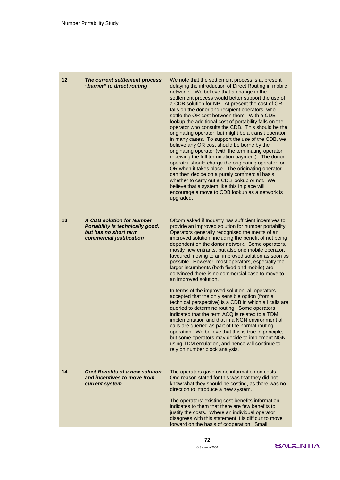| $12 \,$ | The current settlement process<br>"barrier" to direct routing                                                             | We note that the settlement process is at present<br>delaying the introduction of Direct Routing in mobile<br>networks. We believe that a change in the<br>settlement process would better support the use of<br>a CDB solution for NP. At present the cost of OR<br>falls on the donor and recipient operators, who<br>settle the OR cost between them. With a CDB<br>lookup the additional cost of portability falls on the<br>operator who consults the CDB. This should be the<br>originating operator, but might be a transit operator<br>in many cases. To support the use of the CDB, we<br>believe any OR cost should be borne by the<br>originating operator (with the terminating operator<br>receiving the full termination payment). The donor<br>operator should charge the originating operator for<br>OR when it takes place. The originating operator<br>can then decide on a purely commercial basis<br>whether to carry out a CDB lookup or not. We<br>believe that a system like this in place will<br>encourage a move to CDB lookup as a network is<br>upgraded.                                                                |
|---------|---------------------------------------------------------------------------------------------------------------------------|------------------------------------------------------------------------------------------------------------------------------------------------------------------------------------------------------------------------------------------------------------------------------------------------------------------------------------------------------------------------------------------------------------------------------------------------------------------------------------------------------------------------------------------------------------------------------------------------------------------------------------------------------------------------------------------------------------------------------------------------------------------------------------------------------------------------------------------------------------------------------------------------------------------------------------------------------------------------------------------------------------------------------------------------------------------------------------------------------------------------------------------------------|
| 13      | <b>A CDB solution for Number</b><br>Portability is technically good,<br>but has no short term<br>commercial justification | Ofcom asked if Industry has sufficient incentives to<br>provide an improved solution for number portability.<br>Operators generally recognised the merits of an<br>improved solution, including the benefit of not being<br>dependent on the donor network. Some operators,<br>mostly new entrants, but also one mobile operator,<br>favoured moving to an improved solution as soon as<br>possible. However, most operators, especially the<br>larger incumbents (both fixed and mobile) are<br>convinced there is no commercial case to move to<br>an improved solution.<br>In terms of the improved solution, all operators<br>accepted that the only sensible option (from a<br>technical perspective) is a CDB in which all calls are<br>queried to determine routing. Some operators<br>indicated that the term ACQ is related to a TDM<br>implementation and that in a NGN environment all<br>calls are queried as part of the normal routing<br>operation. We believe that this is true in principle,<br>but some operators may decide to implement NGN<br>using TDM emulation, and hence will continue to<br>rely on number block analysis. |
| 14      | <b>Cost Benefits of a new solution</b><br>and incentives to move from<br>current system                                   | The operators gave us no information on costs.<br>One reason stated for this was that they did not<br>know what they should be costing, as there was no<br>direction to introduce a new system.<br>The operators' existing cost-benefits information<br>indicates to them that there are few benefits to<br>justify the costs. Where an individual operator<br>disagrees with this statement it is difficult to move<br>forward on the basis of cooperation. Small                                                                                                                                                                                                                                                                                                                                                                                                                                                                                                                                                                                                                                                                                   |

# **SAGENTIA**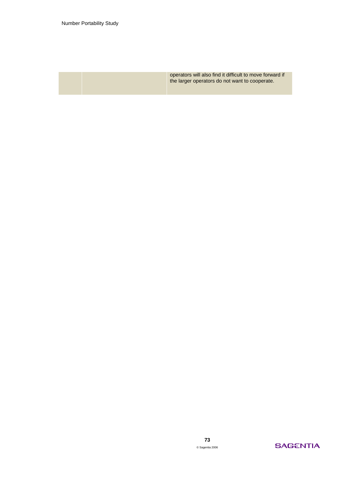operators will also find it difficult to move forward if the larger operators do not want to cooperate.

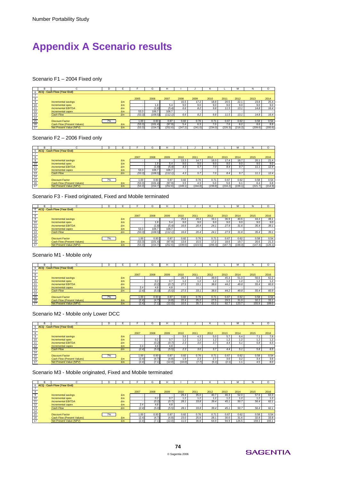# **Appendix A Scenario results**

#### Scenario F1 – 2004 Fixed only

|                 |                              | D  |    |        | G            |         |         |         |                   |         | M       | N       | Ω       |
|-----------------|------------------------------|----|----|--------|--------------|---------|---------|---------|-------------------|---------|---------|---------|---------|
|                 | 6 ACQ - Cash Flow (Year End) |    |    |        |              |         |         |         |                   |         |         |         |         |
|                 |                              |    |    |        |              |         |         |         |                   |         |         |         |         |
| 8               |                              |    |    | 2005   | 2006         | 2007    | 2008    | 2009    | 2010              | 2011    | 2012    | 2013    | 2014    |
| 9               | Incremental savings          |    | £m |        |              |         | 15.5    | 17.2    | 18.8 <sub>1</sub> | 20.5    | 22.1    | 23.8    | 25.4    |
| 10              | Incremental opex             |    | £m |        | $.8^{\circ}$ | 5.4     | 9.0     | 9.0     | 9.0               | 9.0     | 9.0     | 9.0     | 9.0     |
| 11              | <b>Incremental EBITDA</b>    |    | £m |        | (1.8)        | (5.4)   | 6.6     | 8.2     | 9.8               | 11.5    | 13.1    | 14.8    | 16.4    |
| $\overline{12}$ | Incremental capex            |    | £m | 53.3   | 106.7        | 106.7   |         |         |                   |         |         |         |         |
| 13              | Cash Flow                    |    | £m | (53.3) | (108.5)      | (112.1) | 6.6     | 8.2     | 9.8               | 11.5    | 13.1    | 14.8    | 16.4    |
| 14              |                              |    |    |        |              |         |         |         |                   |         |         |         |         |
| 15              | <b>Discount Factor</b>       | 7% |    | 1.00   | 0.93         | 0.87    | 0.82    | 0.76    | 0.71              | 0.67    | 0.62    | 0.58    | 0.54    |
| 16              | Cash Flow (Present Values)   |    | £m | (53.3) | (101.4)      | (97.9)  | 5.4     | 6.3     | 7.0               | 7.6     | 8.2     | 8.6     | 8.9     |
| $\overline{17}$ | Net Present Value (NPV)      |    | £m | (53.3) | (154.7)      | (252.6) | (247.2) | (241.0) | (234.0)           | (226.3) | (218.2) | (209.6) | (200.6) |

Scenario F2 – 2006 Fixed only

|    | ≏<br>н. |                                   |    |    |        | G       | н       |         |         |         |         | м       |         |         |
|----|---------|-----------------------------------|----|----|--------|---------|---------|---------|---------|---------|---------|---------|---------|---------|
|    |         | 6 ACQ - Cash Flow (Year End)      |    |    |        |         |         |         |         |         |         |         |         |         |
|    |         |                                   |    |    |        |         |         |         |         |         |         |         |         |         |
| 8  |         |                                   |    |    | 2007   | 2008    | 2009    | 2010    | 2011    | 2012    | 2013    | 2014    | 2015    | 2016    |
| 9  |         | Incremental savings               |    | £m |        |         |         | 13.3    | 14.7    | 16.0    | 17.4    | 18.7    | 20.1    | 21.4    |
| 10 |         | Incremental opex                  |    | £m |        | 1.8     | 5.4     | 9.0     | 9.0     | 9.0     | 9.0     | 9.0     | 9.0     | 9.0     |
| 11 |         | <b>Incremental EBITDA</b>         |    | £m |        | (1.8)   | (5.4)   | 4.3     | 5.7     | 7.0     | 8.4     | 9.7     | 11.1    | 12.4    |
| 12 |         | Incremental capex                 |    | £m | 53.3   | 106.7   | 106.7   |         |         |         |         |         |         |         |
| 13 |         | Cash Flow                         |    | £m | (53.3) | (108.5) | (112.1  | 4.3     | 5.7     | 7.0     | 8.4     | 9.7     | 11.1    | 12.4    |
| 14 |         |                                   |    |    |        |         |         |         |         |         |         |         |         |         |
| 15 |         | <b>Discount Factor</b>            | 7% |    | 1.00   | 0.93    | 0.87    | 0.82    | 0.76    | 0.71    | 0.67    | 0.62    | 0.58    | 0.54    |
| 16 |         | <b>Cash Flow (Present Values)</b> |    | £m | (53.3) | (101.4) | (97.9)  | 3.5     | 4.3     | 5.0     | 5.6     | 6.1     | 6.4     | 6.8     |
| 17 |         | Net Present Value (NPV)           |    | £m | (53.3) | (154.7) | (252.6) | (249.1) | (244.8) | (239.8) | (234.2) | (228.1) | (221.7) | (214.9) |

Scenario F3 - Fixed originated, Fixed and Mobile terminated

|                 |                              |    |    |        | G       |         |         |         |         |         | M       | N       |         |
|-----------------|------------------------------|----|----|--------|---------|---------|---------|---------|---------|---------|---------|---------|---------|
|                 | 6 ACQ - Cash Flow (Year End) |    |    |        |         |         |         |         |         |         |         |         |         |
|                 |                              |    |    |        |         |         |         |         |         |         |         |         |         |
| 8               |                              |    |    | 2007   | 2008    | 2009    | 2010    | 2011    | 2012    | 2013    | 2014    | 2015    | 2016    |
| 9               | Incremental savings          |    | £m |        |         |         | 25.6    | 29.4    | 33.1    | 36.9    | 40.6    | 44.4    | 48.1    |
| 10              | Incremental opex             |    | £m |        | 1.8     | 5.4     | 9.0     | 9.0     | 9.0     | 9.0     | 9.0     | 9.0     | 9.0     |
| $\overline{11}$ | <b>Incremental EBITDA</b>    |    | £m |        | (1.8)   | (5.4)   | 16.6    | 20.4    | 24.1    | 27.9    | 31.6    | 35.4    | 39.1    |
| 12              | Incremental capex            |    | £m | 53.3   | 106.7   | 106.7   |         |         |         |         |         |         |         |
| 13              | Cash Flow                    |    | £m | (53.3) | (108.5) | 112.1,  | 16.6    | 20.4    | 24.1    | 27.9    | 31.6    | 35.4    | 39.1    |
| $^{1}$ 14       |                              |    |    |        |         |         |         |         |         |         |         |         |         |
| 15              | <b>Discount Factor</b>       | 7% |    | 1.00   | 0.93    | 0.87    | 0.82    | 0.76    | 0.71    | 0.67    | 0.62    | 0.58    | 0.54    |
| 16              | Cash Flow (Present Values)   |    | £m | (53.3) | (101.4) | (97.9)  | 13.6    | 15.5    | 17.2    | 18.6    | 19.7    | 20.6    | 21.3    |
| 17              | Net Present Value (NPV)      |    | £m | (53.3) | (154.7) | (252.6) | (239.0) | (223.5) | (206.3) | (187.7) | (168.0) | (147.4) | (126.1) |

#### Scenario M1 - Mobile only

|                         | R |                              | D  |    |       | 65    | н      |               |      |      |                |       | N     | $\Omega$ |
|-------------------------|---|------------------------------|----|----|-------|-------|--------|---------------|------|------|----------------|-------|-------|----------|
|                         |   | 6 ACQ - Cash Flow (Year End) |    |    |       |       |        |               |      |      |                |       |       |          |
| $\overline{7}$          |   |                              |    |    |       |       |        |               |      |      |                |       |       |          |
| $\overline{\mathbf{8}}$ |   |                              |    |    | 2007  | 2008  | 2009   | 2010          | 2011 | 2012 | 2013           | 2014  | 2015  | 2016     |
| 9                       |   | Incremental savings          |    | £m |       |       |        | 28.7          | 34.3 | 39.9 | 45.4           | 51.0  | 56.6  | 62.2     |
| 10                      |   | Incremental opex             |    | £m |       | 0.2   | 0.7    | $\mathcal{L}$ | 1.2  | 1.2  | $\overline{2}$ | 1.2   | 1.2   | 1.2      |
| 11                      |   | <b>Incremental EBITDA</b>    |    | £m |       | (0.2) | (0.7)  | 27.5          | 33.1 | 38.6 | 44.2           | 49.8  | 55.4  | 60.9     |
| 12                      |   | Incremental capex            |    | £m | 2.4   | 4.8   | 4.8    |               |      |      |                |       |       |          |
| 13                      |   | Cash Flow                    |    | £m | (2.4) | (5.0) | (5.5)  | 27.5          | 33.1 | 38.6 | 44.2           | 49.8  | 55.4  | 60.9     |
|                         |   |                              |    |    |       |       |        |               |      |      |                |       |       |          |
| $\frac{14}{15}$         |   | Discount Factor              | 7% |    | 1.00  | 0.93  | 0.87   | 0.82          | 0.76 | 0.71 | 0.67           | 0.62  | 0.58  | 0.54     |
| 16                      |   | Cash Flow (Present Values)   |    | £m | (2.4) | (4.7) | (4.8)  | 22.4          | 25.2 | 27.5 | 29.5           | 31.0  | 32.2  | 33.1     |
| 17                      |   | Net Present Value (NPV)      |    | £m | (2.4) | (7.1) | (12.0) | 10.5          | 35.7 | 63.2 | 92.7           | 123.7 | 155.9 | 189.0    |

#### Scenario M2 - Mobile only Lower DCC

|                 |                              |    |    |       | G     |        |                  |       |                |       | M    | N    | Ω    |
|-----------------|------------------------------|----|----|-------|-------|--------|------------------|-------|----------------|-------|------|------|------|
|                 | 6 ACQ - Cash Flow (Year End) |    |    |       |       |        |                  |       |                |       |      |      |      |
|                 |                              |    |    |       |       |        |                  |       |                |       |      |      |      |
| 8               |                              |    |    | 2007  | 2008  | 2009   | 2010             | 2011  | 2012           | 2013  | 2014 | 2015 | 2016 |
| $\overline{9}$  | Incremental savings          |    | £m |       |       |        | 3.6              | 4.3   | 5.0            | 5.7   | 6.4  |      | 7.8  |
| 10              | Incremental opex             |    | £m |       | 0.2   | 0.7    | $\cdot$          | 1.2   | $\overline{2}$ | 1.2   | 1.2  | 1.2  | 1.2  |
| 11              | <b>Incremental EBITDA</b>    |    | £m |       | (0.2) | (0.7)  | 2.3              | 3.0   | 3.7            | 4.4   | 5.1  | 5.8  | 6.5  |
| 12              | Incremental capex            |    | £m | 2.4   | 4.8   | 4.8    |                  |       |                |       |      |      |      |
| 13              | Cash Flow                    |    | £m | (2.4) | (5.0) | (5.5)  | 2.3              | 3.0   | 3.7            | 4.4   | 5.1  | 5.8  | 6.5  |
| 14              |                              |    |    |       |       |        |                  |       |                |       |      |      |      |
| 15              | <b>Discount Factor</b>       | 7% |    | 1.00  | 0.93  | 0.87   | 0.82             | 0.76  | 0.71           | 0.67  | 0.62 | 0.58 | 0.54 |
| 16              | Cash Flow (Present Values)   |    | £m | (2.4) | (4.7) | (4.8)  | 1.9 <sub>1</sub> | 2.3   | 2.7            | 3.0   | 3.2  | 3.4  | 3.6  |
| $\overline{17}$ | Net Present Value (NPV)      |    | £m | (2.4) | (7.1) | (12.0) | (10.0)           | (7.7) | (5.1)          | (2.1) | 1.1  | 4.5  | 8.0  |

Scenario M3 - Mobile originated, Fixed and Mobile terminated

|                         |                              | D  |    |        |              |        |      |      |      |      |       |       |        |
|-------------------------|------------------------------|----|----|--------|--------------|--------|------|------|------|------|-------|-------|--------|
|                         |                              |    |    |        | $\mathbf{G}$ | н      |      |      |      |      | м     |       |        |
|                         | 6 ACQ - Cash Flow (Year End) |    |    |        |              |        |      |      |      |      |       |       |        |
|                         |                              |    |    |        |              |        |      |      |      |      |       |       |        |
| $\overline{\mathbf{8}}$ |                              |    |    | 2007   | 2008         | 2009   | 2010 | 2011 | 2012 | 2013 | 2014  | 2015  | 2016   |
| 9                       | Incremental savings          |    | £m |        |              |        | 29.4 | 35.0 | 40.7 | 46.3 | 52.0  | 57.6  | 63.3   |
| 10                      | Incremental opex             |    | £m |        | 0.2          | 0.7    | 1.2  | 1.2. | 1.2  | 1.2  | 1.2   | 1.2   | 1.2    |
| $\overline{11}$         | <b>Incremental EBITDA</b>    |    | £m |        | (0.2)        | (0.7)  | 28.  | 33.8 | 39.4 | 45.1 | 50.7  | 56.4  | 62.1   |
| 12                      | Incremental capex            |    | £m | 2.4    | 4.8          | 4.8    |      |      |      |      |       |       | $\sim$ |
| 13                      | Cash Flow                    |    | £m | (2.4)  | (5.0)        | (5.5)  | 28.  | 33.8 | 39.4 | 45.1 | 50.7  | 56.4  | 62.1   |
|                         |                              |    |    |        |              |        |      |      |      |      |       |       |        |
|                         | <b>Discount Factor</b>       | 7% |    | 1.00 I | 0.93         | 0.87   | 0.82 | 0.76 | 0.71 | 0.67 | 0.62  | 0.58  | 0.54   |
| $\frac{14}{15}$         | Cash Flow (Present Values)   |    | £m | (2.4)  | (4.7)        | (4.8)  | 23.0 | 25.8 | 28.1 | 30.0 | 31.6  | 32.8  | 33.8   |
| 17                      | Net Present Value (NPV)      |    | £m | (2.4)  | (7.1)        | (12.0) | 11.0 | 36.8 | 64.9 | 94.9 | 126.5 | 159.3 | 193.1  |

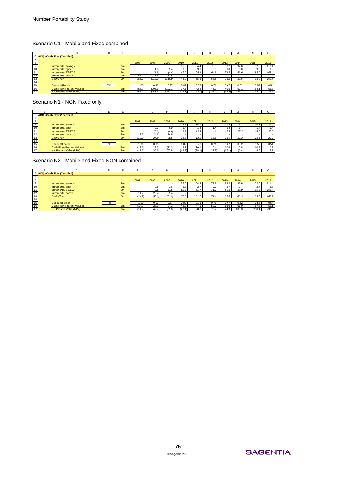#### Scenario C1 - Mobile and Fixed combined

|    |                              | D  |    |        | G       | н       |         |         |         |        | M      | N     |       |
|----|------------------------------|----|----|--------|---------|---------|---------|---------|---------|--------|--------|-------|-------|
|    | 6 ACQ - Cash Flow (Year End) |    |    |        |         |         |         |         |         |        |        |       |       |
|    |                              |    |    |        |         |         |         |         |         |        |        |       |       |
| 8  |                              |    |    | 2007   | 2008    | 2009    | 2010    | 2011    | 2012    | 2013   | 2014   | 2015  | 2016  |
| 9  | Incremental savings          |    | £m |        |         |         | 55.0    | 64.4    | 73.8    | 83.2   | 92.6   | 102.0 | 111.4 |
| 10 | Incremental opex             |    | £m |        | 1.8     | 5.4     | 9.0     | 9.0     | 9.0     | 9.0    | 9.0    | 9.0   | 9.0   |
| 11 | <b>Incremental FBITDA</b>    |    | £m |        | (1.8)   | (5.4)   | 46.0    | 55.4    | 64.8    | 74.2   | 83.6   | 93.0  | 102.4 |
| 12 | Incremental capex            |    | £m | 55.7   | 111.5   | 111.5   |         |         |         |        |        |       |       |
| 13 | Cash Flow                    |    | £m | (55.7) | (113.3) | (116.9) | 46.0    | 55.4    | 64.8    | 74.2   | 83.6   | 93.0  | 102.4 |
| 14 |                              |    |    |        |         |         |         |         |         |        |        |       |       |
| 15 | Discount Factor              | 7% |    | 1.00   | 0.93    | 0.87    | 0.82    | 0.76    | 0.71    | 0.67   | 0.62   | 0.58  | 0.54  |
| 16 | Cash Flow (Present Values)   |    | £m | (55.7) | (105.9) | (102.1) | 37.5    | 42.3    | 46.2    | 49.5   | 52.1   | 54.1  | 55.7  |
| 17 | Net Present Value (NPV)      |    | £m | (55.7) | (161.6) | (263.7) | (226.1) | (183.9) | (137.7) | (88.2) | (36.1) | 18.0  | 73.7  |

### Scenario N1 - NGN Fixed only

|                 |                              |    |    |                   |        |        |        |        |        |        | м     |      | $\Omega$ |
|-----------------|------------------------------|----|----|-------------------|--------|--------|--------|--------|--------|--------|-------|------|----------|
|                 | 6 ACQ - Cash Flow (Year End) |    |    |                   |        |        |        |        |        |        |       |      |          |
|                 |                              |    |    |                   |        |        |        |        |        |        |       |      |          |
| $^{\circ}$      |                              |    |    | 2007              | 2008   | 2009   | 2010   | 2011   | 2012   | 2013   | 2014  | 2015 | 2016     |
| $\overline{9}$  | Incremental savings          |    | £m |                   |        |        | 13.3   | 14.7   | 16.0.  | 17.4   | 18.7  | 20.1 | 21.4     |
| $-10$           | Incremental opex             |    | £m |                   | 0.3    | 0.9    | 1.4'   | 1.4    | 1.4    | 1.4    | 1.4   | 1.4  | 1.4      |
| $\overline{11}$ | <b>Incremental FBITDA</b>    |    | £m |                   | (0.3)  | (0.9)  | 11.8   | 13.2   | 14.6   | 15.9   | 17.3  | 18.6 | 20.0     |
| $\overline{12}$ | Incremental capex            |    | £m | 12.3              | 24.6   | 24.6   |        |        |        |        |       |      | $\sim$   |
| 13              | Cash Flow                    |    | Em | (12.3)            | (24.9) | (25.5) | 11.8   | 13.2   | 14.6   | 15.9   | 17.3  | 18.6 | 20.0     |
| 14              |                              |    |    |                   |        |        |        |        |        |        |       |      |          |
|                 | <b>Discount Factor</b>       | 7% |    | 1.00 <sub>l</sub> | 0.93   | 0.87   | 0.82   | 0.76   | 0.71   | 0.67   | 0.62  | 0.58 | 0.54     |
| $\frac{15}{16}$ | Cash Flow (Present Values)   |    | £m | (12.3)            | (23.3) | (22.3) | 9.7    | 10.1   | 10.4   | 10.6   | 10.8  | 10.8 | 10.9     |
| 17              | Net Present Value (NPV)      |    | £m | (12.3)            | (35.6) | (57.8) | (48.2) | (38.1) | (27.7) | (17.1) | (6.4) | 4.5  | 15.3     |

Scenario N2 - Mobile and Fixed NGN combined

|                 |                              | D  |    |        | G      | н      |        |      |                   |       | м     | N     | O     |
|-----------------|------------------------------|----|----|--------|--------|--------|--------|------|-------------------|-------|-------|-------|-------|
|                 | 6 ACQ - Cash Flow (Year End) |    |    |        |        |        |        |      |                   |       |       |       |       |
|                 |                              |    |    |        |        |        |        |      |                   |       |       |       |       |
| 8               |                              |    |    | 2007   | 2008   | 2009   | 2010   | 2011 | 2012              | 2013  | 2014  | 2015  | 2016  |
| 9               | Incremental savings          |    | £m |        |        |        | 55.0   | 64.4 | 73.8 <sub>1</sub> | 83.2  | 92.6  | 102.0 | 111.4 |
| 10              | Incremental opex             |    | £m |        | 0.5    | 1.6'   | 2.7    | 2.7  | 2.7               | 2.7   | 2.7   | 2.7   | 2.7   |
| 11              | <b>Incremental EBITDA</b>    |    | £m |        | (0.5)  | (1.6)  | 52.3   | 61.7 | 71.1              | 80.5  | 89.9  | 99.3  | 108.7 |
| 12              | Incremental capex            |    | £m | 14.7   | 29.4   | 29.4   |        |      |                   |       |       |       |       |
| 13              | Cash Flow                    |    | £m | (14.7) | (30.0) | (31.0) | 52.3   | 61.7 | 71.1              | 80.5  | 89.9  | 99.3  | 108.7 |
| 14 <sub>1</sub> |                              |    |    |        |        |        |        |      |                   |       |       |       |       |
| 15              | <b>Discount Factor</b>       | 7% |    | 1.00   | 0.93   | 0.87   | 0.82   | 0.76 | 0.71              | 0.67  | 0.62  | 0.58  | 0.54  |
| 16              | Cash Flow (Present Values)   |    | £m | (14.7) | (28.0) | (27.1) | 42.7   | 47.1 | 50.7              | 53.6  | 56.0  | 57.8  | 59.1  |
| $\overline{17}$ | Net Present Value (NPV)      |    | £m | (14.7) | (42.7) | (69.8) | (27.1) | 20.0 | 70.7              | 124.3 | 180.3 | 238.  | 297.3 |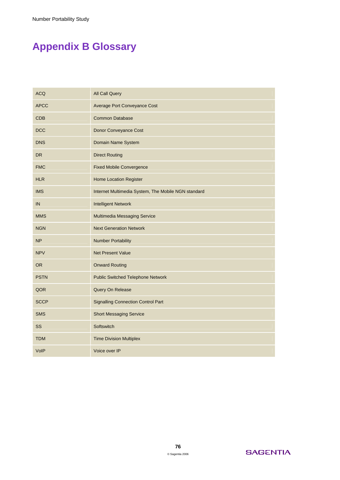# **Appendix B Glossary**

| <b>ACQ</b>  | <b>All Call Query</b>                               |
|-------------|-----------------------------------------------------|
| <b>APCC</b> | Average Port Conveyance Cost                        |
| CDB         | <b>Common Database</b>                              |
| DCC         | Donor Conveyance Cost                               |
| <b>DNS</b>  | Domain Name System                                  |
| <b>DR</b>   | <b>Direct Routing</b>                               |
| <b>FMC</b>  | <b>Fixed Mobile Convergence</b>                     |
| <b>HLR</b>  | <b>Home Location Register</b>                       |
| <b>IMS</b>  | Internet Multimedia System, The Mobile NGN standard |
| IN          | <b>Intelligent Network</b>                          |
| <b>MMS</b>  | Multimedia Messaging Service                        |
| <b>NGN</b>  | <b>Next Generation Network</b>                      |
| <b>NP</b>   | <b>Number Portability</b>                           |
| <b>NPV</b>  | <b>Net Present Value</b>                            |
| <b>OR</b>   | <b>Onward Routing</b>                               |
| <b>PSTN</b> | <b>Public Switched Telephone Network</b>            |
| QOR         | Query On Release                                    |
| <b>SCCP</b> | <b>Signalling Connection Control Part</b>           |
| <b>SMS</b>  | <b>Short Messaging Service</b>                      |
| SS          | Softswitch                                          |
| <b>TDM</b>  | <b>Time Division Multiplex</b>                      |
| VoIP        | Voice over IP                                       |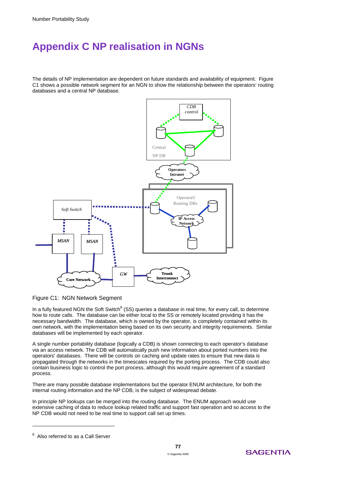# **Appendix C NP realisation in NGNs**

The details of NP implementation are dependent on future standards and availability of equipment. Figure C1 shows a possible network segment for an NGN to show the relationship between the operators' routing databases and a central NP database.



Figure C1: NGN Network Segment

In a fully featured NGN the Soft Switch<sup>8</sup> (SS) queries a database in real time, for every call, to determine how to route calls. The database can be either local to the SS or remotely located providing it has the necessary bandwidth. The database, which is owned by the operator, is completely contained within its own network, with the implementation being based on its own security and integrity requirements. Similar databases will be implemented by each operator.

A single number portability database (logically a CDB) is shown connecting to each operator's database via an access network. The CDB will automatically push new information about ported numbers into the operators' databases. There will be controls on caching and update rates to ensure that new data is propagated through the networks in the timescales required by the porting process. The CDB could also contain business logic to control the port process, although this would require agreement of a standard process.

There are many possible database implementations but the operator ENUM architecture, for both the internal routing information and the NP CDB, is the subject of widespread debate.

In principle NP lookups can be merged into the routing database. The ENUM approach would use extensive caching of data to reduce lookup related traffic and support fast operation and so access to the NP CDB would not need to be real time to support call set up times.

 $\overline{a}$ 



 $8$  Also referred to as a Call Server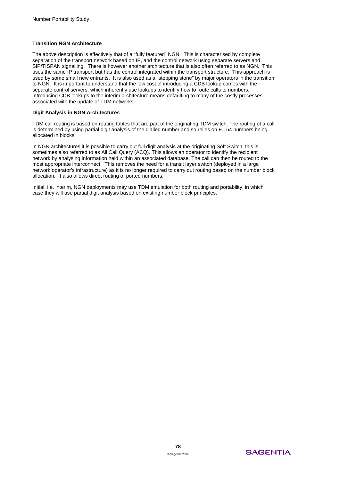#### **Transition NGN Architecture**

The above description is effectively that of a "fully featured" NGN. This is characterised by complete separation of the transport network based on IP, and the control network using separate servers and SIP/TISPAN signalling. There is however another architecture that is also often referred to as NGN. This uses the same IP transport but has the control integrated within the transport structure. This approach is used by some small new entrants. It is also used as a "stepping stone" by major operators in the transition to NGN. It is important to understand that the low cost of introducing a CDB lookup comes with the separate control servers, which inherently use lookups to identify how to route calls to numbers. Introducing CDB lookups to the interim architecture means defaulting to many of the costly processes associated with the update of TDM networks.

#### **Digit Analysis in NGN Architectures**

TDM call routing is based on routing tables that are part of the originating TDM switch. The routing of a call is determined by using partial digit analysis of the dialled number and so relies on E.164 numbers being allocated in blocks.

In NGN architectures it is possible to carry out full digit analysis at the originating Soft Switch; this is sometimes also referred to as All Call Query (ACQ). This allows an operator to identify the recipient network by analysing information held within an associated database. The call can then be routed to the most appropriate interconnect. This removes the need for a transit layer switch (deployed in a large network operator's infrastructure) as it is no longer required to carry out routing based on the number block allocation. It also allows direct routing of ported numbers.

Initial, i.e. interim, NGN deployments may use TDM emulation for both routing and portability, in which case they will use partial digit analysis based on existing number block principles.

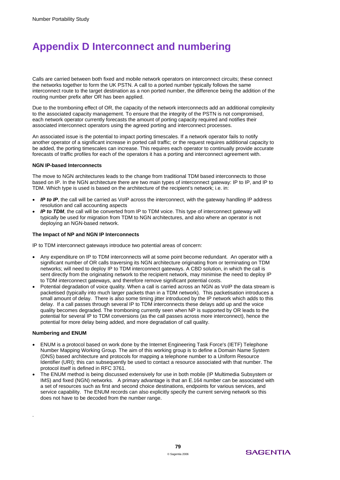# **Appendix D Interconnect and numbering**

Calls are carried between both fixed and mobile network operators on interconnect circuits; these connect the networks together to form the UK PSTN. A call to a ported number typically follows the same interconnect route to the target destination as a non ported number, the difference being the addition of the routing number prefix after OR has been applied.

Due to the tromboning effect of OR, the capacity of the network interconnects add an additional complexity to the associated capacity management. To ensure that the integrity of the PSTN is not compromised, each network operator currently forecasts the amount of porting capacity required and notifies their associated interconnect operators using the agreed porting and interconnect processes.

An associated issue is the potential to impact porting timescales. If a network operator fails to notify another operator of a significant increase in ported call traffic; or the request requires additional capacity to be added, the porting timescales can increase. This requires each operator to continually provide accurate forecasts of traffic profiles for each of the operators it has a porting and interconnect agreement with.

#### **NGN IP-based Interconnects**

The move to NGN architectures leads to the change from traditional TDM based interconnects to those based on IP. In the NGN architecture there are two main types of interconnect gateway: IP to IP, and IP to TDM. Which type is used is based on the architecture of the recipient's network; i.e. in:

- *IP to IP*, the call will be carried as VoIP across the interconnect, with the gateway handling IP address resolution and call accounting aspects
- *IP to TDM*, the call will be converted from IP to TDM voice. This type of interconnect gateway will typically be used for migration from TDM to NGN architectures, and also where an operator is not deploying an NGN-based network.

#### **The Impact of NP and NGN IP Interconnects**

IP to TDM interconnect gateways introduce two potential areas of concern:

- Any expenditure on IP to TDM interconnects will at some point become redundant. An operator with a significant number of OR calls traversing its NGN architecture originating from or terminating on TDM networks; will need to deploy IP to TDM interconnect gateways. A CBD solution, in which the call is sent directly from the originating network to the recipient network, may minimise the need to deploy IP to TDM interconnect gateways, and therefore remove significant potential costs.
- Potential degradation of voice quality. When a call is carried across an NGN as VoIP the data stream is packetised (typically into much larger packets than in a TDM network). This packetisation introduces a small amount of delay. There is also some timing jitter introduced by the IP network which adds to this delay. If a call passes through several IP to TDM interconnects these delays add up and the voice quality becomes degraded. The tromboning currently seen when NP is supported by OR leads to the potential for several IP to TDM conversions (as the call passes across more interconnect), hence the potential for more delay being added, and more degradation of call quality.

#### **Numbering and ENUM**

.

- ENUM is a protocol based on work done by the Internet Engineering Task Force's (IETF) Telephone Number Mapping Working Group. The aim of this working group is to define a Domain Name System (DNS) based architecture and protocols for mapping a telephone number to a Uniform Resource Identifier (URI); this can subsequently be used to contact a resource associated with that number. The protocol itself is defined in RFC 3761.
- The ENUM method is being discussed extensively for use in both mobile (IP Multimedia Subsystem or IMS) and fixed (NGN) networks. A primary advantage is that an E.164 number can be associated with a set of resources such as first and second choice destinations, endpoints for various services, and service capability. The ENUM records can also explicitly specify the current serving network so this does not have to be decoded from the number range.

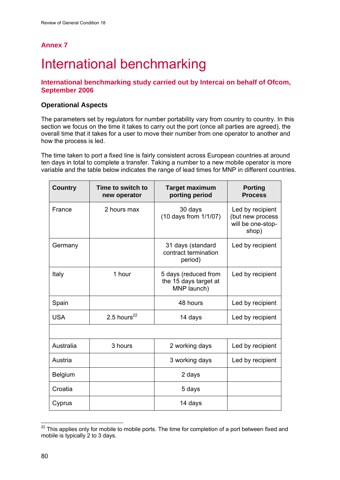# **Annex 7**

# International benchmarking

# **International benchmarking study carried out by Intercai on behalf of Ofcom, September 2006**

# **Operational Aspects**

The parameters set by regulators for number portability vary from country to country. In this section we focus on the time it takes to carry out the port (once all parties are agreed), the overall time that it takes for a user to move their number from one operator to another and how the process is led.

The time taken to port a fixed line is fairly consistent across European countries at around ten days in total to complete a transfer. Taking a number to a new mobile operator is more variable and the table below indicates the range of lead times for MNP in different countries.

| <b>Country</b> | Time to switch to<br>new operator | <b>Target maximum</b><br>porting period                      | <b>Porting</b><br><b>Process</b>                                   |
|----------------|-----------------------------------|--------------------------------------------------------------|--------------------------------------------------------------------|
| France         | 2 hours max                       | 30 days<br>(10 days from 1/1/07)                             | Led by recipient<br>(but new process<br>will be one-stop-<br>shop) |
| Germany        |                                   | 31 days (standard<br>contract termination<br>period)         | Led by recipient                                                   |
| Italy          | 1 hour                            | 5 days (reduced from<br>the 15 days target at<br>MNP launch) | Led by recipient                                                   |
| Spain          |                                   | 48 hours                                                     | Led by recipient                                                   |
| <b>USA</b>     | 2.5 hours $^{22}$                 | 14 days                                                      | Led by recipient                                                   |
|                |                                   |                                                              |                                                                    |
| Australia      | 3 hours                           | 2 working days                                               | Led by recipient                                                   |
| Austria        |                                   | 3 working days                                               | Led by recipient                                                   |
| Belgium        |                                   | 2 days                                                       |                                                                    |
| Croatia        |                                   | 5 days                                                       |                                                                    |
| Cyprus         |                                   | 14 days                                                      |                                                                    |

<sup>1</sup>  $22$  This applies only for mobile to mobile ports. The time for completion of a port between fixed and mobile is typically 2 to 3 days.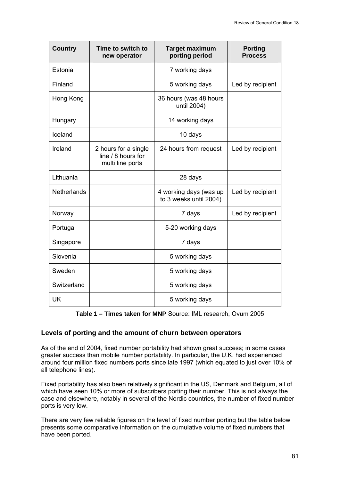| <b>Country</b>     | Time to switch to<br>new operator                              | <b>Target maximum</b><br>porting period          | <b>Porting</b><br><b>Process</b> |
|--------------------|----------------------------------------------------------------|--------------------------------------------------|----------------------------------|
| Estonia            |                                                                | 7 working days                                   |                                  |
| Finland            |                                                                | 5 working days                                   | Led by recipient                 |
| Hong Kong          |                                                                | 36 hours (was 48 hours<br>until 2004)            |                                  |
| Hungary            |                                                                | 14 working days                                  |                                  |
| Iceland            |                                                                | 10 days                                          |                                  |
| Ireland            | 2 hours for a single<br>line / 8 hours for<br>multi line ports | 24 hours from request                            | Led by recipient                 |
| Lithuania          |                                                                | 28 days                                          |                                  |
| <b>Netherlands</b> |                                                                | 4 working days (was up<br>to 3 weeks until 2004) | Led by recipient                 |
| Norway             |                                                                | 7 days                                           | Led by recipient                 |
| Portugal           |                                                                | 5-20 working days                                |                                  |
| Singapore          |                                                                | 7 days                                           |                                  |
| Slovenia           |                                                                | 5 working days                                   |                                  |
| Sweden             |                                                                | 5 working days                                   |                                  |
| Switzerland        |                                                                | 5 working days                                   |                                  |
| <b>UK</b>          |                                                                | 5 working days                                   |                                  |

**Table 1 – Times taken for MNP** Source: IML research, Ovum 2005

## **Levels of porting and the amount of churn between operators**

As of the end of 2004, fixed number portability had shown great success; in some cases greater success than mobile number portability. In particular, the U.K. had experienced around four million fixed numbers ports since late 1997 (which equated to just over 10% of all telephone lines).

Fixed portability has also been relatively significant in the US, Denmark and Belgium, all of which have seen 10% or more of subscribers porting their number. This is not always the case and elsewhere, notably in several of the Nordic countries, the number of fixed number ports is very low.

There are very few reliable figures on the level of fixed number porting but the table below presents some comparative information on the cumulative volume of fixed numbers that have been ported.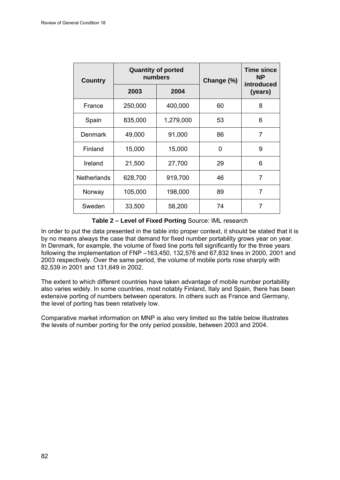| <b>Country</b>     | <b>Quantity of ported</b><br>numbers |           | Change (%) | <b>Time since</b><br><b>NP</b><br>introduced |
|--------------------|--------------------------------------|-----------|------------|----------------------------------------------|
|                    | 2003                                 | 2004      |            | (years)                                      |
| France             | 250,000                              | 400,000   | 60         | 8                                            |
| Spain              | 835,000                              | 1,279,000 | 53         | 6                                            |
| <b>Denmark</b>     | 49,000                               | 91,000    | 86         | 7                                            |
| Finland            | 15,000                               | 15,000    | 0          | 9                                            |
| Ireland            | 21,500                               | 27,700    | 29         | 6                                            |
| <b>Netherlands</b> | 628,700                              | 919,700   | 46         | $\overline{7}$                               |
| Norway             | 105,000                              | 198,000   | 89         | 7                                            |
| Sweden             | 33,500                               | 58,200    | 74         | 7                                            |

**Table 2 – Level of Fixed Porting** Source: IML research

In order to put the data presented in the table into proper context, it should be stated that it is by no means always the case that demand for fixed number portability grows year on year. In Denmark, for example, the volume of fixed line ports fell significantly for the three years following the implementation of FNP –163,450, 132,576 and 67,832 lines in 2000, 2001 and 2003 respectively. Over the same period, the volume of mobile ports rose sharply with 82,539 in 2001 and 131,649 in 2002.

The extent to which different countries have taken advantage of mobile number portability also varies widely. In some countries, most notably Finland, Italy and Spain, there has been extensive porting of numbers between operators. In others such as France and Germany, the level of porting has been relatively low.

Comparative market information on MNP is also very limited so the table below illustrates the levels of number porting for the only period possible, between 2003 and 2004.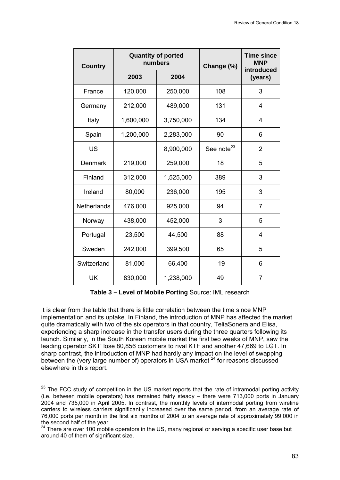| <b>Country</b>     | <b>Quantity of ported</b><br>numbers |           | Change (%)             | <b>Time since</b><br><b>MNP</b><br>introduced |
|--------------------|--------------------------------------|-----------|------------------------|-----------------------------------------------|
|                    | 2003                                 | 2004      |                        | (years)                                       |
| France             | 120,000                              | 250,000   | 108                    | 3                                             |
| Germany            | 212,000                              | 489,000   | 131                    | 4                                             |
| Italy              | 1,600,000                            | 3,750,000 | 134                    | 4                                             |
| Spain              | 1,200,000                            | 2,283,000 | 90                     | 6                                             |
| <b>US</b>          |                                      | 8,900,000 | See note <sup>23</sup> | $\overline{2}$                                |
| <b>Denmark</b>     | 219,000                              | 259,000   | 18                     | 5                                             |
| Finland            | 312,000                              | 1,525,000 | 389                    | 3                                             |
| Ireland            | 80,000                               | 236,000   | 195                    | 3                                             |
| <b>Netherlands</b> | 476,000                              | 925,000   | 94                     | $\overline{7}$                                |
| Norway             | 438,000                              | 452,000   | 3                      | 5                                             |
| Portugal           | 23,500                               | 44,500    | 88                     | 4                                             |
| Sweden             | 242,000                              | 399,500   | 65                     | 5                                             |
| Switzerland        | 81,000                               | 66,400    | $-19$                  | 6                                             |
| UK                 | 830,000                              | 1,238,000 | 49                     | $\overline{7}$                                |

**Table 3 – Level of Mobile Porting** Source: IML research

It is clear from the table that there is little correlation between the time since MNP implementation and its uptake. In Finland, the introduction of MNP has affected the market quite dramatically with two of the six operators in that country, TeliaSonera and Elisa, experiencing a sharp increase in the transfer users during the three quarters following its launch. Similarly, in the South Korean mobile market the first two weeks of MNP, saw the leading operator SKT' lose 80,856 customers to rival KTF and another 47,669 to LGT. In sharp contrast, the introduction of MNP had hardly any impact on the level of swapping between the (very large number of) operators in USA market <sup>24</sup> for reasons discussed elsewhere in this report.

-

<sup>&</sup>lt;sup>23</sup> The FCC study of competition in the US market reports that the rate of intramodal porting activity (i.e. between mobile operators) has remained fairly steady – there were 713,000 ports in January 2004 and 735,000 in April 2005. In contrast, the monthly levels of intermodal porting from wireline carriers to wireless carriers significantly increased over the same period, from an average rate of 76,000 ports per month in the first six months of 2004 to an average rate of approximately 99,000 in the second half of the year.

<sup>&</sup>lt;sup>24</sup> There are over 100 mobile operators in the US, many regional or serving a specific user base but around 40 of them of significant size.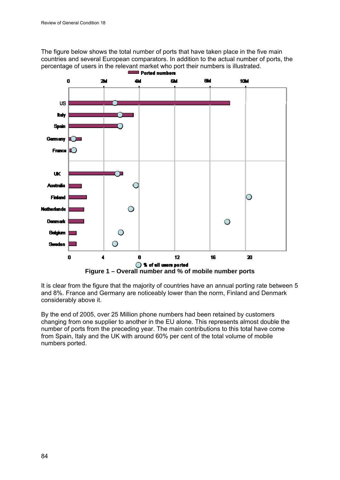The figure below shows the total number of ports that have taken place in the five main countries and several European comparators. In addition to the actual number of ports, the percentage of users in the relevant market who port their numbers is illustrated.<br>**Ported numbers** 



It is clear from the figure that the majority of countries have an annual porting rate between 5 and 8%. France and Germany are noticeably lower than the norm, Finland and Denmark considerably above it.

By the end of 2005, over 25 Million phone numbers had been retained by customers changing from one supplier to another in the EU alone. This represents almost double the number of ports from the preceding year. The main contributions to this total have come from Spain, Italy and the UK with around 60% per cent of the total volume of mobile numbers ported.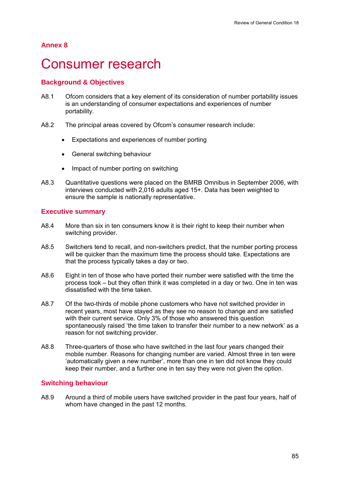# **Annex 8**

# Consumer research

# **Background & Objectives**

- A8.1 Ofcom considers that a key element of its consideration of number portability issues is an understanding of consumer expectations and experiences of number portability.
- A8.2 The principal areas covered by Ofcom's consumer research include:
	- Expectations and experiences of number porting
	- General switching behaviour
	- Impact of number porting on switching
- A8.3 Quantitative questions were placed on the BMRB Omnibus in September 2006, with interviews conducted with 2,016 adults aged 15+. Data has been weighted to ensure the sample is nationally representative.

## **Executive summary**

- A8.4 More than six in ten consumers know it is their right to keep their number when switching provider.
- A8.5 Switchers tend to recall, and non-switchers predict, that the number porting process will be quicker than the maximum time the process should take. Expectations are that the process typically takes a day or two.
- A8.6 Eight in ten of those who have ported their number were satisfied with the time the process took – but they often think it was completed in a day or two. One in ten was dissatisfied with the time taken.
- A8.7 Of the two-thirds of mobile phone customers who have not switched provider in recent years, most have stayed as they see no reason to change and are satisfied with their current service. Only 3% of those who answered this question spontaneously raised 'the time taken to transfer their number to a new network' as a reason for not switching provider.
- A8.8 Three-quarters of those who have switched in the last four years changed their mobile number. Reasons for changing number are varied. Almost three in ten were 'automatically given a new number', more than one in ten did not know they could keep their number, and a further one in ten say they were not given the option.

### **Switching behaviour**

A8.9 Around a third of mobile users have switched provider in the past four years, half of whom have changed in the past 12 months.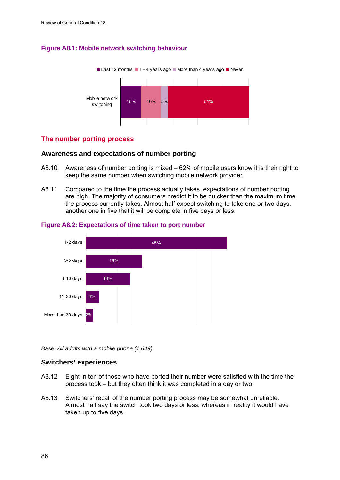## **Figure A8.1: Mobile network switching behaviour**



## **The number porting process**

### **Awareness and expectations of number porting**

- A8.10 Awareness of number porting is mixed 62% of mobile users know it is their right to keep the same number when switching mobile network provider.
- A8.11 Compared to the time the process actually takes, expectations of number porting are high. The majority of consumers predict it to be quicker than the maximum time the process currently takes. Almost half expect switching to take one or two days, another one in five that it will be complete in five days or less.



### **Figure A8.2: Expectations of time taken to port number**

*Base: All adults with a mobile phone (1,649)* 

### **Switchers' experiences**

- A8.12 Eight in ten of those who have ported their number were satisfied with the time the process took – but they often think it was completed in a day or two.
- A8.13 Switchers' recall of the number porting process may be somewhat unreliable. Almost half say the switch took two days or less, whereas in reality it would have taken up to five days.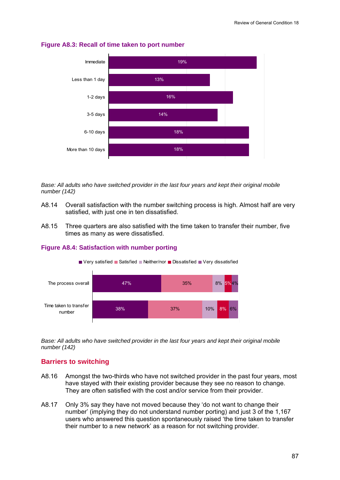

### **Figure A8.3: Recall of time taken to port number**

*Base: All adults who have switched provider in the last four years and kept their original mobile number (142)* 

- A8.14 Overall satisfaction with the number switching process is high. Almost half are very satisfied, with just one in ten dissatisfied.
- A8.15 Three quarters are also satisfied with the time taken to transfer their number, five times as many as were dissatisfied.



#### **Figure A8.4: Satisfaction with number porting**

*Base: All adults who have switched provider in the last four years and kept their original mobile number (142)* 

### **Barriers to switching**

- A8.16 Amongst the two-thirds who have not switched provider in the past four years, most have stayed with their existing provider because they see no reason to change. They are often satisfied with the cost and/or service from their provider.
- A8.17 Only 3% say they have not moved because they 'do not want to change their number' (implying they do not understand number porting) and just 3 of the 1,167 users who answered this question spontaneously raised 'the time taken to transfer their number to a new network' as a reason for not switching provider.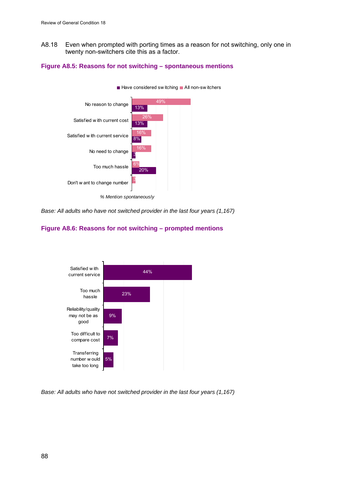A8.18 Even when prompted with porting times as a reason for not switching, only one in twenty non-switchers cite this as a factor.





*Base: All adults who have not switched provider in the last four years (1,167)* 





*Base: All adults who have not switched provider in the last four years (1,167)*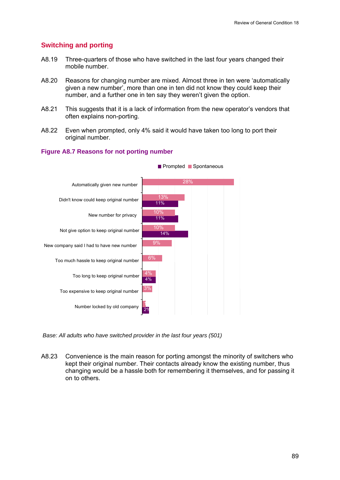## **Switching and porting**

- A8.19 Three-quarters of those who have switched in the last four years changed their mobile number.
- A8.20 Reasons for changing number are mixed. Almost three in ten were 'automatically given a new number', more than one in ten did not know they could keep their number, and a further one in ten say they weren't given the option.
- A8.21 This suggests that it is a lack of information from the new operator's vendors that often explains non-porting.
- A8.22 Even when prompted, only 4% said it would have taken too long to port their original number.





 *Base: All adults who have switched provider in the last four years (501)* 

A8.23 Convenience is the main reason for porting amongst the minority of switchers who kept their original number. Their contacts already know the existing number, thus changing would be a hassle both for remembering it themselves, and for passing it on to others.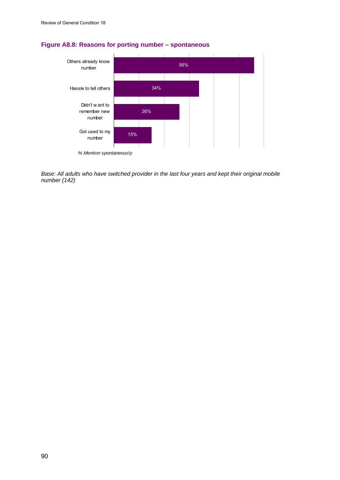

# **Figure A8.8: Reasons for porting number – spontaneous**

*Base: All adults who have switched provider in the last four years and kept their original mobile number (142)*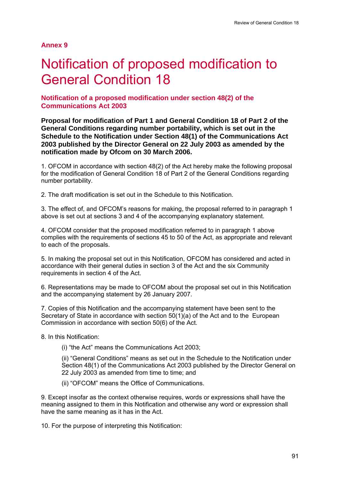**Annex 9** 

# Notification of proposed modification to General Condition 18

## **Notification of a proposed modification under section 48(2) of the Communications Act 2003**

**Proposal for modification of Part 1 and General Condition 18 of Part 2 of the General Conditions regarding number portability, which is set out in the Schedule to the Notification under Section 48(1) of the Communications Act 2003 published by the Director General on 22 July 2003 as amended by the notification made by Ofcom on 30 March 2006.** 

1. OFCOM in accordance with section 48(2) of the Act hereby make the following proposal for the modification of General Condition 18 of Part 2 of the General Conditions regarding number portability.

2. The draft modification is set out in the Schedule to this Notification.

3. The effect of, and OFCOM's reasons for making, the proposal referred to in paragraph 1 above is set out at sections 3 and 4 of the accompanying explanatory statement.

4. OFCOM consider that the proposed modification referred to in paragraph 1 above complies with the requirements of sections 45 to 50 of the Act, as appropriate and relevant to each of the proposals.

5. In making the proposal set out in this Notification, OFCOM has considered and acted in accordance with their general duties in section 3 of the Act and the six Community requirements in section 4 of the Act.

6. Representations may be made to OFCOM about the proposal set out in this Notification and the accompanying statement by 26 January 2007.

7. Copies of this Notification and the accompanying statement have been sent to the Secretary of State in accordance with section 50(1)(a) of the Act and to the European Commission in accordance with section 50(6) of the Act.

8. In this Notification:

(i) "the Act" means the Communications Act 2003;

(ii) "General Conditions" means as set out in the Schedule to the Notification under Section 48(1) of the Communications Act 2003 published by the Director General on 22 July 2003 as amended from time to time; and

(ii) "OFCOM" means the Office of Communications.

9. Except insofar as the context otherwise requires, words or expressions shall have the meaning assigned to them in this Notification and otherwise any word or expression shall have the same meaning as it has in the Act.

10. For the purpose of interpreting this Notification: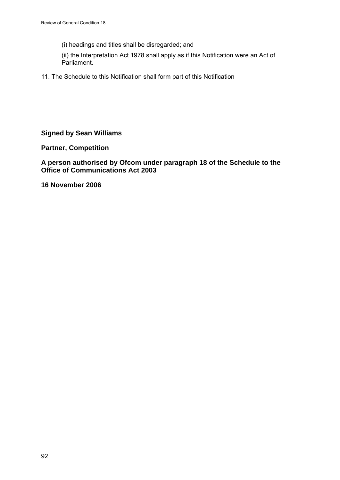(i) headings and titles shall be disregarded; and

(ii) the Interpretation Act 1978 shall apply as if this Notification were an Act of Parliament.

11. The Schedule to this Notification shall form part of this Notification

# **Signed by Sean Williams**

**Partner, Competition** 

## **A person authorised by Ofcom under paragraph 18 of the Schedule to the Office of Communications Act 2003**

**16 November 2006**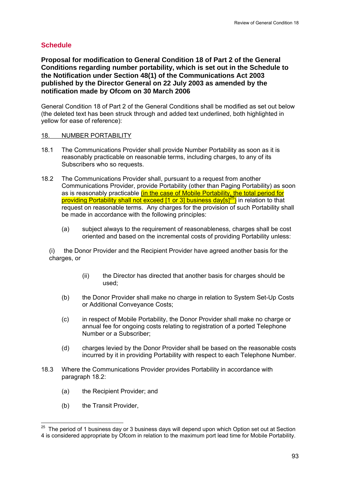# **Schedule**

**Proposal for modification to General Condition 18 of Part 2 of the General Conditions regarding number portability, which is set out in the Schedule to the Notification under Section 48(1) of the Communications Act 2003 published by the Director General on 22 July 2003 as amended by the notification made by Ofcom on 30 March 2006** 

General Condition 18 of Part 2 of the General Conditions shall be modified as set out below (the deleted text has been struck through and added text underlined, both highlighted in yellow for ease of reference):

### 18. NUMBER PORTABILITY

- 18.1 The Communications Provider shall provide Number Portability as soon as it is reasonably practicable on reasonable terms, including charges, to any of its Subscribers who so requests.
- 18.2 The Communications Provider shall, pursuant to a request from another Communications Provider, provide Portability (other than Paging Portability) as soon as is reasonably practicable (in the case of Mobile Portability, the total period for providing Portability shall not exceed  $[1$  or 3] business day $[s]^{25}$  in relation to that request on reasonable terms. Any charges for the provision of such Portability shall be made in accordance with the following principles:
	- (a) subject always to the requirement of reasonableness, charges shall be cost oriented and based on the incremental costs of providing Portability unless:

(i) the Donor Provider and the Recipient Provider have agreed another basis for the charges, or

- (ii) the Director has directed that another basis for charges should be used;
- (b) the Donor Provider shall make no charge in relation to System Set-Up Costs or Additional Conveyance Costs;
- (c) in respect of Mobile Portability, the Donor Provider shall make no charge or annual fee for ongoing costs relating to registration of a ported Telephone Number or a Subscriber;
- (d) charges levied by the Donor Provider shall be based on the reasonable costs incurred by it in providing Portability with respect to each Telephone Number.
- 18.3 Where the Communications Provider provides Portability in accordance with paragraph 18.2:
	- (a) the Recipient Provider; and
	- (b) the Transit Provider,

1

 $25$  The period of 1 business day or 3 business days will depend upon which Option set out at Section 4 is considered appropriate by Ofcom in relation to the maximum port lead time for Mobile Portability.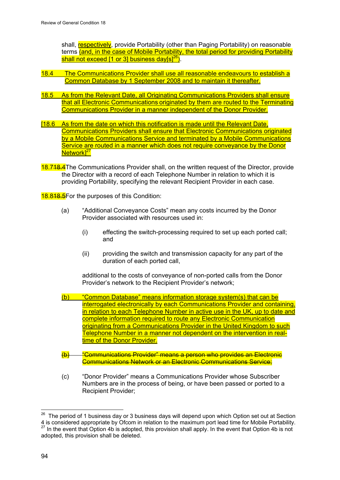shall, respectively, provide Portability (other than Paging Portability) on reasonable terms (and, in the case of Mobile Portability, the total period for providing Portability shall not exceed  $[1$  or 3] business day $[s]^{26}$ ).

- 18.4 The Communications Provider shall use all reasonable endeavours to establish a Common Database by 1 September 2008 and to maintain it thereafter.
- 18.5 As from the Relevant Date, all Originating Communications Providers shall ensure that all Electronic Communications originated by them are routed to the Terminating Communications Provider in a manner independent of the Donor Provider.
- [18.6 As from the date on which this notification is made until the Relevant Date, Communications Providers shall ensure that Electronic Communications originated by a Mobile Communications Service and terminated by a Mobile Communications Service are routed in a manner which does not require conveyance by the Donor Network<sup>[27</sup>
- 18.718.4The Communications Provider shall, on the written request of the Director, provide the Director with a record of each Telephone Number in relation to which it is providing Portability, specifying the relevant Recipient Provider in each case.

18.818.5For the purposes of this Condition:

- (a) "Additional Conveyance Costs" mean any costs incurred by the Donor Provider associated with resources used in:
	- (i) effecting the switch-processing required to set up each ported call; and
	- (ii) providing the switch and transmission capacity for any part of the duration of each ported call,

additional to the costs of conveyance of non-ported calls from the Donor Provider's network to the Recipient Provider's network;

- (b) "Common Database" means information storage system(s) that can be interrogated electronically by each Communications Provider and containing, in relation to each Telephone Number in active use in the UK, up to date and complete information required to route any Electronic Communication originating from a Communications Provider in the United Kingdom to such Telephone Number in a manner not dependent on the intervention in realtime of the Donor Provider.
- (b) "Communications Provider" means a person who provides an Electronic Communications Network or an Electronic Communications Service;
- (c) "Donor Provider" means a Communications Provider whose Subscriber Numbers are in the process of being, or have been passed or ported to a Recipient Provider;

<sup>26</sup> <sup>26</sup> The period of 1 business day or 3 business days will depend upon which Option set out at Section 4 is considered appropriate by Ofcom in relation to the maximum port lead time for Mobile Portability. <sup>27</sup> In the event that Option 4b is adopted, this provision shall apply. In the event that Option 4b is not adopted, this provision shall be deleted.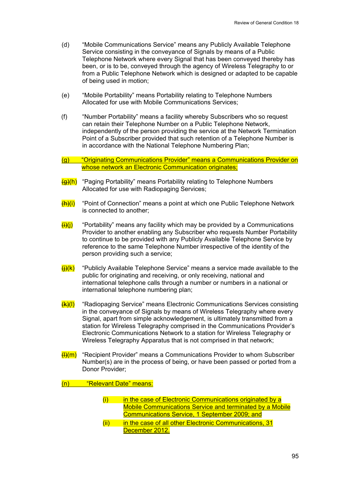- (d) "Mobile Communications Service" means any Publicly Available Telephone Service consisting in the conveyance of Signals by means of a Public Telephone Network where every Signal that has been conveyed thereby has been, or is to be, conveyed through the agency of Wireless Telegraphy to or from a Public Telephone Network which is designed or adapted to be capable of being used in motion;
- (e) "Mobile Portability" means Portability relating to Telephone Numbers Allocated for use with Mobile Communications Services;
- (f) "Number Portability" means a facility whereby Subscribers who so request can retain their Telephone Number on a Public Telephone Network, independently of the person providing the service at the Network Termination Point of a Subscriber provided that such retention of a Telephone Number is in accordance with the National Telephone Numbering Plan;

### (g) "Originating Communications Provider" means a Communications Provider on whose network an Electronic Communication originates:

- $\frac{1}{2}$  "Paging Portability" means Portability relating to Telephone Numbers Allocated for use with Radiopaging Services;
- $(H)$ (i) "Point of Connection" means a point at which one Public Telephone Network is connected to another;
- $\frac{\mu}{\mu}$  "Portability" means any facility which may be provided by a Communications Provider to another enabling any Subscriber who requests Number Portability to continue to be provided with any Publicly Available Telephone Service by reference to the same Telephone Number irrespective of the identity of the person providing such a service;
- $(H)(k)$  "Publicly Available Telephone Service" means a service made available to the public for originating and receiving, or only receiving, national and international telephone calls through a number or numbers in a national or international telephone numbering plan;
- $(k)(l)$  "Radiopaging Service" means Electronic Communications Services consisting in the conveyance of Signals by means of Wireless Telegraphy where every Signal, apart from simple acknowledgement, is ultimately transmitted from a station for Wireless Telegraphy comprised in the Communications Provider's Electronic Communications Network to a station for Wireless Telegraphy or Wireless Telegraphy Apparatus that is not comprised in that network;
- $(H)(m)$  "Recipient Provider" means a Communications Provider to whom Subscriber Number(s) are in the process of being, or have been passed or ported from a Donor Provider;

(n) "Relevant Date" means:

- $(i)$  in the case of Electronic Communications originated by a Mobile Communications Service and terminated by a Mobile Communications Service, 1 September 2009; and
- (ii) in the case of all other Electronic Communications, 31 December 2012.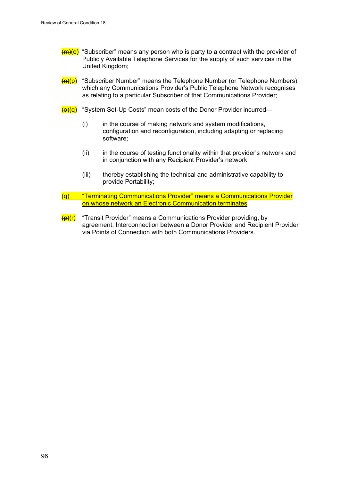- $\frac{\text{m}}{\text{m}}$ (o) "Subscriber" means any person who is party to a contract with the provider of Publicly Available Telephone Services for the supply of such services in the United Kingdom;
- $\left(\frac{H}{H}\right)(p)$  "Subscriber Number" means the Telephone Number (or Telephone Numbers) which any Communications Provider's Public Telephone Network recognises as relating to a particular Subscriber of that Communications Provider;
- $\left(\frac{\Theta}{\Theta}\right)^n$  "System Set-Up Costs" mean costs of the Donor Provider incurred—
	- (i) in the course of making network and system modifications, configuration and reconfiguration, including adapting or replacing software;
	- (ii) in the course of testing functionality within that provider's network and in conjunction with any Recipient Provider's network,
	- (iii) thereby establishing the technical and administrative capability to provide Portability;
- (q) "Terminating Communications Provider" means a Communications Provider on whose network an Electronic Communication terminates
- $\frac{f(x)}{f(x)}$  "Transit Provider" means a Communications Provider providing, by agreement, Interconnection between a Donor Provider and Recipient Provider via Points of Connection with both Communications Providers.